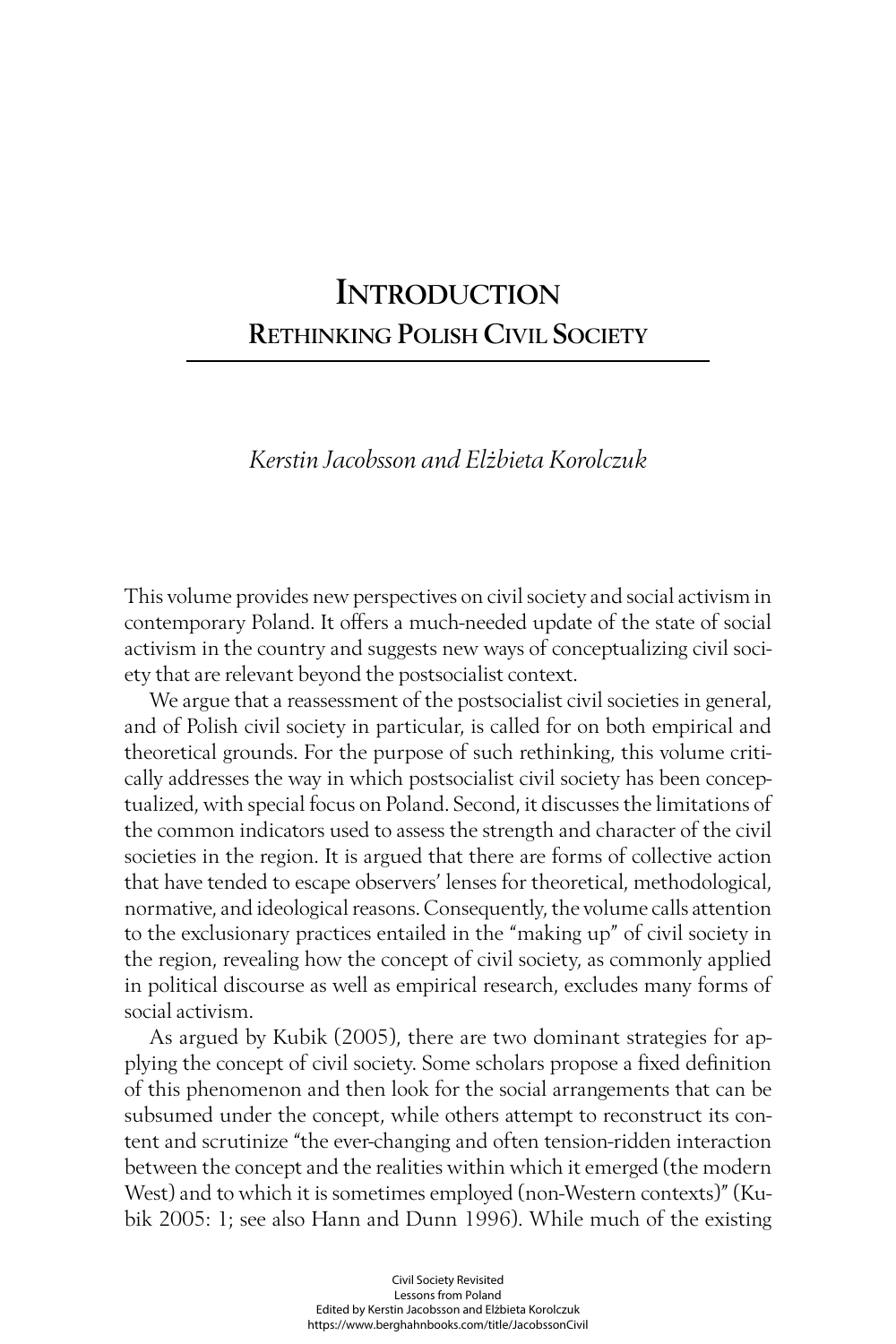# **INTRODUCTION** RETHINKING POLISH CIVIL SOCIETY

# *Kerstin Jacobsson and El*ż*bieta Korolczuk*

This volume provides new perspectives on civil society and social activism in contemporary Poland. It offers a much-needed update of the state of social activism in the country and suggests new ways of conceptualizing civil society that are relevant beyond the postsocialist context.

We argue that a reassessment of the postsocialist civil societies in general, and of Polish civil society in particular, is called for on both empirical and theoretical grounds. For the purpose of such rethinking, this volume critically addresses the way in which postsocialist civil society has been conceptualized, with special focus on Poland. Second, it discusses the limitations of the common indicators used to assess the strength and character of the civil societies in the region. It is argued that there are forms of collective action that have tended to escape observers' lenses for theoretical, methodological, normative, and ideological reasons. Consequently, the volume calls attention to the exclusionary practices entailed in the "making up" of civil society in the region, revealing how the concept of civil society, as commonly applied in political discourse as well as empirical research, excludes many forms of social activism.

As argued by Kubik (2005), there are two dominant strategies for applying the concept of civil society. Some scholars propose a fixed definition of this phenomenon and then look for the social arrangements that can be subsumed under the concept, while others attempt to reconstruct its content and scrutinize "the ever-changing and often tension-ridden interaction between the concept and the realities within which it emerged (the modern West) and to which it is sometimes employed (non-Western contexts)" (Kubik 2005: 1; see also Hann and Dunn 1996). While much of the existing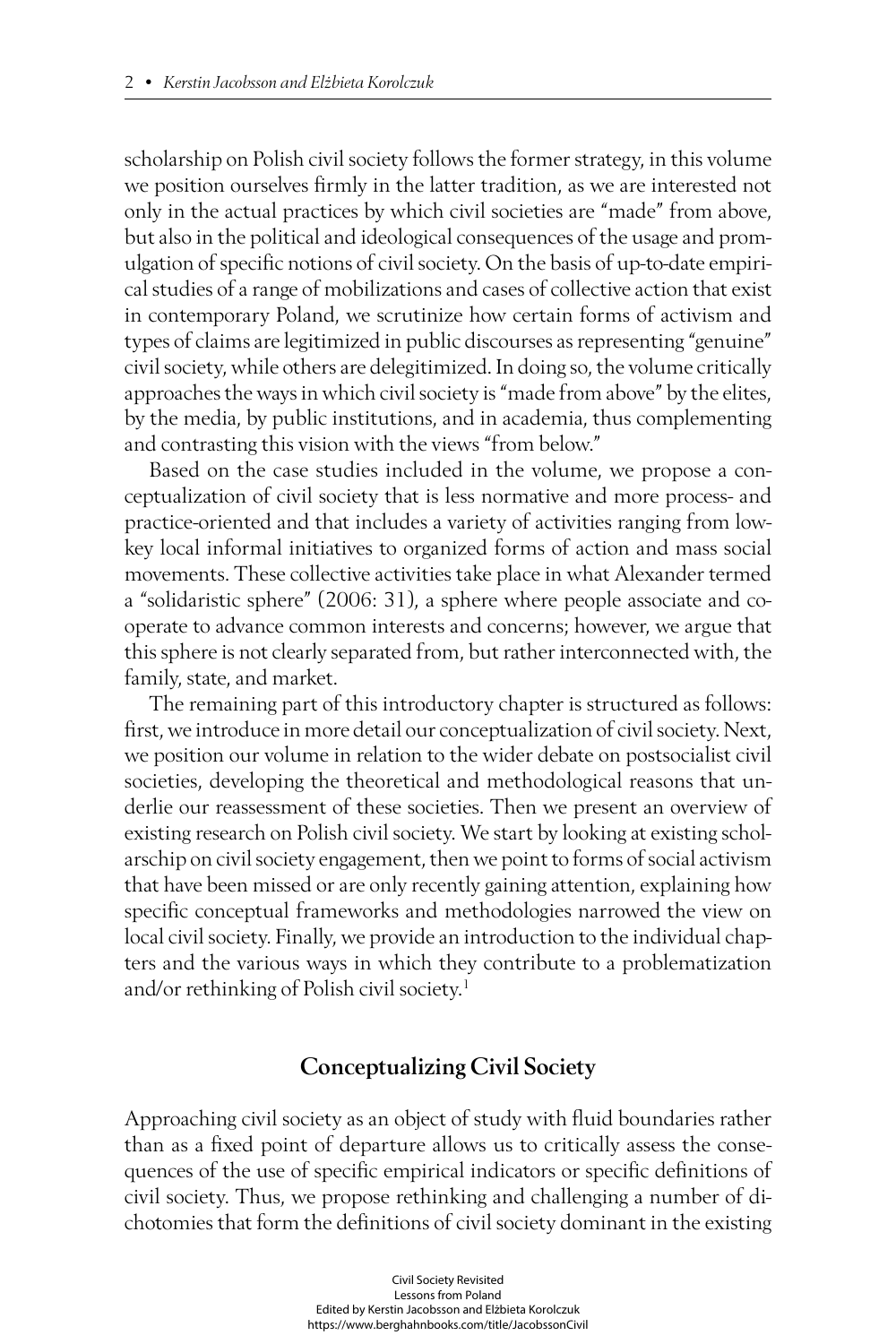scholarship on Polish civil society follows the former strategy, in this volume we position ourselves firmly in the latter tradition, as we are interested not only in the actual practices by which civil societies are "made" from above, but also in the political and ideological consequences of the usage and promulgation of specific notions of civil society. On the basis of up-to-date empirical studies of a range of mobilizations and cases of collective action that exist in contemporary Poland, we scrutinize how certain forms of activism and types of claims are legitimized in public discourses as representing "genuine" civil society, while others are delegitimized. In doing so, the volume critically approaches the ways in which civil society is "made from above" by the elites, by the media, by public institutions, and in academia, thus complementing and contrasting this vision with the views "from below."

Based on the case studies included in the volume, we propose a conceptualization of civil society that is less normative and more process- and practice-oriented and that includes a variety of activities ranging from lowkey local informal initiatives to organized forms of action and mass social movements. These collective activities take place in what Alexander termed a "solidaristic sphere" (2006: 31), a sphere where people associate and cooperate to advance common interests and concerns; however, we argue that this sphere is not clearly separated from, but rather interconnected with, the family, state, and market.

The remaining part of this introductory chapter is structured as follows: first, we introduce in more detail our conceptualization of civil society. Next, we position our volume in relation to the wider debate on postsocialist civil societies, developing the theoretical and methodological reasons that underlie our reassessment of these societies. Then we present an overview of existing research on Polish civil society. We start by looking at existing scholarschip on civil society engagement, then we point to forms of social activism that have been missed or are only recently gaining attention, explaining how specific conceptual frameworks and methodologies narrowed the view on local civil society. Finally, we provide an introduction to the individual chapters and the various ways in which they contribute to a problematization and/or rethinking of Polish civil society.<sup>1</sup>

### Conceptualizing Civil Society

Approaching civil society as an object of study with fluid boundaries rather than as a fixed point of departure allows us to critically assess the consequences of the use of specific empirical indicators or specific definitions of civil society. Thus, we propose rethinking and challenging a number of dichotomies that form the definitions of civil society dominant in the existing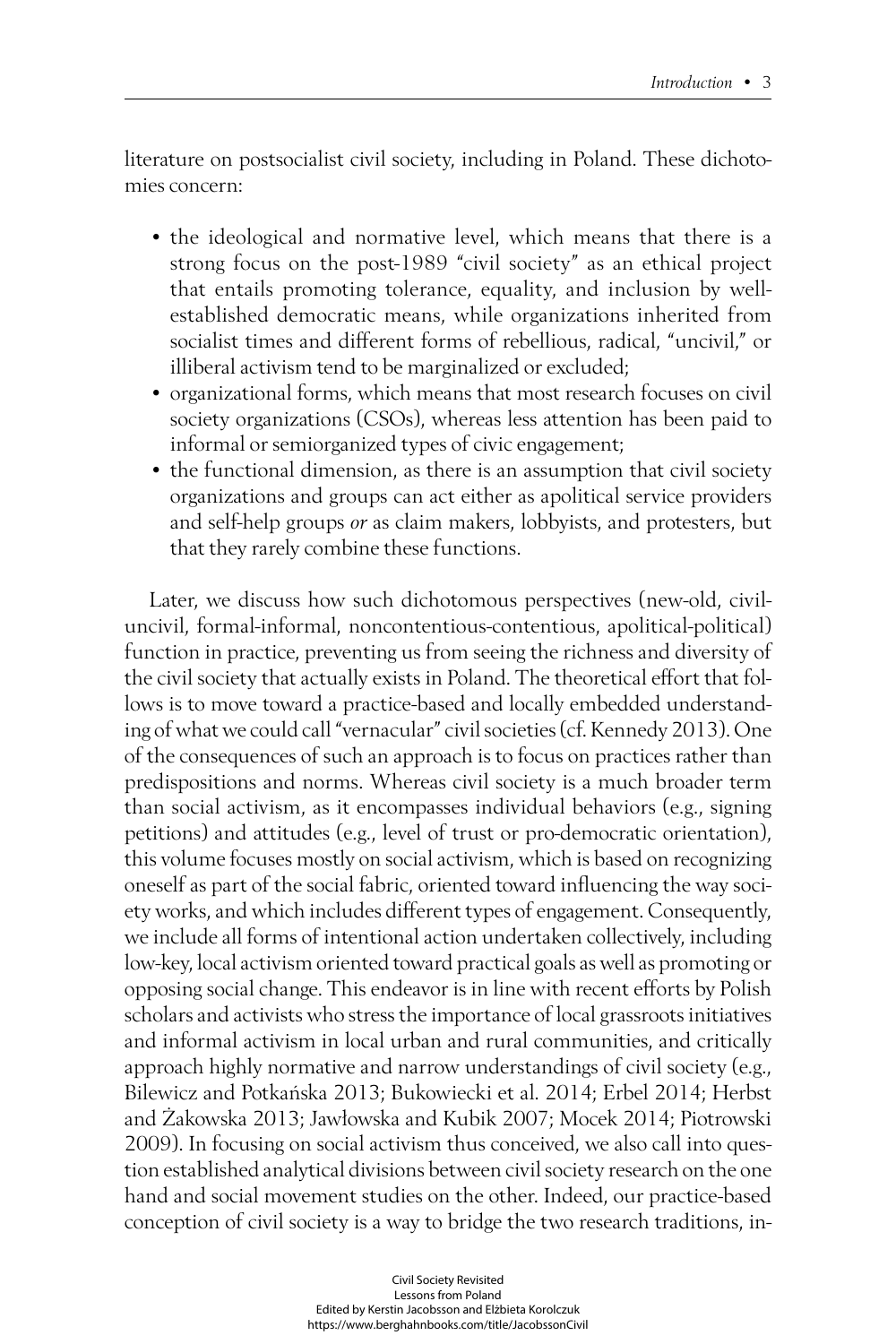literature on postsocialist civil society, including in Poland. These dichotomies concern:

- the ideological and normative level, which means that there is a strong focus on the post-1989 "civil society" as an ethical project that entails promoting tolerance, equality, and inclusion by wellestablished democratic means, while organizations inherited from socialist times and different forms of rebellious, radical, "uncivil," or illiberal activism tend to be marginalized or excluded;
- organizational forms, which means that most research focuses on civil society organizations (CSOs), whereas less attention has been paid to informal or semiorganized types of civic engagement;
- the functional dimension, as there is an assumption that civil society organizations and groups can act either as apolitical service providers and self-help groups *or* as claim makers, lobbyists, and protesters, but that they rarely combine these functions.

Later, we discuss how such dichotomous perspectives (new-old, civiluncivil, formal-informal, noncontentious-contentious, apolitical-political) function in practice, preventing us from seeing the richness and diversity of the civil society that actually exists in Poland. The theoretical effort that follows is to move toward a practice-based and locally embedded understanding of what we could call "vernacular" civil societies (cf. Kennedy 2013). One of the consequences of such an approach is to focus on practices rather than predispositions and norms. Whereas civil society is a much broader term than social activism, as it encompasses individual behaviors (e.g., signing petitions) and attitudes (e.g., level of trust or pro-democratic orientation), this volume focuses mostly on social activism, which is based on recognizing oneself as part of the social fabric, oriented toward influencing the way society works, and which includes different types of engagement. Consequently, we include all forms of intentional action undertaken collectively, including low-key, local activism oriented toward practical goals as well as promoting or opposing social change. This endeavor is in line with recent efforts by Polish scholars and activists who stress the importance of local grassroots initiatives and informal activism in local urban and rural communities, and critically approach highly normative and narrow understandings of civil society (e.g., Bilewicz and Potkańska 2013; Bukowiecki et al. 2014; Erbel 2014; Herbst and Żakowska 2013; Jawłowska and Kubik 2007; Mocek 2014; Piotrowski 2009). In focusing on social activism thus conceived, we also call into question established analytical divisions between civil society research on the one hand and social movement studies on the other. Indeed, our practice-based conception of civil society is a way to bridge the two research traditions, in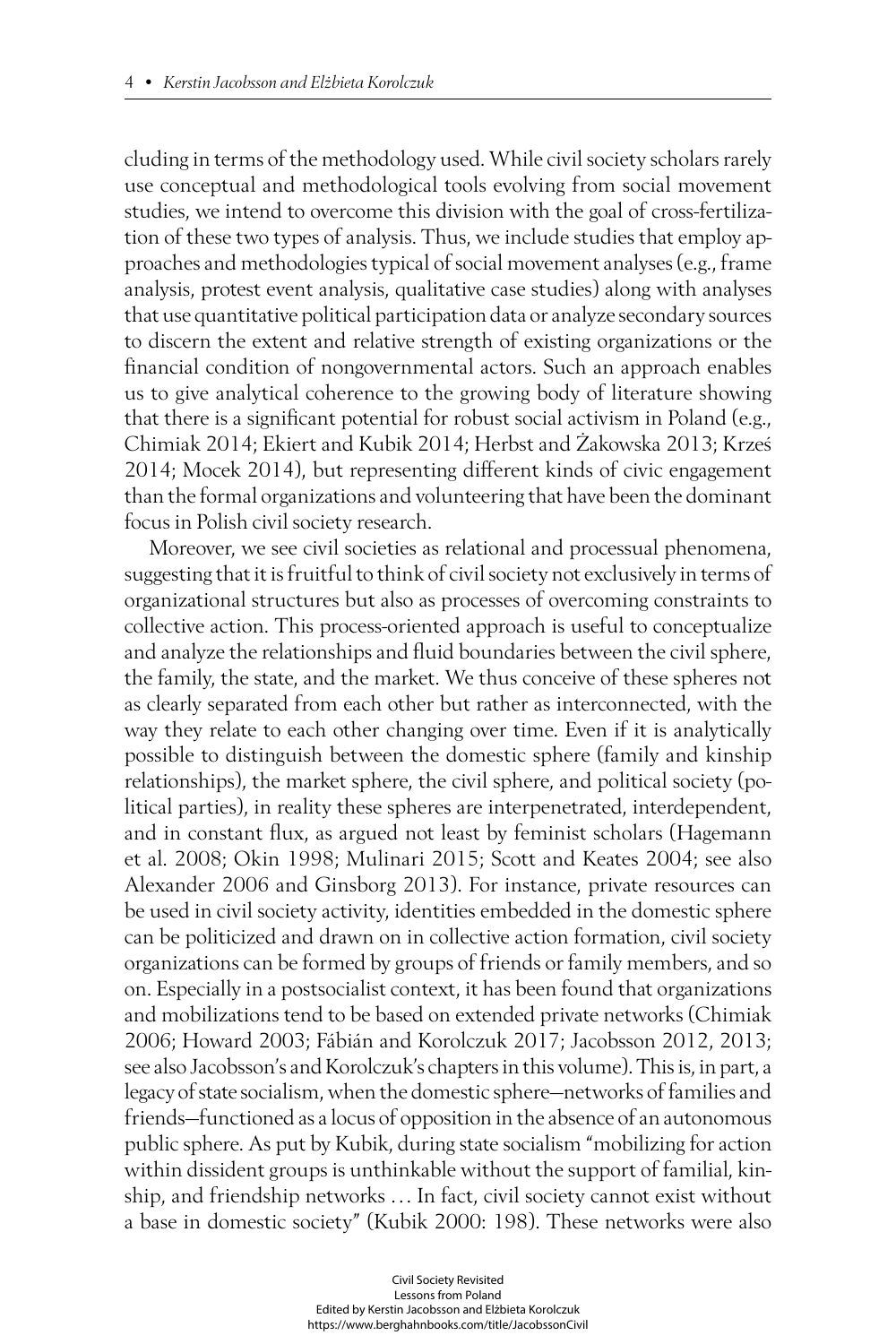cluding in terms of the methodology used. While civil society scholars rarely use conceptual and methodological tools evolving from social movement studies, we intend to overcome this division with the goal of cross-fertilization of these two types of analysis. Thus, we include studies that employ approaches and methodologies typical of social movement analyses (e.g., frame analysis, protest event analysis, qualitative case studies) along with analyses that use quantitative political participation data or analyze secondary sources to discern the extent and relative strength of existing organizations or the financial condition of nongovernmental actors. Such an approach enables us to give analytical coherence to the growing body of literature showing that there is a significant potential for robust social activism in Poland (e.g., Chimiak 2014; Ekiert and Kubik 2014; Herbst and Żakowska 2013; Krześ 2014; Mocek 2014), but representing different kinds of civic engagement than the formal organizations and volunteering that have been the dominant focus in Polish civil society research.

Moreover, we see civil societies as relational and processual phenomena, suggesting that it is fruitful to think of civil society not exclusively in terms of organizational structures but also as processes of overcoming constraints to collective action. This process-oriented approach is useful to conceptualize and analyze the relationships and fluid boundaries between the civil sphere, the family, the state, and the market. We thus conceive of these spheres not as clearly separated from each other but rather as interconnected, with the way they relate to each other changing over time. Even if it is analytically possible to distinguish between the domestic sphere (family and kinship relationships), the market sphere, the civil sphere, and political society (political parties), in reality these spheres are interpenetrated, interdependent, and in constant flux, as argued not least by feminist scholars (Hagemann et al. 2008; Okin 1998; Mulinari 2015; Scott and Keates 2004; see also Alexander 2006 and Ginsborg 2013). For instance, private resources can be used in civil society activity, identities embedded in the domestic sphere can be politicized and drawn on in collective action formation, civil society organizations can be formed by groups of friends or family members, and so on. Especially in a postsocialist context, it has been found that organizations and mobilizations tend to be based on extended private networks (Chimiak 2006; Howard 2003; Fábián and Korolczuk 2017; Jacobsson 2012, 2013; see also Jacobsson's and Korolczuk's chapters in this volume). This is, in part, a legacy of state socialism, when the domestic sphere—networks of families and friends—functioned as a locus of opposition in the absence of an autonomous public sphere. As put by Kubik, during state socialism "mobilizing for action within dissident groups is unthinkable without the support of familial, kinship, and friendship networks ... In fact, civil society cannot exist without a base in domestic society" (Kubik 2000: 198). These networks were also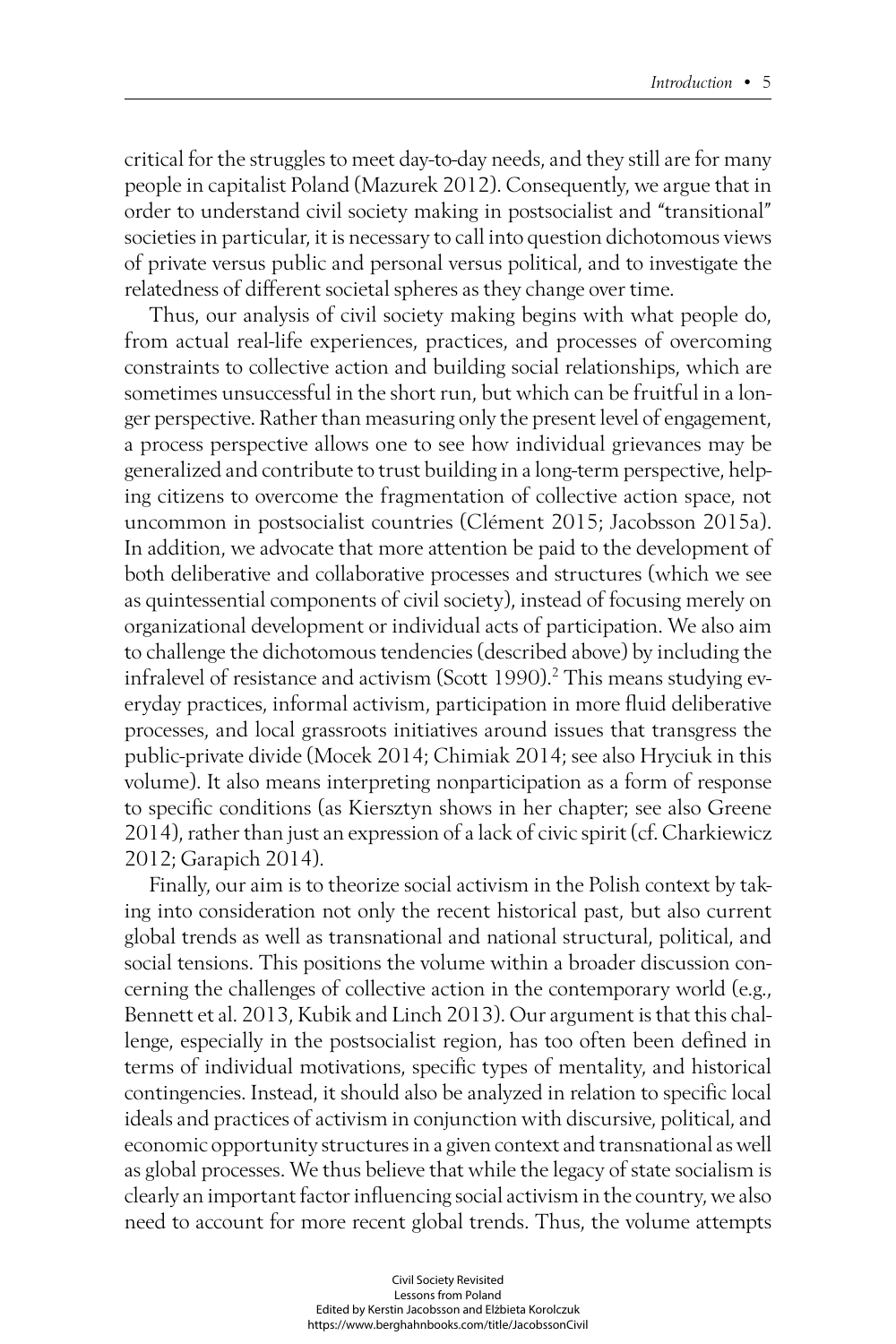critical for the struggles to meet day-to-day needs, and they still are for many people in capitalist Poland (Mazurek 2012). Consequently, we argue that in order to understand civil society making in postsocialist and "transitional" societies in particular, it is necessary to call into question dichotomous views of private versus public and personal versus political, and to investigate the relatedness of different societal spheres as they change over time.

Thus, our analysis of civil society making begins with what people do, from actual real-life experiences, practices, and processes of overcoming constraints to collective action and building social relationships, which are sometimes unsuccessful in the short run, but which can be fruitful in a longer perspective. Rather than measuring only the present level of engagement, a process perspective allows one to see how individual grievances may be generalized and contribute to trust building in a long-term perspective, helping citizens to overcome the fragmentation of collective action space, not uncommon in postsocialist countries (Clément 2015; Jacobsson 2015a). In addition, we advocate that more attention be paid to the development of both deliberative and collaborative processes and structures (which we see as quintessential components of civil society), instead of focusing merely on organizational development or individual acts of participation. We also aim to challenge the dichotomous tendencies (described above) by including the infralevel of resistance and activism (Scott 1990).2 This means studying everyday practices, informal activism, participation in more fluid deliberative processes, and local grassroots initiatives around issues that transgress the public-private divide (Mocek 2014; Chimiak 2014; see also Hryciuk in this volume). It also means interpreting nonparticipation as a form of response to specific conditions (as Kiersztyn shows in her chapter; see also Greene 2014), rather than just an expression of a lack of civic spirit (cf. Charkiewicz 2012; Garapich 2014).

Finally, our aim is to theorize social activism in the Polish context by taking into consideration not only the recent historical past, but also current global trends as well as transnational and national structural, political, and social tensions. This positions the volume within a broader discussion concerning the challenges of collective action in the contemporary world (e.g., Bennett et al. 2013, Kubik and Linch 2013). Our argument is that this challenge, especially in the postsocialist region, has too often been defined in terms of individual motivations, specific types of mentality, and historical contingencies. Instead, it should also be analyzed in relation to specific local ideals and practices of activism in conjunction with discursive, political, and economic opportunity structures in a given context and transnational as well as global processes. We thus believe that while the legacy of state socialism is clearly an important factor influencing social activism in the country, we also need to account for more recent global trends. Thus, the volume attempts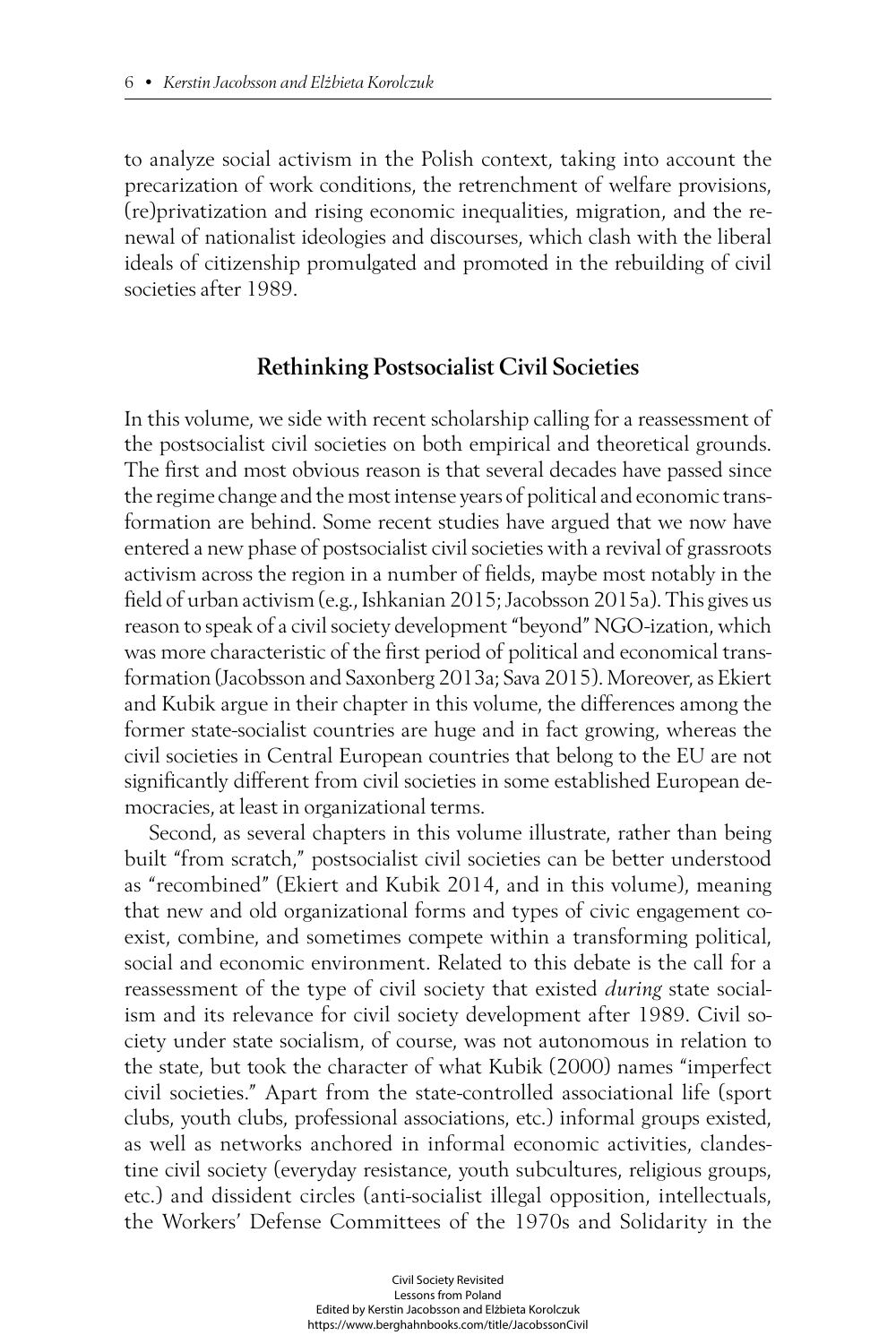to analyze social activism in the Polish context, taking into account the precarization of work conditions, the retrenchment of welfare provisions, (re)privatization and rising economic inequalities, migration, and the renewal of nationalist ideologies and discourses, which clash with the liberal ideals of citizenship promulgated and promoted in the rebuilding of civil societies after 1989.

#### Rethinking Postsocialist Civil Societies

In this volume, we side with recent scholarship calling for a reassessment of the postsocialist civil societies on both empirical and theoretical grounds. The first and most obvious reason is that several decades have passed since the regime change and the most intense years of political and economic transformation are behind. Some recent studies have argued that we now have entered a new phase of postsocialist civil societies with a revival of grassroots activism across the region in a number of fields, maybe most notably in the field of urban activism (e.g., Ishkanian 2015; Jacobsson 2015a). This gives us reason to speak of a civil society development "beyond" NGO-ization, which was more characteristic of the first period of political and economical transformation (Jacobsson and Saxonberg 2013a; Sava 2015). Moreover, as Ekiert and Kubik argue in their chapter in this volume, the differences among the former state-socialist countries are huge and in fact growing, whereas the civil societies in Central European countries that belong to the EU are not significantly different from civil societies in some established European democracies, at least in organizational terms.

Second, as several chapters in this volume illustrate, rather than being built "from scratch," postsocialist civil societies can be better understood as "recombined" (Ekiert and Kubik 2014, and in this volume), meaning that new and old organizational forms and types of civic engagement coexist, combine, and sometimes compete within a transforming political, social and economic environment. Related to this debate is the call for a reassessment of the type of civil society that existed *during* state socialism and its relevance for civil society development after 1989. Civil society under state socialism, of course, was not autonomous in relation to the state, but took the character of what Kubik (2000) names "imperfect civil societies." Apart from the state-controlled associational life (sport clubs, youth clubs, professional associations, etc.) informal groups existed, as well as networks anchored in informal economic activities, clandestine civil society (everyday resistance, youth subcultures, religious groups, etc.) and dissident circles (anti-socialist illegal opposition, intellectuals, the Workers' Defense Committees of the 1970s and Solidarity in the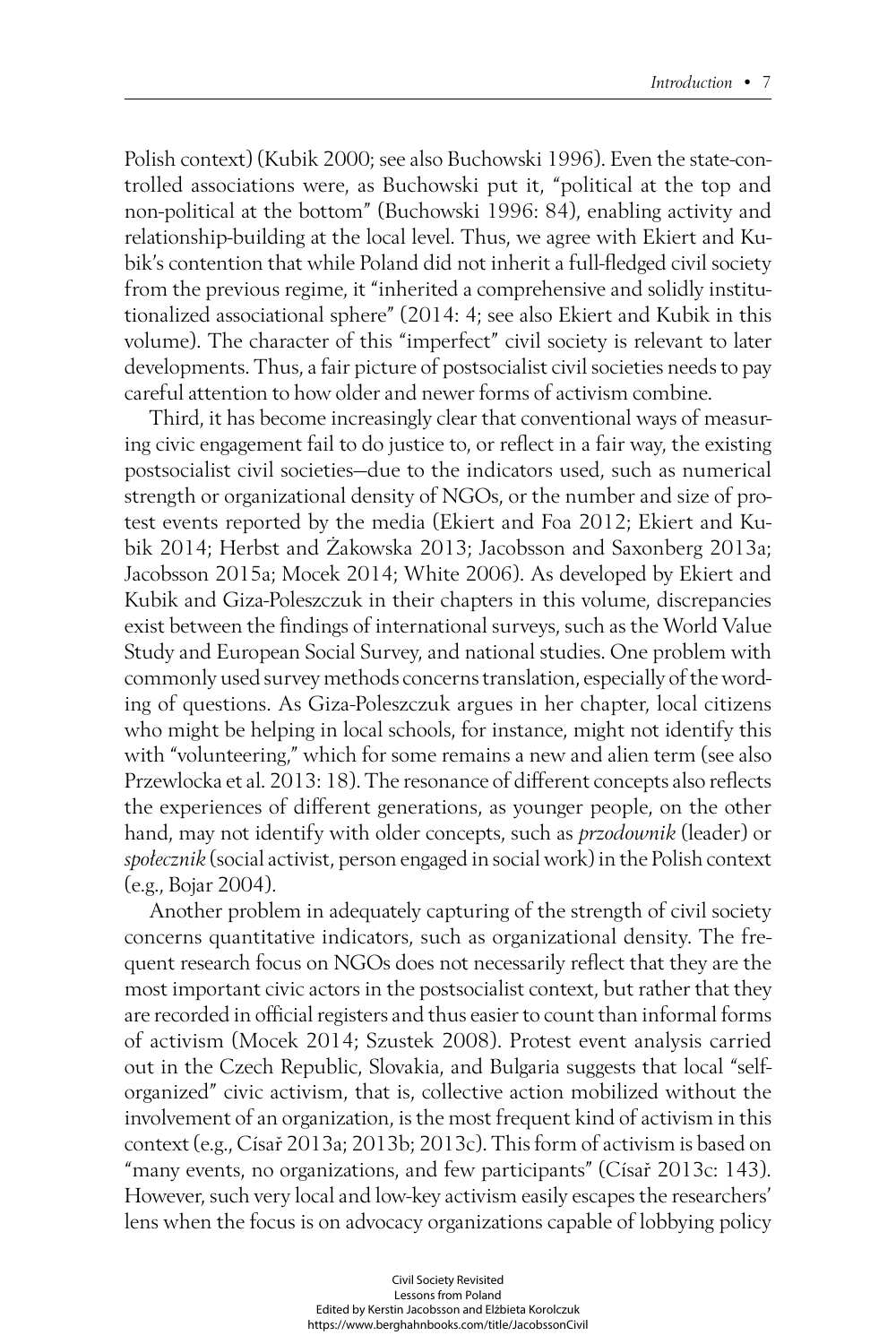Polish context) (Kubik 2000; see also Buchowski 1996). Even the state-controlled associations were, as Buchowski put it, "political at the top and non-political at the bottom" (Buchowski 1996: 84), enabling activity and relationship-building at the local level. Thus, we agree with Ekiert and Kubik's contention that while Poland did not inherit a full-fledged civil society from the previous regime, it "inherited a comprehensive and solidly institutionalized associational sphere" (2014: 4; see also Ekiert and Kubik in this volume). The character of this "imperfect" civil society is relevant to later developments. Thus, a fair picture of postsocialist civil societies needs to pay careful attention to how older and newer forms of activism combine.

Third, it has become increasingly clear that conventional ways of measuring civic engagement fail to do justice to, or reflect in a fair way, the existing postsocialist civil societies—due to the indicators used, such as numerical strength or organizational density of NGOs, or the number and size of protest events reported by the media (Ekiert and Foa 2012; Ekiert and Kubik 2014; Herbst and Żakowska 2013; Jacobsson and Saxonberg 2013a; Jacobsson 2015a; Mocek 2014; White 2006). As developed by Ekiert and Kubik and Giza-Poleszczuk in their chapters in this volume, discrepancies exist between the findings of international surveys, such as the World Value Study and European Social Survey, and national studies. One problem with commonly used survey methods concerns translation, especially of the wording of questions. As Giza-Poleszczuk argues in her chapter, local citizens who might be helping in local schools, for instance, might not identify this with "volunteering," which for some remains a new and alien term (see also Przewlocka et al. 2013: 18). The resonance of different concepts also reflects the experiences of different generations, as younger people, on the other hand, may not identify with older concepts, such as *przodownik* (leader) or *spo*ł*ecznik* (social activist, person engaged in social work) in the Polish context (e.g., Bojar 2004).

Another problem in adequately capturing of the strength of civil society concerns quantitative indicators, such as organizational density. The frequent research focus on NGOs does not necessarily reflect that they are the most important civic actors in the postsocialist context, but rather that they are recorded in official registers and thus easier to count than informal forms of activism (Mocek 2014; Szustek 2008). Protest event analysis carried out in the Czech Republic, Slovakia, and Bulgaria suggests that local "selforganized" civic activism, that is, collective action mobilized without the involvement of an organization, is the most frequent kind of activism in this context (e.g., Císař 2013a; 2013b; 2013c). This form of activism is based on "many events, no organizations, and few participants" (Císař 2013c: 143). However, such very local and low-key activism easily escapes the researchers' lens when the focus is on advocacy organizations capable of lobbying policy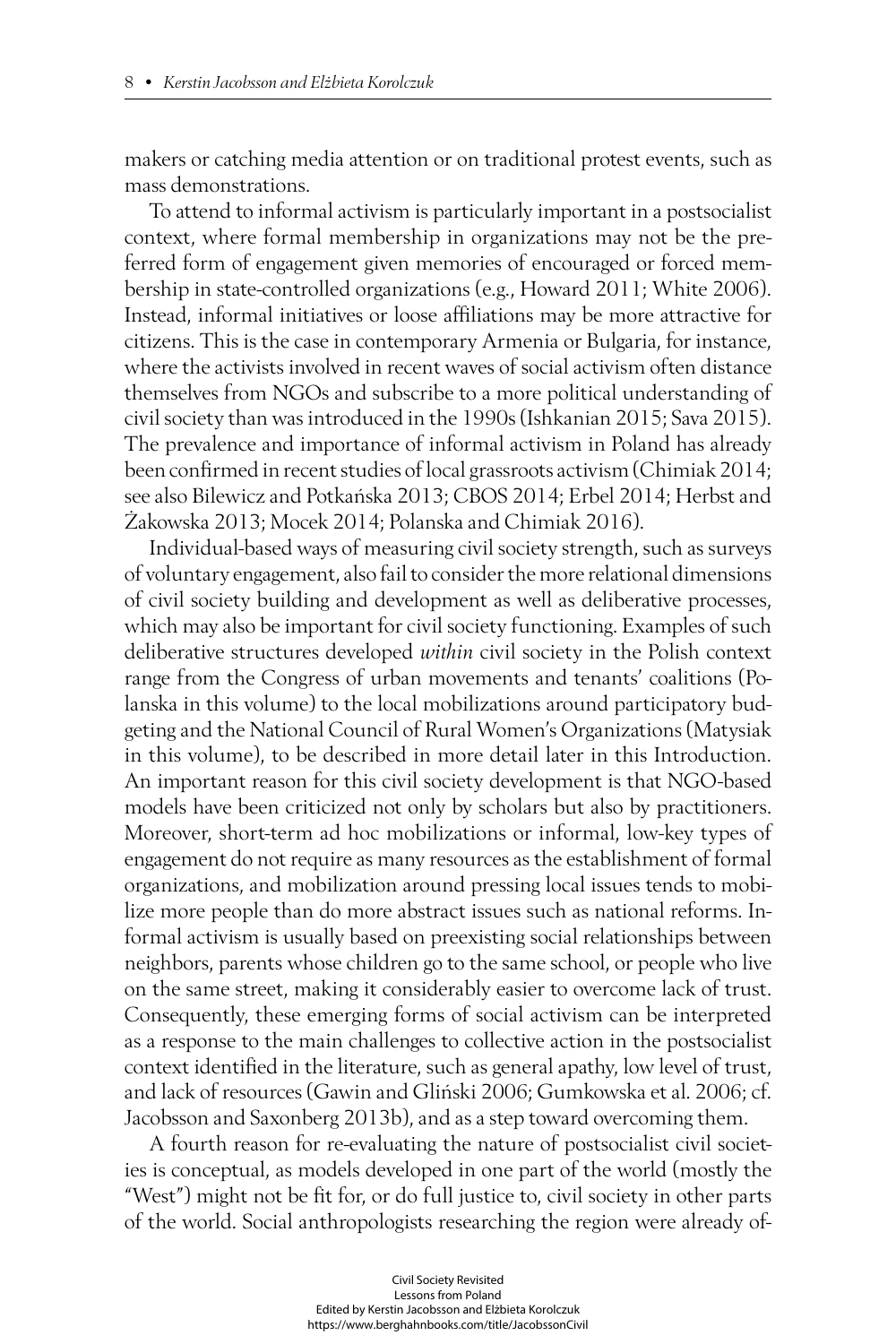makers or catching media attention or on traditional protest events, such as mass demonstrations.

To attend to informal activism is particularly important in a postsocialist context, where formal membership in organizations may not be the preferred form of engagement given memories of encouraged or forced membership in state-controlled organizations (e.g., Howard 2011; White 2006). Instead, informal initiatives or loose affiliations may be more attractive for citizens. This is the case in contemporary Armenia or Bulgaria, for instance, where the activists involved in recent waves of social activism often distance themselves from NGOs and subscribe to a more political understanding of civil society than was introduced in the 1990s (Ishkanian 2015; Sava 2015). The prevalence and importance of informal activism in Poland has already been confirmed in recent studies of local grassroots activism (Chimiak 2014; see also Bilewicz and Potkańska 2013; CBOS 2014; Erbel 2014; Herbst and Żakowska 2013; Mocek 2014; Polanska and Chimiak 2016).

Individual-based ways of measuring civil society strength, such as surveys of voluntary engagement, also fail to consider the more relational dimensions of civil society building and development as well as deliberative processes, which may also be important for civil society functioning. Examples of such deliberative structures developed *within* civil society in the Polish context range from the Congress of urban movements and tenants' coalitions (Polanska in this volume) to the local mobilizations around participatory budgeting and the National Council of Rural Women's Organizations (Matysiak in this volume), to be described in more detail later in this Introduction. An important reason for this civil society development is that NGO-based models have been criticized not only by scholars but also by practitioners. Moreover, short-term ad hoc mobilizations or informal, low-key types of engagement do not require as many resources as the establishment of formal organizations, and mobilization around pressing local issues tends to mobilize more people than do more abstract issues such as national reforms. Informal activism is usually based on preexisting social relationships between neighbors, parents whose children go to the same school, or people who live on the same street, making it considerably easier to overcome lack of trust. Consequently, these emerging forms of social activism can be interpreted as a response to the main challenges to collective action in the postsocialist context identified in the literature, such as general apathy, low level of trust, and lack of resources (Gawin and Gliński 2006; Gumkowska et al. 2006; cf. Jacobsson and Saxonberg 2013b), and as a step toward overcoming them.

A fourth reason for re-evaluating the nature of postsocialist civil societies is conceptual, as models developed in one part of the world (mostly the "West") might not be fit for, or do full justice to, civil society in other parts of the world. Social anthropologists researching the region were already of-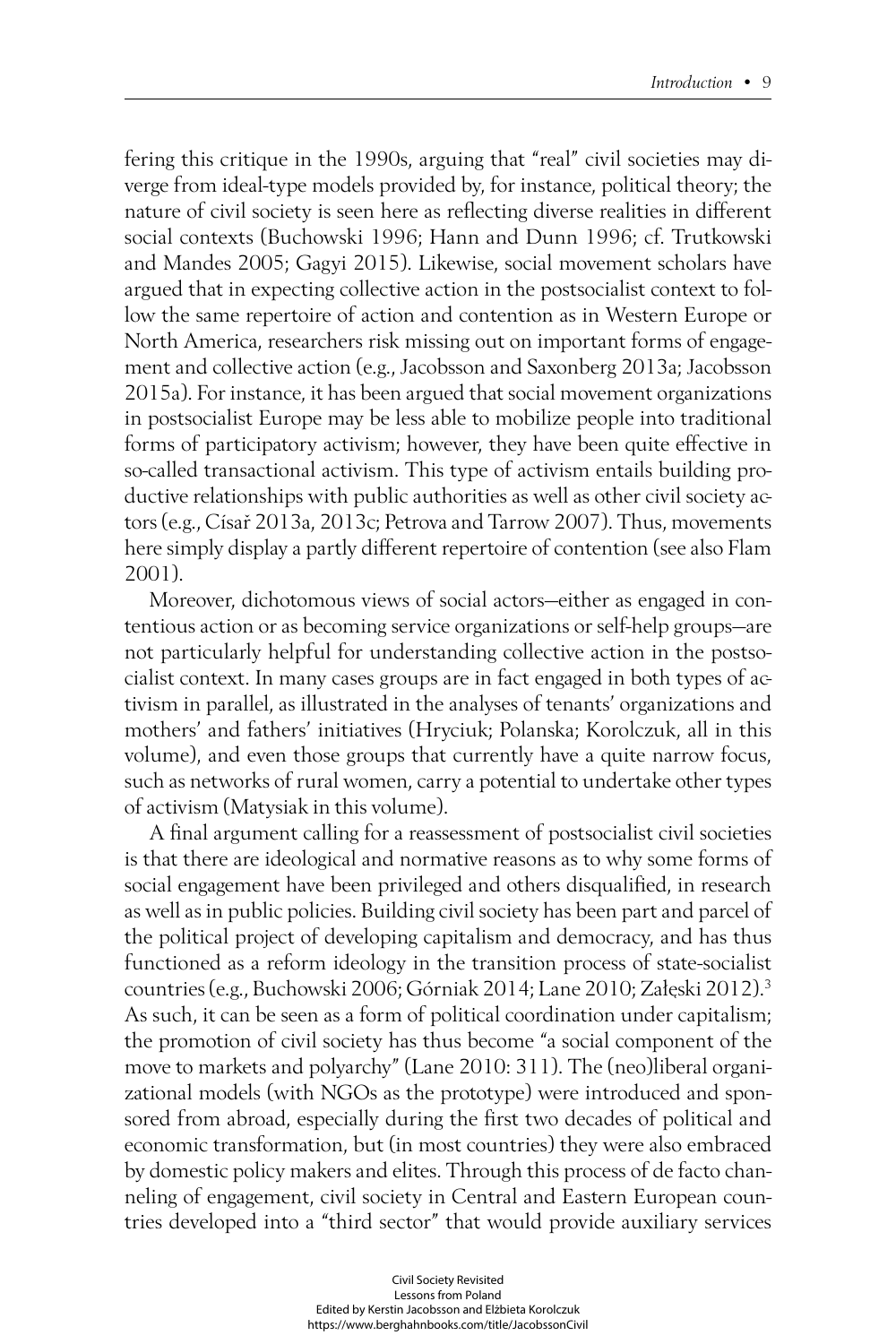fering this critique in the 1990s, arguing that "real" civil societies may diverge from ideal-type models provided by, for instance, political theory; the nature of civil society is seen here as reflecting diverse realities in different social contexts (Buchowski 1996; Hann and Dunn 1996; cf. Trutkowski and Mandes 2005; Gagyi 2015). Likewise, social movement scholars have argued that in expecting collective action in the postsocialist context to follow the same repertoire of action and contention as in Western Europe or North America, researchers risk missing out on important forms of engagement and collective action (e.g., Jacobsson and Saxonberg 2013a; Jacobsson 2015a). For instance, it has been argued that social movement organizations in postsocialist Europe may be less able to mobilize people into traditional forms of participatory activism; however, they have been quite effective in so-called transactional activism. This type of activism entails building productive relationships with public authorities as well as other civil society actors (e.g., Císař 2013a, 2013c; Petrova and Tarrow 2007). Thus, movements here simply display a partly different repertoire of contention (see also Flam 2001).

Moreover, dichotomous views of social actors—either as engaged in contentious action or as becoming service organizations or self-help groups—are not particularly helpful for understanding collective action in the postsocialist context. In many cases groups are in fact engaged in both types of activism in parallel, as illustrated in the analyses of tenants' organizations and mothers' and fathers' initiatives (Hryciuk; Polanska; Korolczuk, all in this volume), and even those groups that currently have a quite narrow focus, such as networks of rural women, carry a potential to undertake other types of activism (Matysiak in this volume).

A final argument calling for a reassessment of postsocialist civil societies is that there are ideological and normative reasons as to why some forms of social engagement have been privileged and others disqualified, in research as well as in public policies. Building civil society has been part and parcel of the political project of developing capitalism and democracy, and has thus functioned as a reform ideology in the transition process of state-socialist countries (e.g., Buchowski 2006; Górniak 2014; Lane 2010; Załęski 2012).3 As such, it can be seen as a form of political coordination under capitalism; the promotion of civil society has thus become "a social component of the move to markets and polyarchy" (Lane 2010: 311). The (neo)liberal organizational models (with NGOs as the prototype) were introduced and sponsored from abroad, especially during the first two decades of political and economic transformation, but (in most countries) they were also embraced by domestic policy makers and elites. Through this process of de facto channeling of engagement, civil society in Central and Eastern European countries developed into a "third sector" that would provide auxiliary services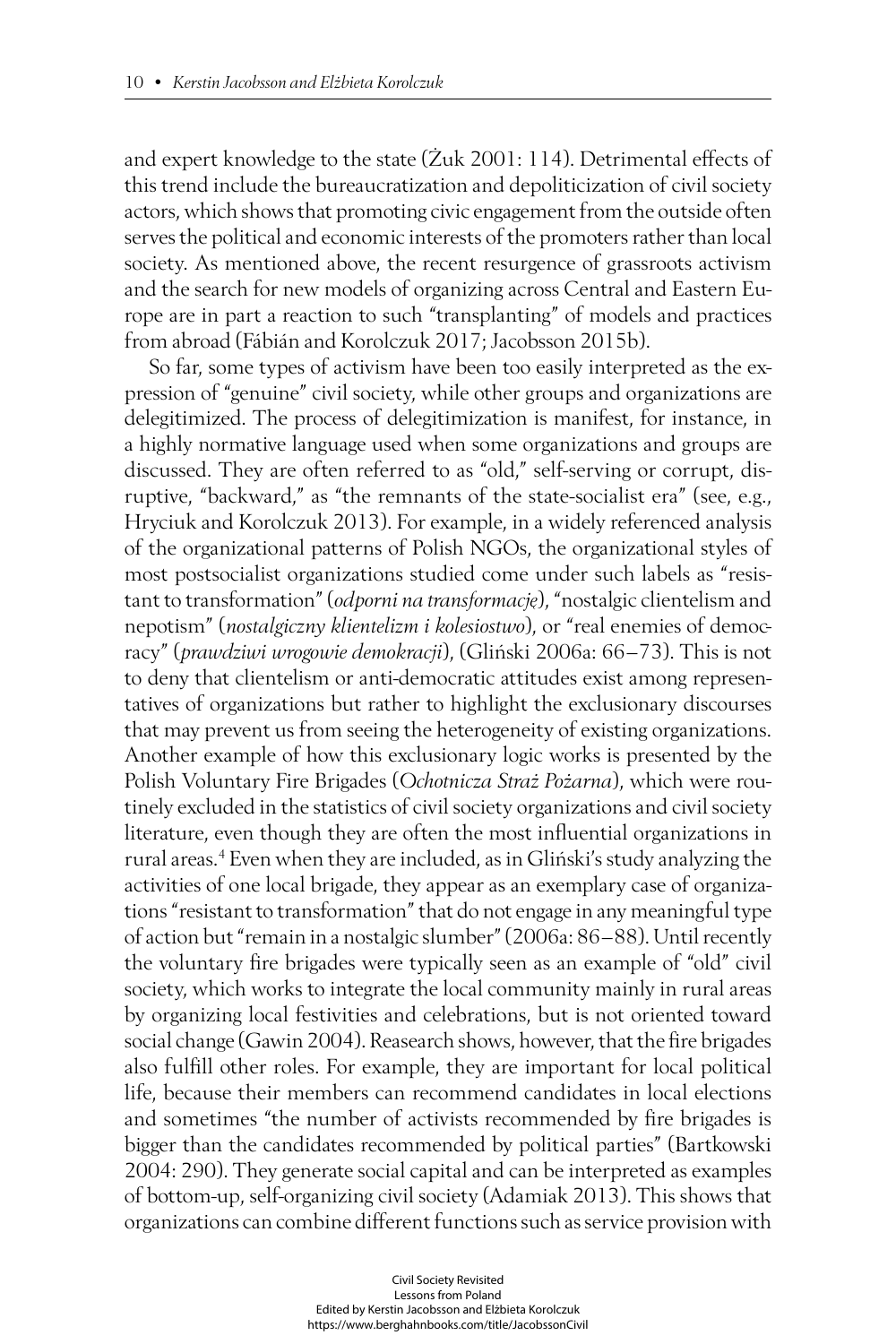and expert knowledge to the state ( $\text{Zuk } 2001: 114$ ). Detrimental effects of this trend include the bureaucratization and depoliticization of civil society actors, which shows that promoting civic engagement from the outside often serves the political and economic interests of the promoters rather than local society. As mentioned above, the recent resurgence of grassroots activism and the search for new models of organizing across Central and Eastern Europe are in part a reaction to such "transplanting" of models and practices from abroad (Fábián and Korolczuk 2017; Jacobsson 2015b).

So far, some types of activism have been too easily interpreted as the expression of "genuine" civil society, while other groups and organizations are delegitimized. The process of delegitimization is manifest, for instance, in a highly normative language used when some organizations and groups are discussed. They are often referred to as "old," self-serving or corrupt, disruptive, "backward," as "the remnants of the state-socialist era" (see, e.g., Hryciuk and Korolczuk 2013). For example, in a widely referenced analysis of the organizational patterns of Polish NGOs, the organizational styles of most postsocialist organizations studied come under such labels as "resistant to transformation" (*odporni na transformacj*ę), "nostalgic clientelism and nepotism" (*nostalgiczny klientelizm i kolesiostwo*), or "real enemies of democracy" (*prawdziwi wrogowie demokracji*), (Gliński 2006a: 66–73). This is not to deny that clientelism or anti-democratic attitudes exist among representatives of organizations but rather to highlight the exclusionary discourses that may prevent us from seeing the heterogeneity of existing organizations. Another example of how this exclusionary logic works is presented by the Polish Voluntary Fire Brigades (*Ochotnicza Stra*ż *Po*ż*arna*), which were routinely excluded in the statistics of civil society organizations and civil society literature, even though they are often the most influential organizations in rural areas.4 Even when they are included, as in Gliński's study analyzing the activities of one local brigade, they appear as an exemplary case of organizations "resistant to transformation" that do not engage in any meaningful type of action but "remain in a nostalgic slumber" (2006a: 86–88). Until recently the voluntary fire brigades were typically seen as an example of "old" civil society, which works to integrate the local community mainly in rural areas by organizing local festivities and celebrations, but is not oriented toward social change (Gawin 2004). Reasearch shows, however, that the fire brigades also fulfill other roles. For example, they are important for local political life, because their members can recommend candidates in local elections and sometimes "the number of activists recommended by fire brigades is bigger than the candidates recommended by political parties" (Bartkowski 2004: 290). They generate social capital and can be interpreted as examples of bottom-up, self-organizing civil society (Adamiak 2013). This shows that organizations can combine different functions such as service provision with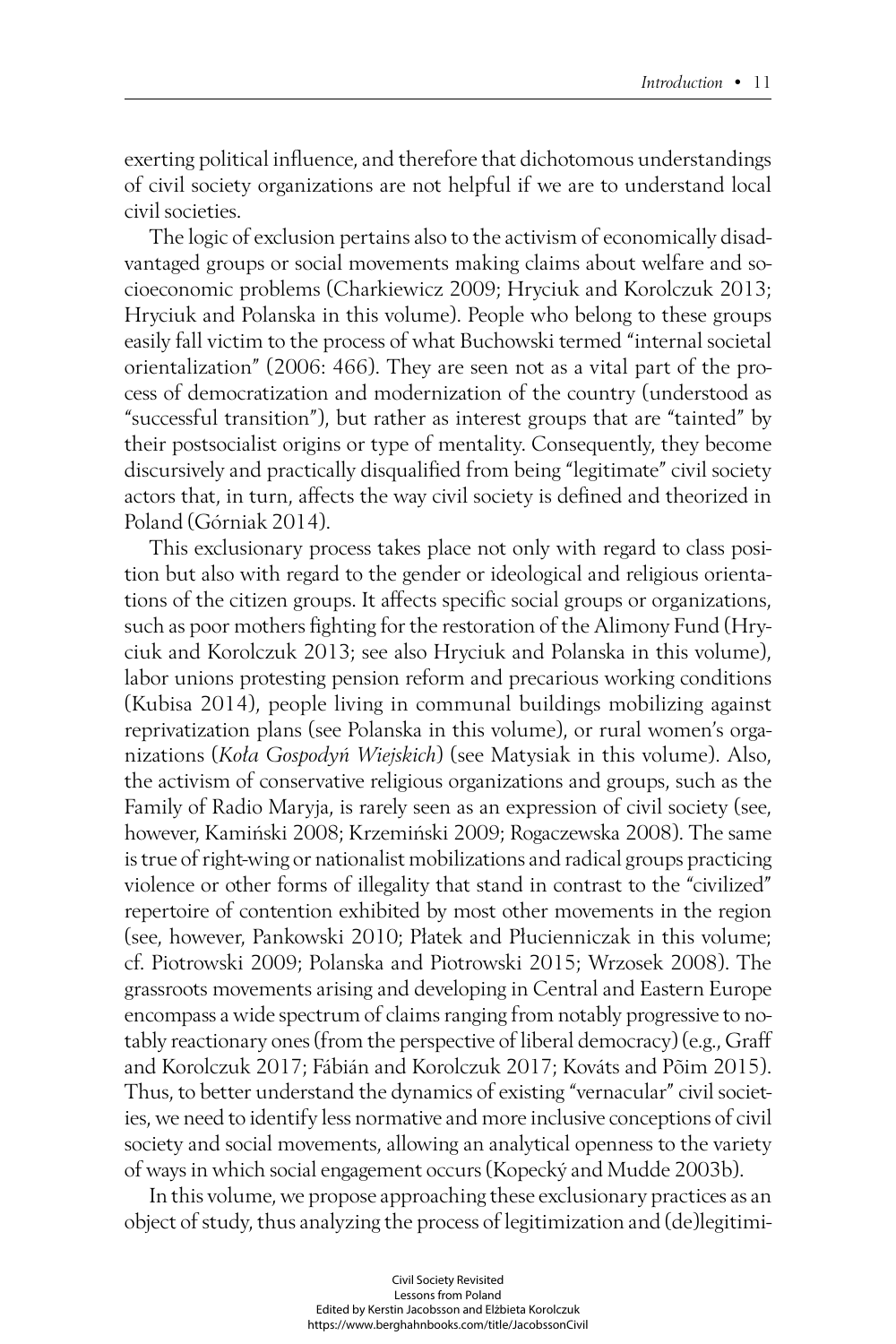exerting political influence, and therefore that dichotomous understandings of civil society organizations are not helpful if we are to understand local civil societies.

The logic of exclusion pertains also to the activism of economically disadvantaged groups or social movements making claims about welfare and socioeconomic problems (Charkiewicz 2009; Hryciuk and Korolczuk 2013; Hryciuk and Polanska in this volume). People who belong to these groups easily fall victim to the process of what Buchowski termed "internal societal orientalization" (2006: 466). They are seen not as a vital part of the process of democratization and modernization of the country (understood as "successful transition"), but rather as interest groups that are "tainted" by their postsocialist origins or type of mentality. Consequently, they become discursively and practically disqualified from being "legitimate" civil society actors that, in turn, affects the way civil society is defined and theorized in Poland (Górniak 2014).

This exclusionary process takes place not only with regard to class position but also with regard to the gender or ideological and religious orientations of the citizen groups. It affects specific social groups or organizations, such as poor mothers fighting for the restoration of the Alimony Fund (Hryciuk and Korolczuk 2013; see also Hryciuk and Polanska in this volume), labor unions protesting pension reform and precarious working conditions (Kubisa 2014), people living in communal buildings mobilizing against reprivatization plans (see Polanska in this volume), or rural women's organizations (*Ko*ł*a Gospody*ń *Wiejskich*) (see Matysiak in this volume). Also, the activism of conservative religious organizations and groups, such as the Family of Radio Maryja, is rarely seen as an expression of civil society (see, however, Kamiński 2008; Krzemiński 2009; Rogaczewska 2008). The same is true of right-wing or nationalist mobilizations and radical groups practicing violence or other forms of illegality that stand in contrast to the "civilized" repertoire of contention exhibited by most other movements in the region (see, however, Pankowski 2010; Płatek and Płucienniczak in this volume; cf. Piotrowski 2009; Polanska and Piotrowski 2015; Wrzosek 2008). The grassroots movements arising and developing in Central and Eastern Europe encompass a wide spectrum of claims ranging from notably progressive to notably reactionary ones (from the perspective of liberal democracy) (e.g., Graff and Korolczuk 2017; Fábián and Korolczuk 2017; Kováts and Põim 2015). Thus, to better understand the dynamics of existing "vernacular" civil societies, we need to identify less normative and more inclusive conceptions of civil society and social movements, allowing an analytical openness to the variety of ways in which social engagement occurs (Kopecký and Mudde 2003b).

In this volume, we propose approaching these exclusionary practices as an object of study, thus analyzing the process of legitimization and (de)legitimi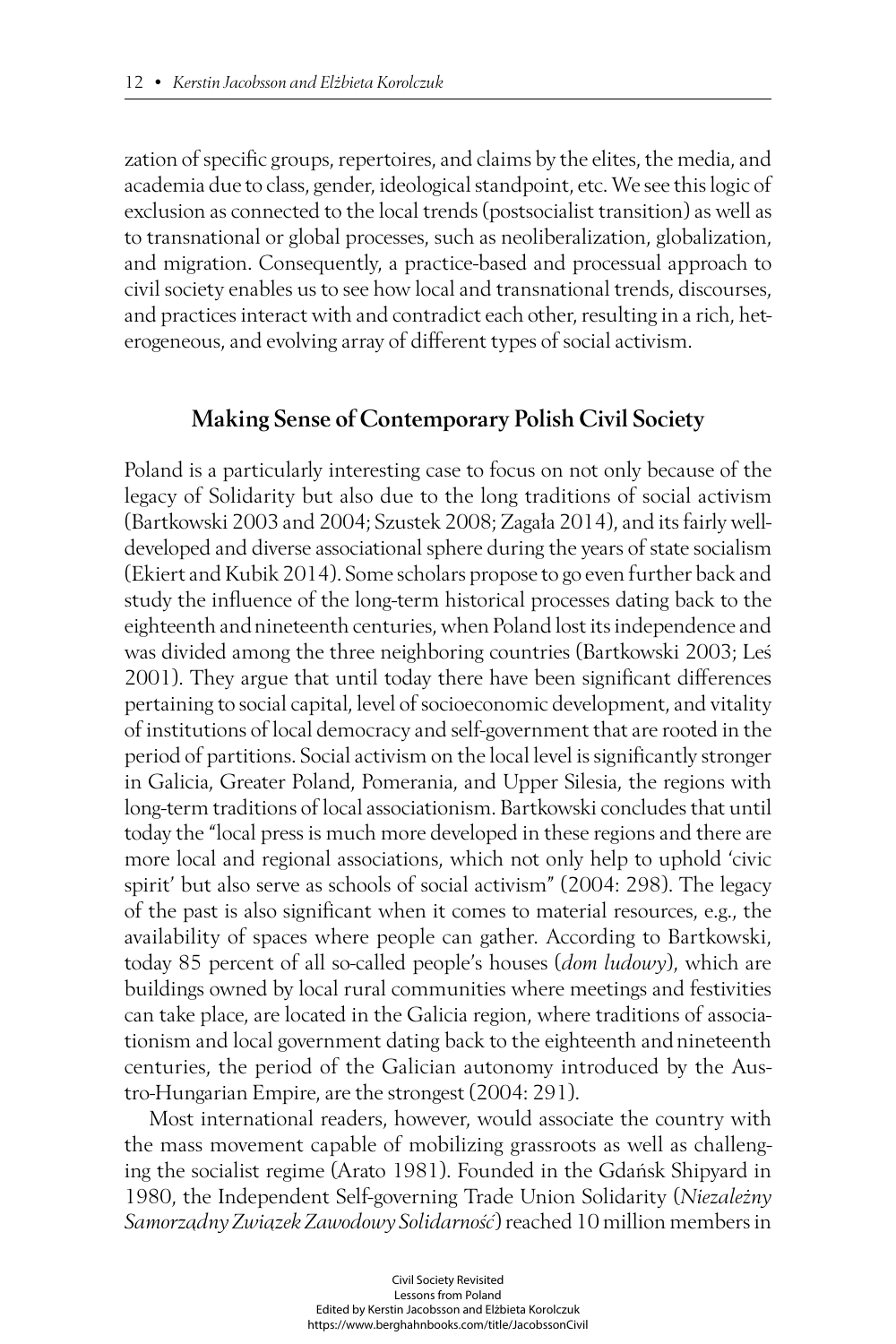zation of specific groups, repertoires, and claims by the elites, the media, and academia due to class, gender, ideological standpoint, etc. We see this logic of exclusion as connected to the local trends (postsocialist transition) as well as to transnational or global processes, such as neoliberalization, globalization, and migration. Consequently, a practice-based and processual approach to civil society enables us to see how local and transnational trends, discourses, and practices interact with and contradict each other, resulting in a rich, heterogeneous, and evolving array of different types of social activism.

# Making Sense of Contemporary Polish Civil Society

Poland is a particularly interesting case to focus on not only because of the legacy of Solidarity but also due to the long traditions of social activism (Bartkowski 2003 and 2004; Szustek 2008; Zagała 2014), and its fairly welldeveloped and diverse associational sphere during the years of state socialism (Ekiert and Kubik 2014). Some scholars propose to go even further back and study the influence of the long-term historical processes dating back to the eighteenth andnineteenth centuries, when Poland lost its independence and was divided among the three neighboring countries (Bartkowski 2003; Leś 2001). They argue that until today there have been significant differences pertaining to social capital, level of socioeconomic development, and vitality of institutions of local democracy and self-government that are rooted in the period of partitions. Social activism on the local level is significantly stronger in Galicia, Greater Poland, Pomerania, and Upper Silesia, the regions with long-term traditions of local associationism. Bartkowski concludes that until today the "local press is much more developed in these regions and there are more local and regional associations, which not only help to uphold 'civic spirit' but also serve as schools of social activism" (2004: 298). The legacy of the past is also significant when it comes to material resources, e.g., the availability of spaces where people can gather. According to Bartkowski, today 85 percent of all so-called people's houses (*dom ludowy*), which are buildings owned by local rural communities where meetings and festivities can take place, are located in the Galicia region, where traditions of associationism and local government dating back to the eighteenth and nineteenth centuries, the period of the Galician autonomy introduced by the Austro-Hungarian Empire, are the strongest (2004: 291).

Most international readers, however, would associate the country with the mass movement capable of mobilizing grassroots as well as challenging the socialist regime (Arato 1981). Founded in the Gdańsk Shipyard in 1980, the Independent Self-governing Trade Union Solidarity (*Niezale*ż*ny Samorz*ą*dny Zwi*ą*zek Zawodowy Solidarno*ść) reached 10 million members in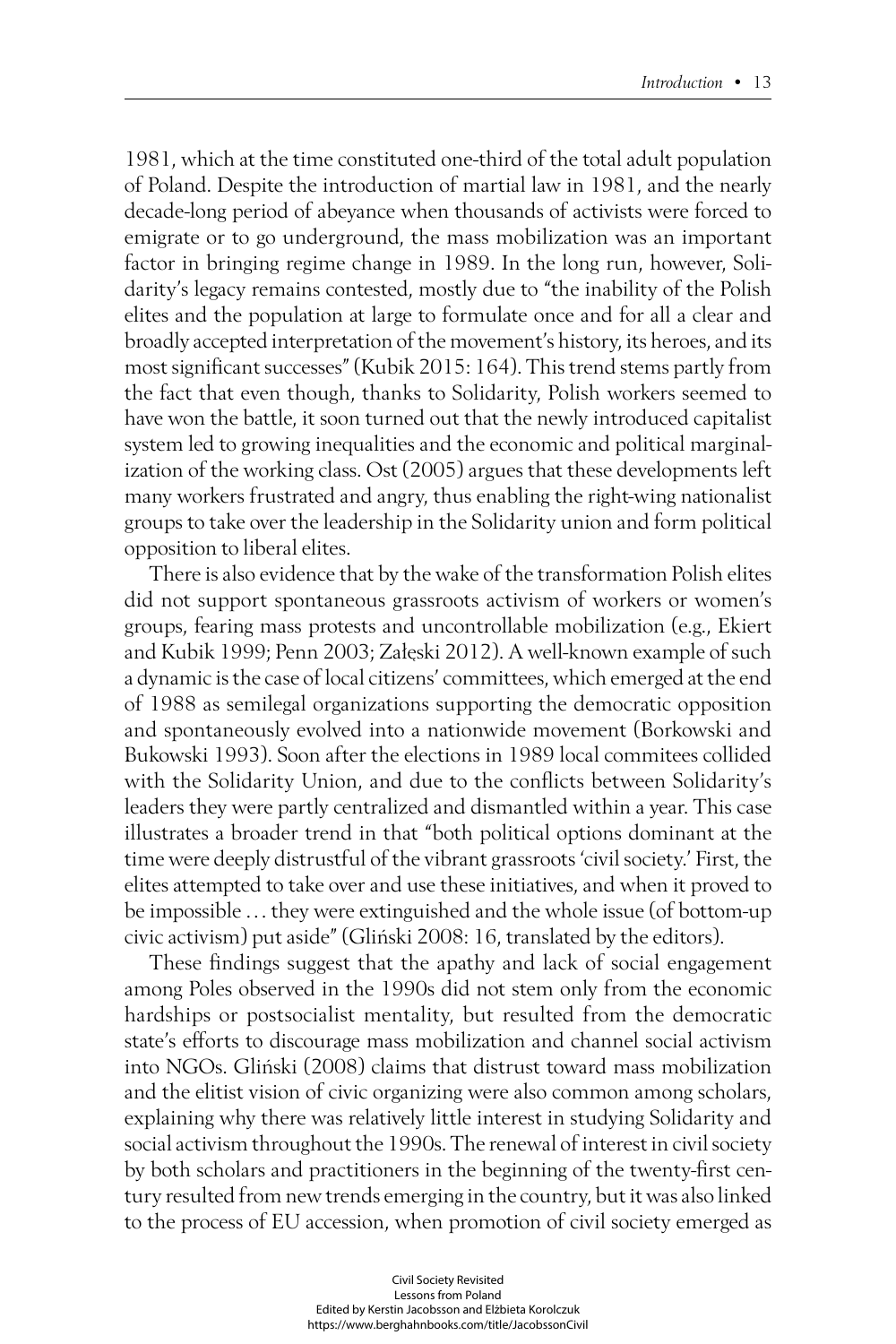1981, which at the time constituted one-third of the total adult population of Poland. Despite the introduction of martial law in 1981, and the nearly decade-long period of abeyance when thousands of activists were forced to emigrate or to go underground, the mass mobilization was an important factor in bringing regime change in 1989. In the long run, however, Solidarity's legacy remains contested, mostly due to "the inability of the Polish elites and the population at large to formulate once and for all a clear and broadly accepted interpretation of the movement's history, its heroes, and its most significant successes" (Kubik 2015: 164). This trend stems partly from the fact that even though, thanks to Solidarity, Polish workers seemed to have won the battle, it soon turned out that the newly introduced capitalist system led to growing inequalities and the economic and political marginalization of the working class. Ost (2005) argues that these developments left many workers frustrated and angry, thus enabling the right-wing nationalist groups to take over the leadership in the Solidarity union and form political opposition to liberal elites.

There is also evidence that by the wake of the transformation Polish elites did not support spontaneous grassroots activism of workers or women's groups, fearing mass protests and uncontrollable mobilization (e.g., Ekiert and Kubik 1999; Penn 2003; Załęski 2012). A well-known example of such a dynamic is the case of local citizens' committees, which emerged at the end of 1988 as semilegal organizations supporting the democratic opposition and spontaneously evolved into a nationwide movement (Borkowski and Bukowski 1993). Soon after the elections in 1989 local commitees collided with the Solidarity Union, and due to the conflicts between Solidarity's leaders they were partly centralized and dismantled within a year. This case illustrates a broader trend in that "both political options dominant at the time were deeply distrustful of the vibrant grassroots 'civil society.' First, the elites attempted to take over and use these initiatives, and when it proved to be impossible . . . they were extinguished and the whole issue (of bottom-up civic activism) put aside" (Gliński 2008: 16, translated by the editors).

These findings suggest that the apathy and lack of social engagement among Poles observed in the 1990s did not stem only from the economic hardships or postsocialist mentality, but resulted from the democratic state's efforts to discourage mass mobilization and channel social activism into NGOs. Gliński (2008) claims that distrust toward mass mobilization and the elitist vision of civic organizing were also common among scholars, explaining why there was relatively little interest in studying Solidarity and social activism throughout the 1990s. The renewal of interest in civil society by both scholars and practitioners in the beginning of the twenty-first century resulted from new trends emerging in the country, but it was also linked to the process of EU accession, when promotion of civil society emerged as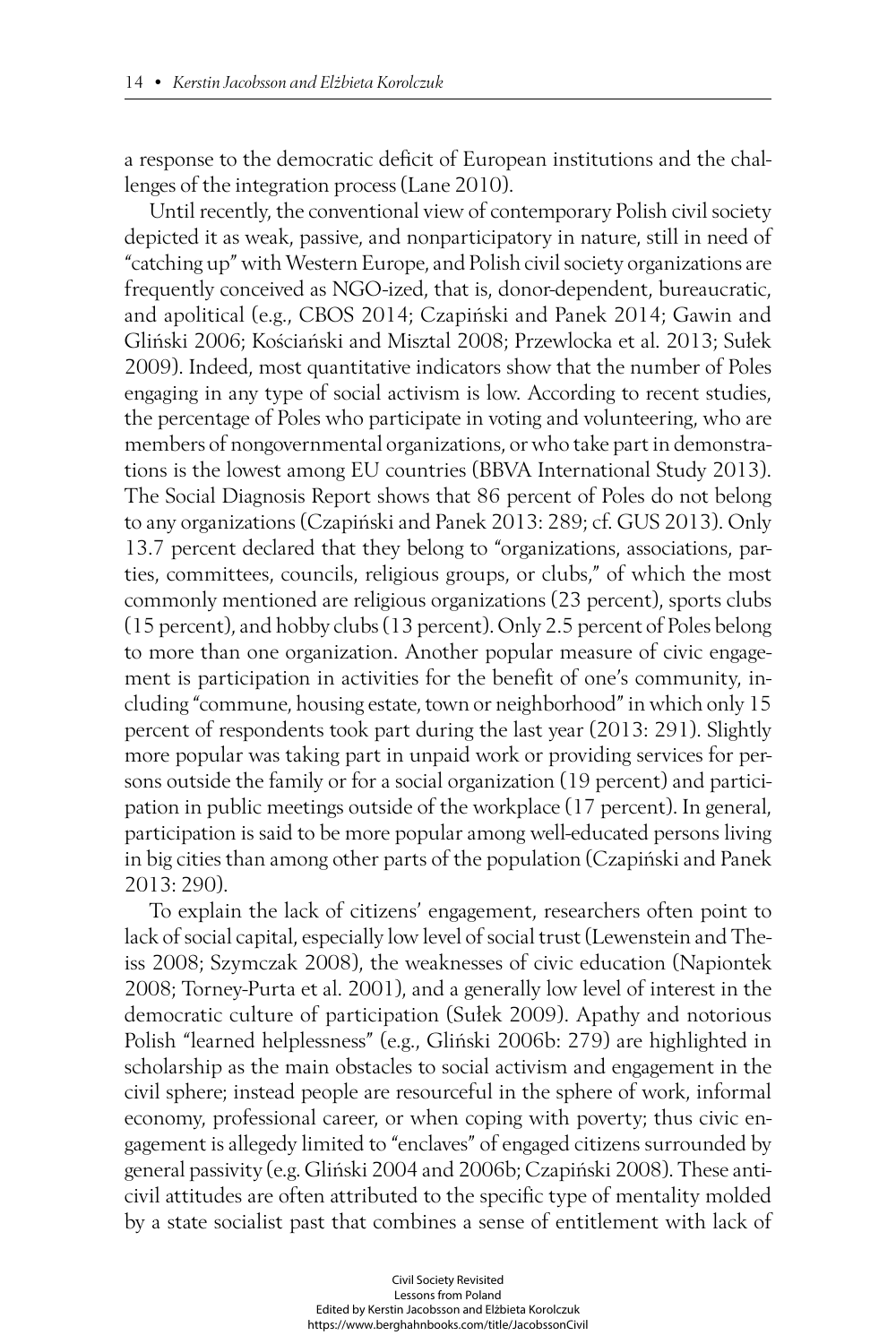a response to the democratic deficit of European institutions and the challenges of the integration process (Lane 2010).

Until recently, the conventional view of contemporary Polish civil society depicted it as weak, passive, and nonparticipatory in nature, still in need of "catching up" with Western Europe, and Polish civil society organizations are frequently conceived as NGO-ized, that is, donor-dependent, bureaucratic, and apolitical (e.g., CBOS 2014; Czapiński and Panek 2014; Gawin and Gliński 2006; Kościański and Misztal 2008; Przewlocka et al. 2013; Sułek 2009). Indeed, most quantitative indicators show that the number of Poles engaging in any type of social activism is low. According to recent studies, the percentage of Poles who participate in voting and volunteering, who are members of nongovernmental organizations, or who take part in demonstrations is the lowest among EU countries (BBVA International Study 2013). The Social Diagnosis Report shows that 86 percent of Poles do not belong to any organizations (Czapiński and Panek 2013: 289; cf. GUS 2013). Only 13.7 percent declared that they belong to "organizations, associations, parties, committees, councils, religious groups, or clubs," of which the most commonly mentioned are religious organizations (23 percent), sports clubs (15 percent), and hobby clubs (13 percent). Only 2.5 percent of Poles belong to more than one organization. Another popular measure of civic engagement is participation in activities for the benefit of one's community, including "commune, housing estate, town or neighborhood" in which only 15 percent of respondents took part during the last year (2013: 291). Slightly more popular was taking part in unpaid work or providing services for persons outside the family or for a social organization (19 percent) and participation in public meetings outside of the workplace (17 percent). In general, participation is said to be more popular among well-educated persons living in big cities than among other parts of the population (Czapiński and Panek 2013: 290).

To explain the lack of citizens' engagement, researchers often point to lack of social capital, especially low level of social trust (Lewenstein and Theiss 2008; Szymczak 2008), the weaknesses of civic education (Napiontek 2008; Torney-Purta et al. 2001), and a generally low level of interest in the democratic culture of participation (Sułek 2009). Apathy and notorious Polish "learned helplessness" (e.g., Gliński 2006b: 279) are highlighted in scholarship as the main obstacles to social activism and engagement in the civil sphere; instead people are resourceful in the sphere of work, informal economy, professional career, or when coping with poverty; thus civic engagement is allegedy limited to "enclaves" of engaged citizens surrounded by general passivity (e.g. Gliński 2004 and 2006b; Czapiński 2008). These anticivil attitudes are often attributed to the specific type of mentality molded by a state socialist past that combines a sense of entitlement with lack of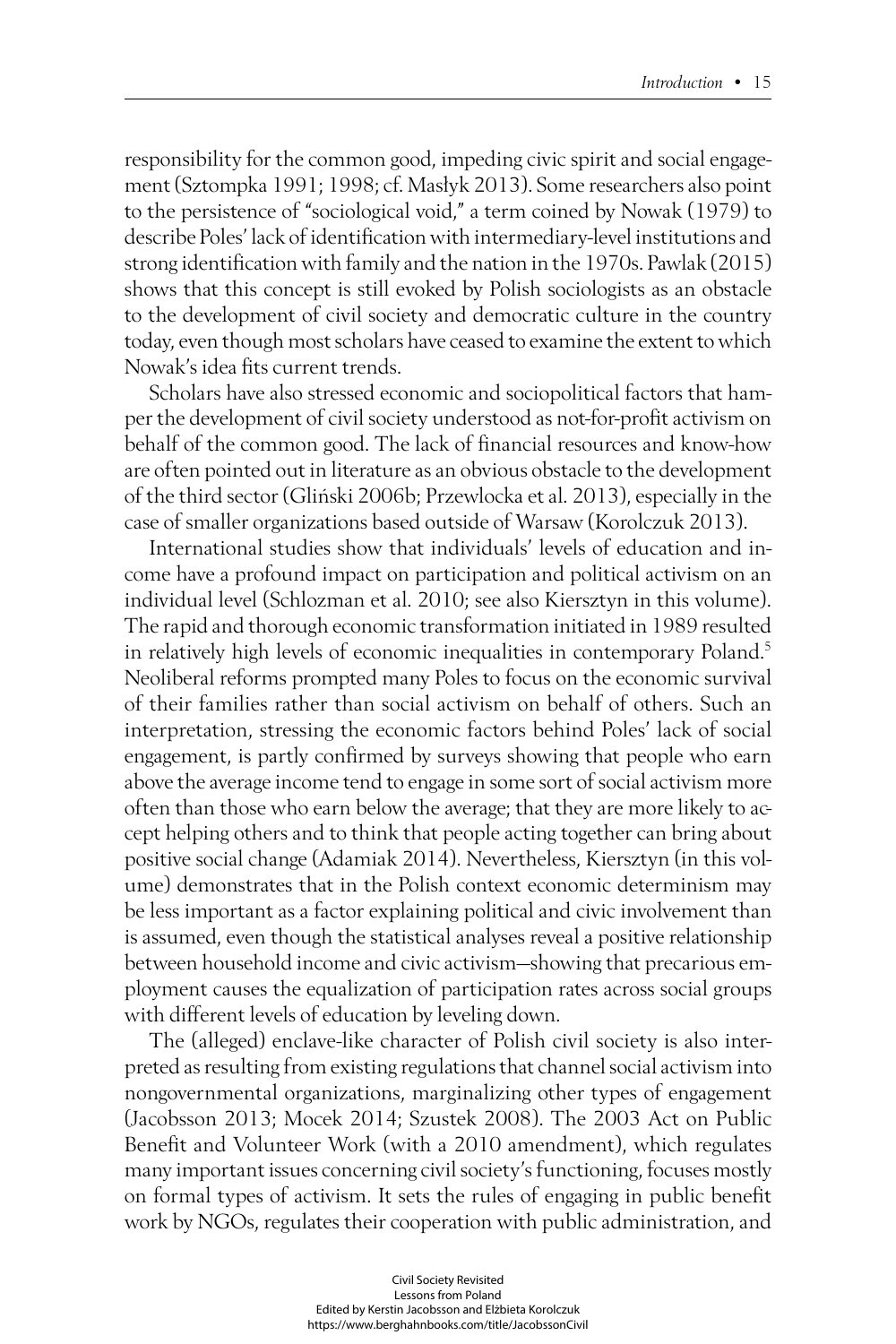responsibility for the common good, impeding civic spirit and social engagement (Sztompka 1991; 1998; cf. Masłyk 2013). Some researchers also point to the persistence of "sociological void," a term coined by Nowak (1979) to describe Poles' lack of identification with intermediary-level institutions and strong identification with family and the nation in the 1970s. Pawlak (2015) shows that this concept is still evoked by Polish sociologists as an obstacle to the development of civil society and democratic culture in the country today, even though most scholars have ceased to examine the extent to which Nowak's idea fits current trends.

Scholars have also stressed economic and sociopolitical factors that hamper the development of civil society understood as not-for-profit activism on behalf of the common good. The lack of financial resources and know-how are often pointed out in literature as an obvious obstacle to the development of the third sector (Gliński 2006b; Przewlocka et al. 2013), especially in the case of smaller organizations based outside of Warsaw (Korolczuk 2013).

International studies show that individuals' levels of education and income have a profound impact on participation and political activism on an individual level (Schlozman et al. 2010; see also Kiersztyn in this volume). The rapid and thorough economic transformation initiated in 1989 resulted in relatively high levels of economic inequalities in contemporary Poland.<sup>5</sup> Neoliberal reforms prompted many Poles to focus on the economic survival of their families rather than social activism on behalf of others. Such an interpretation, stressing the economic factors behind Poles' lack of social engagement, is partly confirmed by surveys showing that people who earn above the average income tend to engage in some sort of social activism more often than those who earn below the average; that they are more likely to accept helping others and to think that people acting together can bring about positive social change (Adamiak 2014). Nevertheless, Kiersztyn (in this volume) demonstrates that in the Polish context economic determinism may be less important as a factor explaining political and civic involvement than is assumed, even though the statistical analyses reveal a positive relationship between household income and civic activism—showing that precarious employment causes the equalization of participation rates across social groups with different levels of education by leveling down.

The (alleged) enclave-like character of Polish civil society is also interpreted as resulting from existing regulations that channel social activism into nongovernmental organizations, marginalizing other types of engagement (Jacobsson 2013; Mocek 2014; Szustek 2008). The 2003 Act on Public Benefit and Volunteer Work (with a 2010 amendment), which regulates many important issues concerning civil society's functioning, focuses mostly on formal types of activism. It sets the rules of engaging in public benefit work by NGOs, regulates their cooperation with public administration, and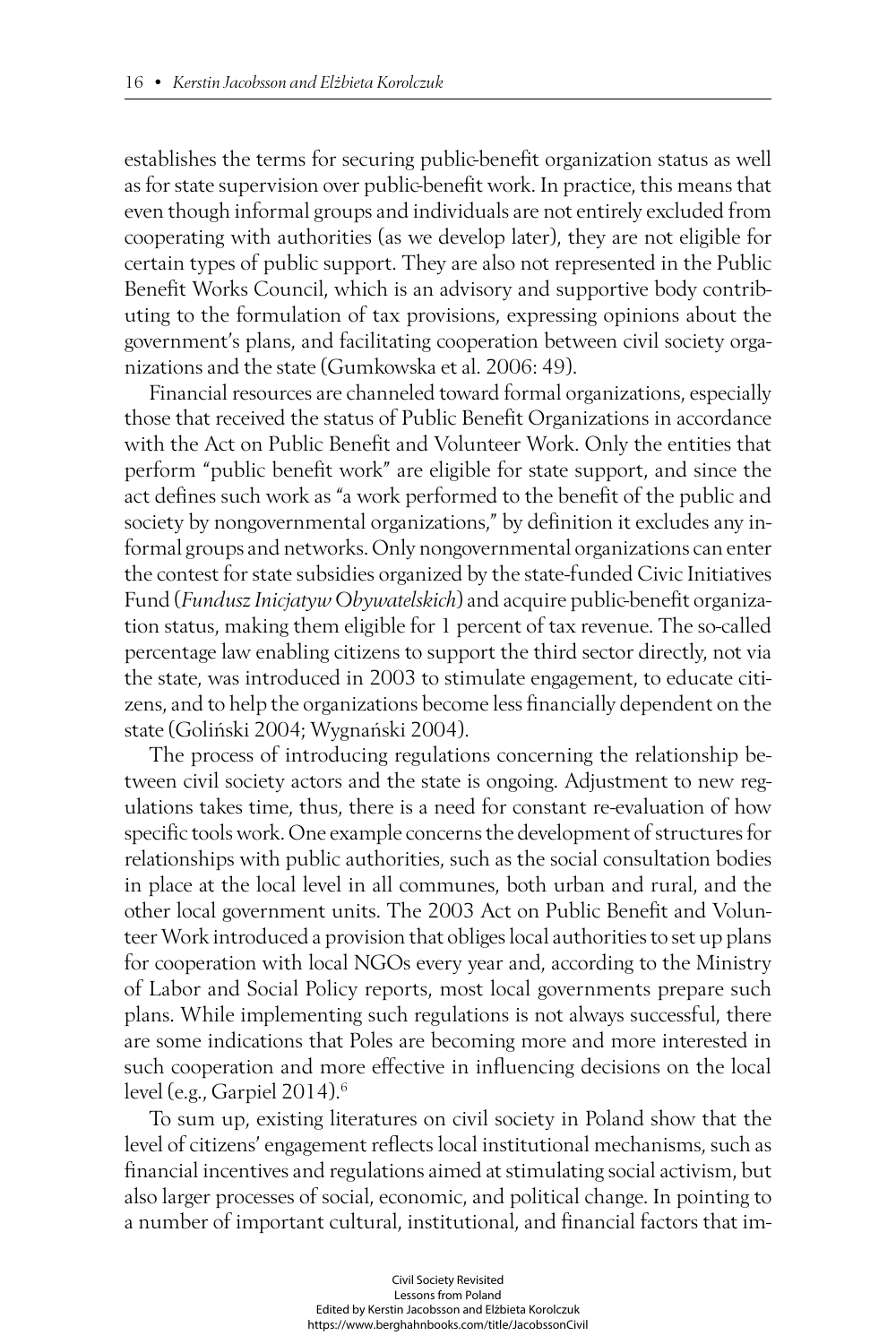establishes the terms for securing public-benefit organization status as well as for state supervision over public-benefit work. In practice, this means that even though informal groups and individuals are not entirely excluded from cooperating with authorities (as we develop later), they are not eligible for certain types of public support. They are also not represented in the Public Benefit Works Council, which is an advisory and supportive body contributing to the formulation of tax provisions, expressing opinions about the government's plans, and facilitating cooperation between civil society organizations and the state (Gumkowska et al. 2006: 49).

Financial resources are channeled toward formal organizations, especially those that received the status of Public Benefit Organizations in accordance with the Act on Public Benefit and Volunteer Work. Only the entities that perform "public benefit work" are eligible for state support, and since the act defines such work as "a work performed to the benefit of the public and society by nongovernmental organizations," by definition it excludes any informal groups and networks. Only nongovernmental organizations can enter the contest for state subsidies organized by the state-funded Civic Initiatives Fund (*Fundusz Inicjatyw Obywatelskich*) and acquire public-benefit organization status, making them eligible for 1 percent of tax revenue. The so-called percentage law enabling citizens to support the third sector directly, not via the state, was introduced in 2003 to stimulate engagement, to educate citizens, and to help the organizations become less financially dependent on the state (Goliński 2004; Wygnański 2004).

The process of introducing regulations concerning the relationship between civil society actors and the state is ongoing. Adjustment to new regulations takes time, thus, there is a need for constant re-evaluation of how specific tools work. One example concerns the development of structures for relationships with public authorities, such as the social consultation bodies in place at the local level in all communes, both urban and rural, and the other local government units. The 2003 Act on Public Benefit and Volunteer Work introduced a provision that obliges local authorities to set up plans for cooperation with local NGOs every year and, according to the Ministry of Labor and Social Policy reports, most local governments prepare such plans. While implementing such regulations is not always successful, there are some indications that Poles are becoming more and more interested in such cooperation and more effective in influencing decisions on the local level (e.g., Garpiel 2014).6

To sum up, existing literatures on civil society in Poland show that the level of citizens' engagement reflects local institutional mechanisms, such as financial incentives and regulations aimed at stimulating social activism, but also larger processes of social, economic, and political change. In pointing to a number of important cultural, institutional, and financial factors that im-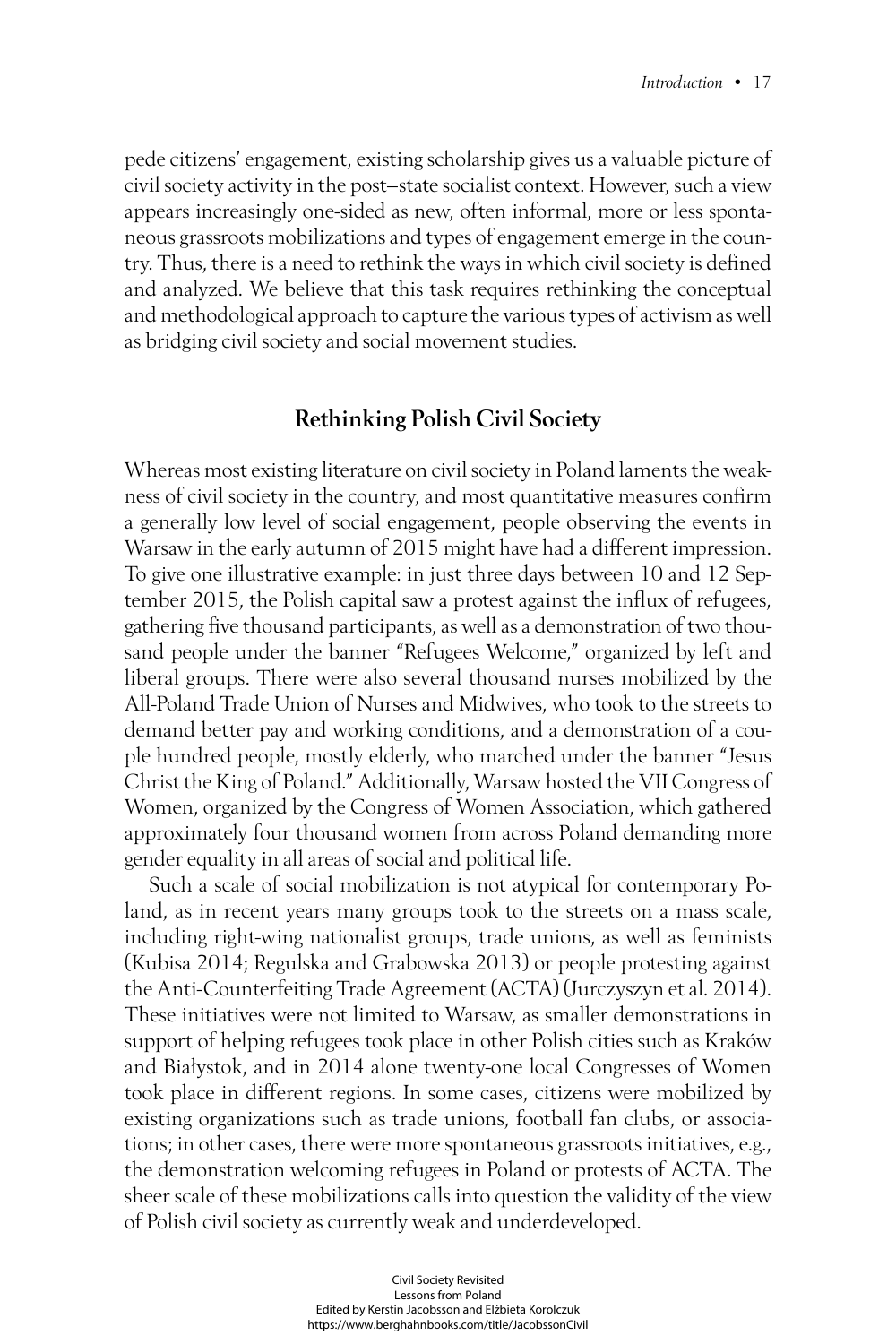pede citizens' engagement, existing scholarship gives us a valuable picture of civil society activity in the post–state socialist context. However, such a view appears increasingly one-sided as new, often informal, more or less spontaneous grassroots mobilizations and types of engagement emerge in the country. Thus, there is a need to rethink the ways in which civil society is defined and analyzed. We believe that this task requires rethinking the conceptual and methodological approach to capture the various types of activism as well as bridging civil society and social movement studies.

## Rethinking Polish Civil Society

Whereas most existing literature on civil society in Poland laments the weakness of civil society in the country, and most quantitative measures confirm a generally low level of social engagement, people observing the events in Warsaw in the early autumn of 2015 might have had a different impression. To give one illustrative example: in just three days between 10 and 12 September 2015, the Polish capital saw a protest against the influx of refugees, gathering five thousand participants, as well as a demonstration of two thousand people under the banner "Refugees Welcome," organized by left and liberal groups. There were also several thousand nurses mobilized by the All-Poland Trade Union of Nurses and Midwives, who took to the streets to demand better pay and working conditions, and a demonstration of a couple hundred people, mostly elderly, who marched under the banner "Jesus Christ the King of Poland." Additionally, Warsaw hosted the VII Congress of Women, organized by the Congress of Women Association, which gathered approximately four thousand women from across Poland demanding more gender equality in all areas of social and political life.

Such a scale of social mobilization is not atypical for contemporary Poland, as in recent years many groups took to the streets on a mass scale, including right-wing nationalist groups, trade unions, as well as feminists (Kubisa 2014; Regulska and Grabowska 2013) or people protesting against the Anti-Counterfeiting Trade Agreement (ACTA) (Jurczyszyn et al. 2014). These initiatives were not limited to Warsaw, as smaller demonstrations in support of helping refugees took place in other Polish cities such as Kraków and Białystok, and in 2014 alone twenty-one local Congresses of Women took place in different regions. In some cases, citizens were mobilized by existing organizations such as trade unions, football fan clubs, or associations; in other cases, there were more spontaneous grassroots initiatives, e.g., the demonstration welcoming refugees in Poland or protests of ACTA. The sheer scale of these mobilizations calls into question the validity of the view of Polish civil society as currently weak and underdeveloped.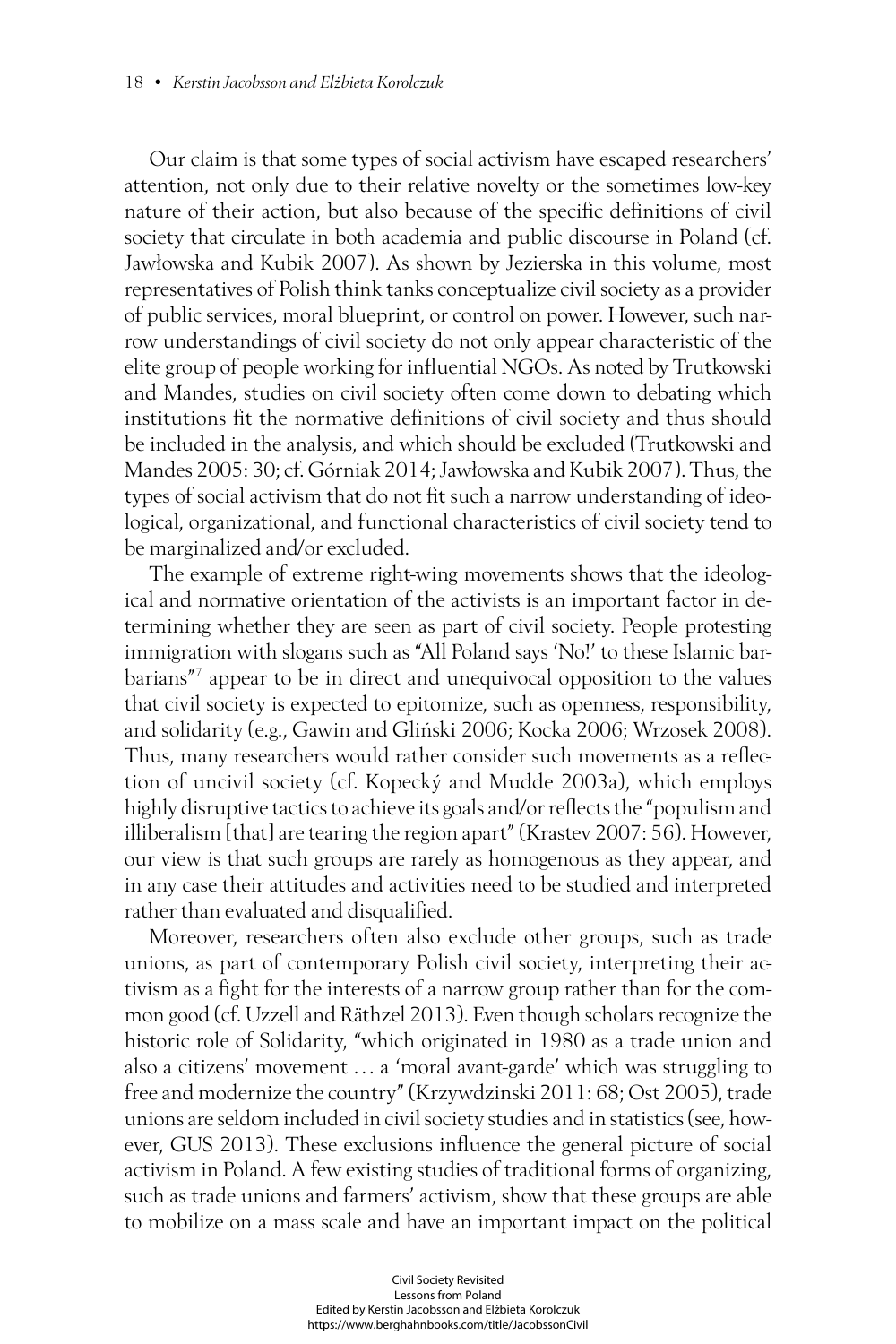Our claim is that some types of social activism have escaped researchers' attention, not only due to their relative novelty or the sometimes low-key nature of their action, but also because of the specific definitions of civil society that circulate in both academia and public discourse in Poland (cf. Jawłowska and Kubik 2007). As shown by Jezierska in this volume, most representatives of Polish think tanks conceptualize civil society as a provider of public services, moral blueprint, or control on power. However, such narrow understandings of civil society do not only appear characteristic of the elite group of people working for influential NGOs. As noted by Trutkowski and Mandes, studies on civil society often come down to debating which institutions fit the normative definitions of civil society and thus should be included in the analysis, and which should be excluded (Trutkowski and Mandes 2005: 30; cf. Górniak 2014; Jawłowska and Kubik 2007). Thus, the types of social activism that do not fit such a narrow understanding of ideological, organizational, and functional characteristics of civil society tend to be marginalized and/or excluded.

The example of extreme right-wing movements shows that the ideological and normative orientation of the activists is an important factor in determining whether they are seen as part of civil society. People protesting immigration with slogans such as "All Poland says 'No!' to these Islamic barbarians"7 appear to be in direct and unequivocal opposition to the values that civil society is expected to epitomize, such as openness, responsibility, and solidarity (e.g., Gawin and Gliński 2006; Kocka 2006; Wrzosek 2008). Thus, many researchers would rather consider such movements as a reflection of uncivil society (cf. Kopecký and Mudde 2003a), which employs highly disruptive tactics to achieve its goals and/or reflects the "populism and illiberalism [that] are tearing the region apart" (Krastev 2007: 56). However, our view is that such groups are rarely as homogenous as they appear, and in any case their attitudes and activities need to be studied and interpreted rather than evaluated and disqualified.

Moreover, researchers often also exclude other groups, such as trade unions, as part of contemporary Polish civil society, interpreting their activism as a fight for the interests of a narrow group rather than for the common good (cf. Uzzell and Räthzel 2013). Even though scholars recognize the historic role of Solidarity, "which originated in 1980 as a trade union and also a citizens' movement . . . a 'moral avant-garde' which was struggling to free and modernize the country" (Krzywdzinski 2011: 68; Ost 2005), trade unions are seldom included in civil society studies and in statistics (see, however, GUS 2013). These exclusions influence the general picture of social activism in Poland. A few existing studies of traditional forms of organizing, such as trade unions and farmers' activism, show that these groups are able to mobilize on a mass scale and have an important impact on the political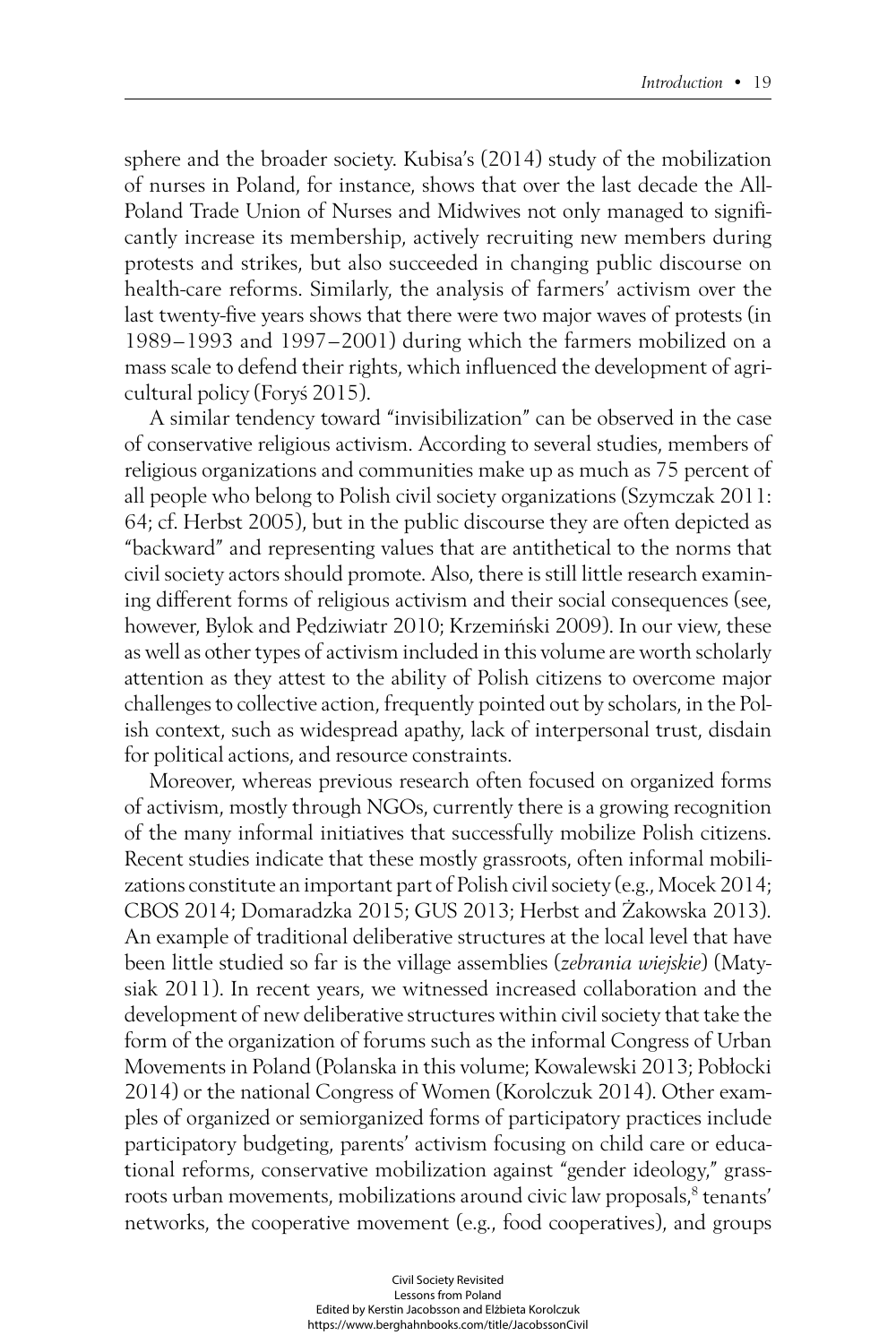sphere and the broader society. Kubisa's (2014) study of the mobilization of nurses in Poland, for instance, shows that over the last decade the All-Poland Trade Union of Nurses and Midwives not only managed to significantly increase its membership, actively recruiting new members during protests and strikes, but also succeeded in changing public discourse on health-care reforms. Similarly, the analysis of farmers' activism over the last twenty-five years shows that there were two major waves of protests (in 1989–1993 and 1997–2001) during which the farmers mobilized on a mass scale to defend their rights, which influenced the development of agricultural policy (Foryś 2015).

A similar tendency toward "invisibilization" can be observed in the case of conservative religious activism. According to several studies, members of religious organizations and communities make up as much as 75 percent of all people who belong to Polish civil society organizations (Szymczak 2011: 64; cf. Herbst 2005), but in the public discourse they are often depicted as "backward" and representing values that are antithetical to the norms that civil society actors should promote. Also, there is still little research examining different forms of religious activism and their social consequences (see, however, Bylok and Pędziwiatr 2010; Krzemiński 2009). In our view, these as well as other types of activism included in this volume are worth scholarly attention as they attest to the ability of Polish citizens to overcome major challenges to collective action, frequently pointed out by scholars, in the Polish context, such as widespread apathy, lack of interpersonal trust, disdain for political actions, and resource constraints.

Moreover, whereas previous research often focused on organized forms of activism, mostly through NGOs, currently there is a growing recognition of the many informal initiatives that successfully mobilize Polish citizens. Recent studies indicate that these mostly grassroots, often informal mobilizations constitute an important part of Polish civil society (e.g., Mocek 2014; CBOS 2014; Domaradzka 2015; GUS 2013; Herbst and Żakowska 2013). An example of traditional deliberative structures at the local level that have been little studied so far is the village assemblies (*zebrania wiejskie*) (Matysiak 2011). In recent years, we witnessed increased collaboration and the development of new deliberative structures within civil society that take the form of the organization of forums such as the informal Congress of Urban Movements in Poland (Polanska in this volume; Kowalewski 2013; Pobłocki 2014) or the national Congress of Women (Korolczuk 2014). Other examples of organized or semiorganized forms of participatory practices include participatory budgeting, parents' activism focusing on child care or educational reforms, conservative mobilization against "gender ideology," grassroots urban movements, mobilizations around civic law proposals,<sup>8</sup> tenants' networks, the cooperative movement (e.g., food cooperatives), and groups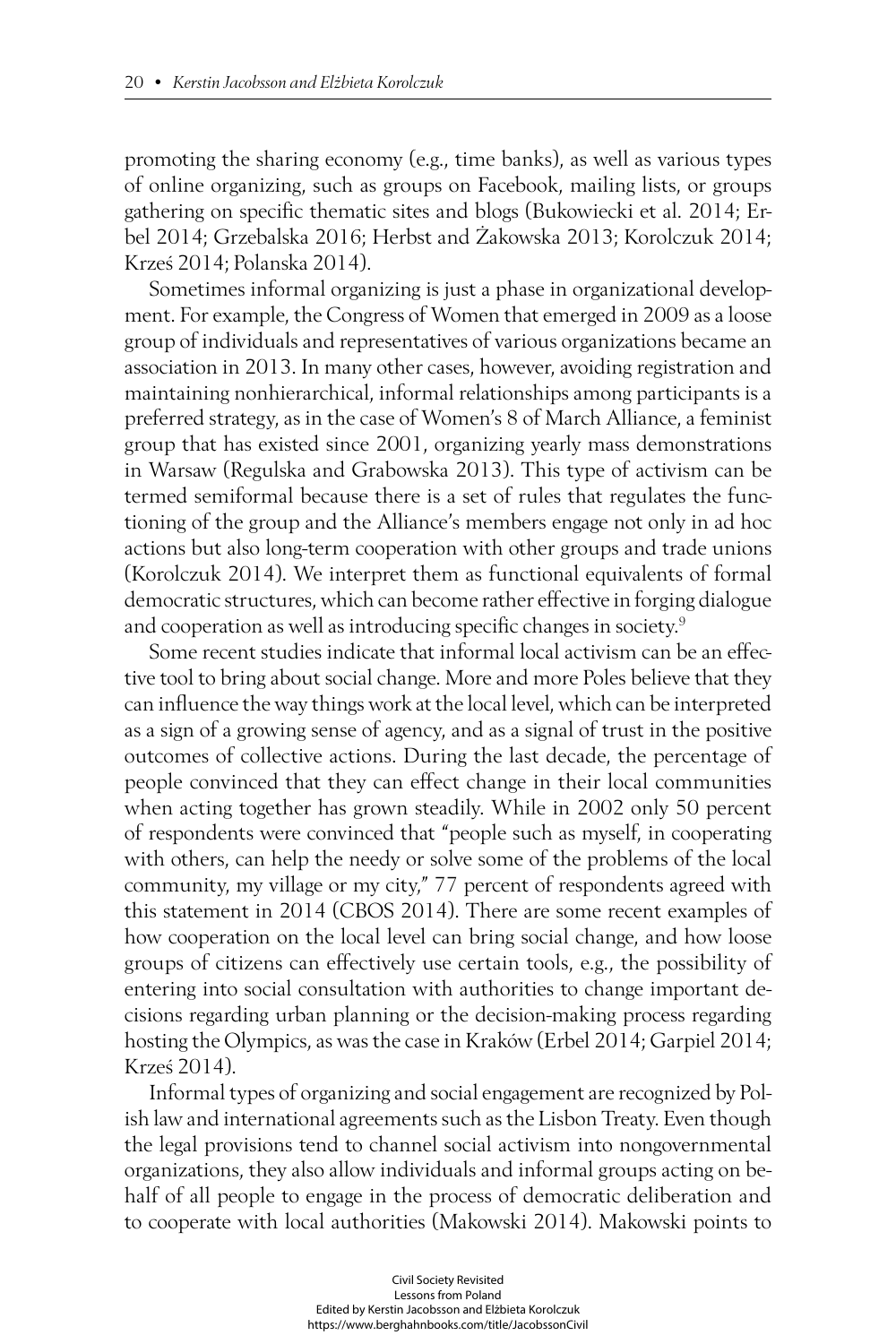promoting the sharing economy (e.g., time banks), as well as various types of online organizing, such as groups on Facebook, mailing lists, or groups gathering on specific thematic sites and blogs (Bukowiecki et al. 2014; Erbel 2014; Grzebalska 2016; Herbst and Żakowska 2013; Korolczuk 2014; Krześ 2014; Polanska 2014).

Sometimes informal organizing is just a phase in organizational development. For example, the Congress of Women that emerged in 2009 as a loose group of individuals and representatives of various organizations became an association in 2013. In many other cases, however, avoiding registration and maintaining nonhierarchical, informal relationships among participants is a preferred strategy, as in the case of Women's 8 of March Alliance, a feminist group that has existed since 2001, organizing yearly mass demonstrations in Warsaw (Regulska and Grabowska 2013). This type of activism can be termed semiformal because there is a set of rules that regulates the functioning of the group and the Alliance's members engage not only in ad hoc actions but also long-term cooperation with other groups and trade unions (Korolczuk 2014). We interpret them as functional equivalents of formal democratic structures, which can become rather effective in forging dialogue and cooperation as well as introducing specific changes in society.<sup>9</sup>

Some recent studies indicate that informal local activism can be an effective tool to bring about social change. More and more Poles believe that they can influence the way things work at the local level, which can be interpreted as a sign of a growing sense of agency, and as a signal of trust in the positive outcomes of collective actions. During the last decade, the percentage of people convinced that they can effect change in their local communities when acting together has grown steadily. While in 2002 only 50 percent of respondents were convinced that "people such as myself, in cooperating with others, can help the needy or solve some of the problems of the local community, my village or my city," 77 percent of respondents agreed with this statement in 2014 (CBOS 2014). There are some recent examples of how cooperation on the local level can bring social change, and how loose groups of citizens can effectively use certain tools, e.g., the possibility of entering into social consultation with authorities to change important decisions regarding urban planning or the decision-making process regarding hosting the Olympics, as was the case in Kraków (Erbel 2014; Garpiel 2014; Krześ 2014).

Informal types of organizing and social engagement are recognized by Polish law and international agreements such as the Lisbon Treaty. Even though the legal provisions tend to channel social activism into nongovernmental organizations, they also allow individuals and informal groups acting on behalf of all people to engage in the process of democratic deliberation and to cooperate with local authorities (Makowski 2014). Makowski points to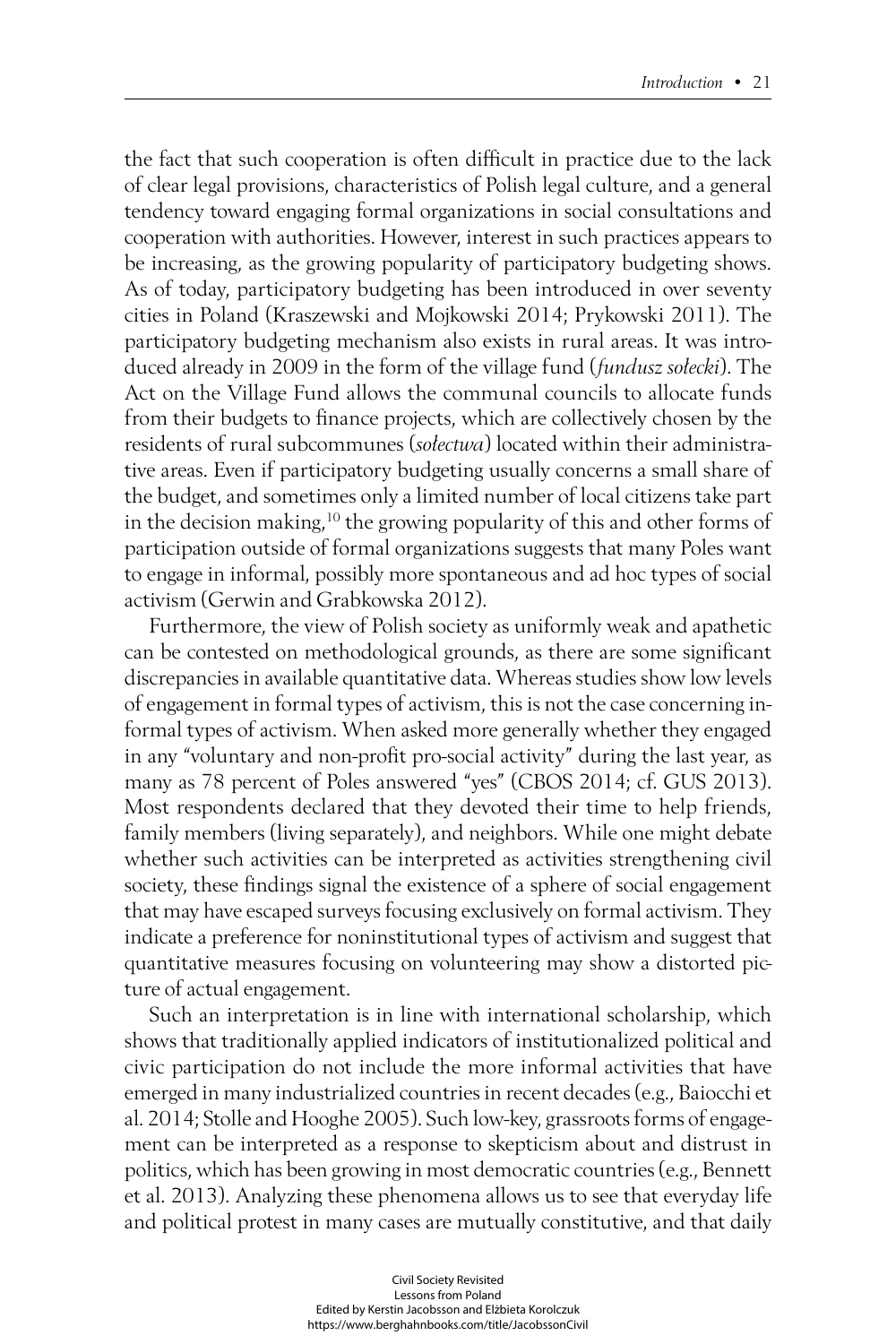the fact that such cooperation is often difficult in practice due to the lack of clear legal provisions, characteristics of Polish legal culture, and a general tendency toward engaging formal organizations in social consultations and cooperation with authorities. However, interest in such practices appears to be increasing, as the growing popularity of participatory budgeting shows. As of today, participatory budgeting has been introduced in over seventy cities in Poland (Kraszewski and Mojkowski 2014; Prykowski 2011). The participatory budgeting mechanism also exists in rural areas. It was introduced already in 2009 in the form of the village fund (*fundusz so*ł*ecki*). The Act on the Village Fund allows the communal councils to allocate funds from their budgets to finance projects, which are collectively chosen by the residents of rural subcommunes (*so*ł*ectwa*) located within their administrative areas. Even if participatory budgeting usually concerns a small share of the budget, and sometimes only a limited number of local citizens take part in the decision making,<sup>10</sup> the growing popularity of this and other forms of participation outside of formal organizations suggests that many Poles want to engage in informal, possibly more spontaneous and ad hoc types of social activism (Gerwin and Grabkowska 2012).

Furthermore, the view of Polish society as uniformly weak and apathetic can be contested on methodological grounds, as there are some significant discrepancies in available quantitative data. Whereas studies show low levels of engagement in formal types of activism, this is not the case concerning informal types of activism. When asked more generally whether they engaged in any "voluntary and non-profit pro-social activity" during the last year, as many as 78 percent of Poles answered "yes" (CBOS 2014; cf. GUS 2013). Most respondents declared that they devoted their time to help friends, family members (living separately), and neighbors. While one might debate whether such activities can be interpreted as activities strengthening civil society, these findings signal the existence of a sphere of social engagement that may have escaped surveys focusing exclusively on formal activism. They indicate a preference for noninstitutional types of activism and suggest that quantitative measures focusing on volunteering may show a distorted picture of actual engagement.

Such an interpretation is in line with international scholarship, which shows that traditionally applied indicators of institutionalized political and civic participation do not include the more informal activities that have emerged in many industrialized countries in recent decades (e.g., Baiocchi et al. 2014; Stolle and Hooghe 2005). Such low-key, grassroots forms of engagement can be interpreted as a response to skepticism about and distrust in politics, which has been growing in most democratic countries (e.g., Bennett et al. 2013). Analyzing these phenomena allows us to see that everyday life and political protest in many cases are mutually constitutive, and that daily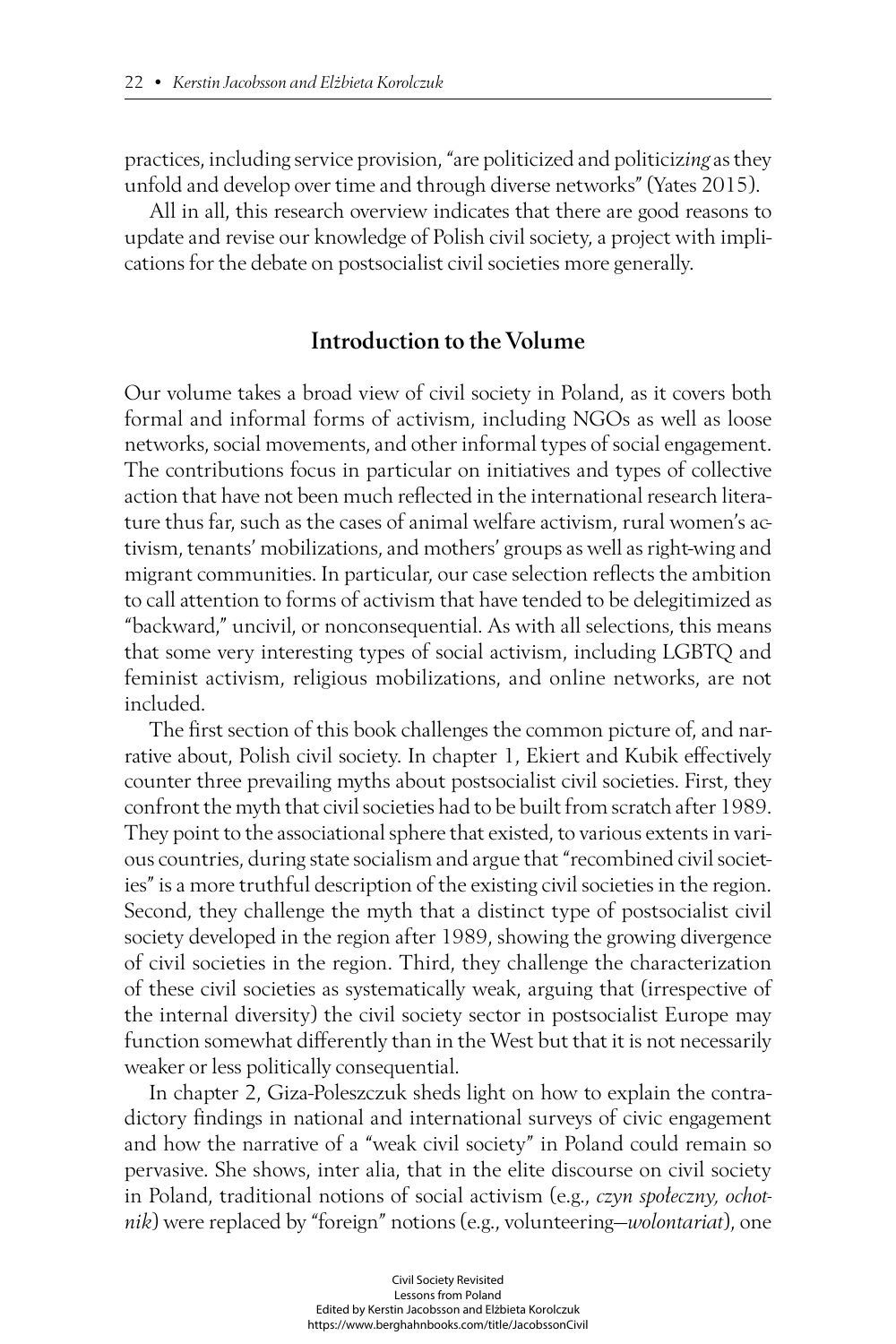practices, including service provision, "are politicized and politiciz*ing* as they unfold and develop over time and through diverse networks" (Yates 2015).

All in all, this research overview indicates that there are good reasons to update and revise our knowledge of Polish civil society, a project with implications for the debate on postsocialist civil societies more generally.

### Introduction to the Volume

Our volume takes a broad view of civil society in Poland, as it covers both formal and informal forms of activism, including NGOs as well as loose networks, social movements, and other informal types of social engagement. The contributions focus in particular on initiatives and types of collective action that have not been much reflected in the international research literature thus far, such as the cases of animal welfare activism, rural women's activism, tenants' mobilizations, and mothers' groups as well as right-wing and migrant communities. In particular, our case selection reflects the ambition to call attention to forms of activism that have tended to be delegitimized as "backward," uncivil, or nonconsequential. As with all selections, this means that some very interesting types of social activism, including LGBTQ and feminist activism, religious mobilizations, and online networks, are not included.

The first section of this book challenges the common picture of, and narrative about, Polish civil society. In chapter 1, Ekiert and Kubik effectively counter three prevailing myths about postsocialist civil societies. First, they confront the myth that civil societies had to be built from scratch after 1989. They point to the associational sphere that existed, to various extents in various countries, during state socialism and argue that "recombined civil societies" is a more truthful description of the existing civil societies in the region. Second, they challenge the myth that a distinct type of postsocialist civil society developed in the region after 1989, showing the growing divergence of civil societies in the region. Third, they challenge the characterization of these civil societies as systematically weak, arguing that (irrespective of the internal diversity) the civil society sector in postsocialist Europe may function somewhat differently than in the West but that it is not necessarily weaker or less politically consequential.

In chapter 2, Giza-Poleszczuk sheds light on how to explain the contradictory findings in national and international surveys of civic engagement and how the narrative of a "weak civil society" in Poland could remain so pervasive. She shows, inter alia, that in the elite discourse on civil society in Poland, traditional notions of social activism (e.g., *czyn spo*ł*eczny, ochotnik*) were replaced by "foreign" notions (e.g., volunteering—*wolontariat*), one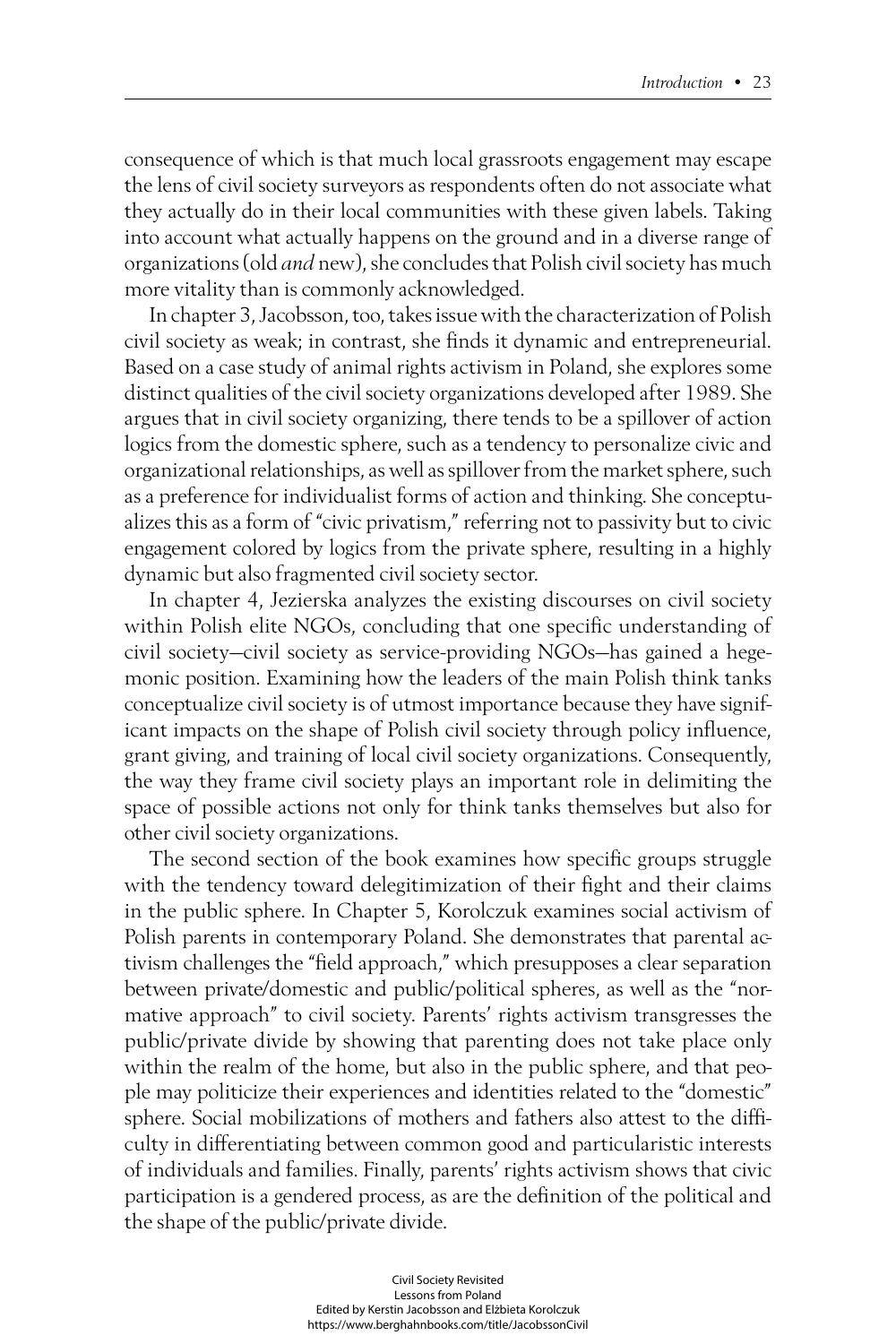consequence of which is that much local grassroots engagement may escape the lens of civil society surveyors as respondents often do not associate what they actually do in their local communities with these given labels. Taking into account what actually happens on the ground and in a diverse range of organizations (old *and* new), she concludes that Polish civil society has much more vitality than is commonly acknowledged.

In chapter 3, Jacobsson, too, takes issue with the characterization of Polish civil society as weak; in contrast, she finds it dynamic and entrepreneurial. Based on a case study of animal rights activism in Poland, she explores some distinct qualities of the civil society organizations developed after 1989. She argues that in civil society organizing, there tends to be a spillover of action logics from the domestic sphere, such as a tendency to personalize civic and organizational relationships, as well as spillover from the market sphere, such as a preference for individualist forms of action and thinking. She conceptualizes this as a form of "civic privatism," referring not to passivity but to civic engagement colored by logics from the private sphere, resulting in a highly dynamic but also fragmented civil society sector.

In chapter 4, Jezierska analyzes the existing discourses on civil society within Polish elite NGOs, concluding that one specific understanding of civil society—civil society as service-providing NGOs—has gained a hegemonic position. Examining how the leaders of the main Polish think tanks conceptualize civil society is of utmost importance because they have significant impacts on the shape of Polish civil society through policy influence, grant giving, and training of local civil society organizations. Consequently, the way they frame civil society plays an important role in delimiting the space of possible actions not only for think tanks themselves but also for other civil society organizations.

The second section of the book examines how specific groups struggle with the tendency toward delegitimization of their fight and their claims in the public sphere. In Chapter 5, Korolczuk examines social activism of Polish parents in contemporary Poland. She demonstrates that parental activism challenges the "field approach," which presupposes a clear separation between private/domestic and public/political spheres, as well as the "normative approach" to civil society. Parents' rights activism transgresses the public/private divide by showing that parenting does not take place only within the realm of the home, but also in the public sphere, and that people may politicize their experiences and identities related to the "domestic" sphere. Social mobilizations of mothers and fathers also attest to the difficulty in differentiating between common good and particularistic interests of individuals and families. Finally, parents' rights activism shows that civic participation is a gendered process, as are the definition of the political and the shape of the public/private divide.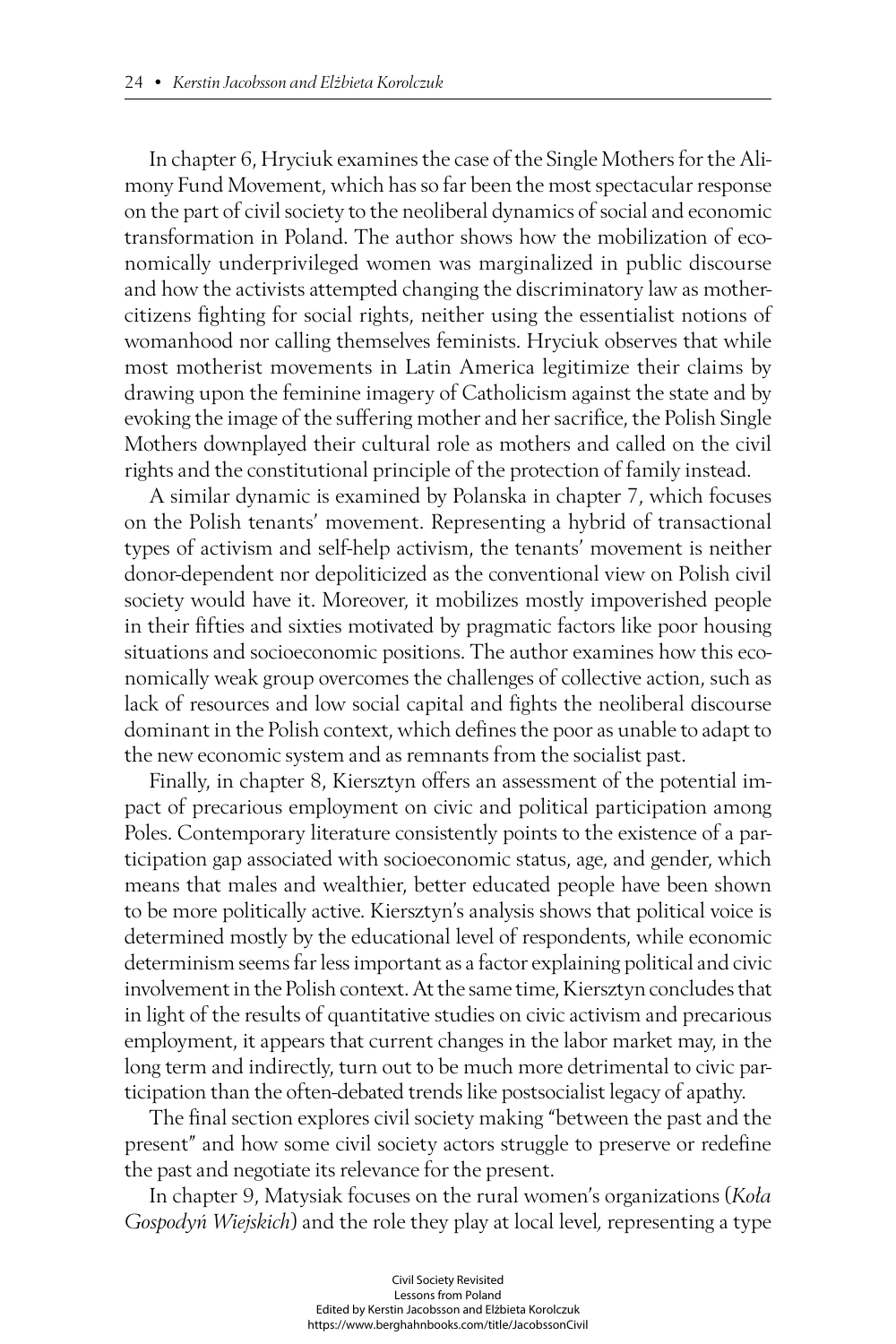In chapter 6, Hryciuk examines the case of the Single Mothers for the Alimony Fund Movement, which has so far been the most spectacular response on the part of civil society to the neoliberal dynamics of social and economic transformation in Poland. The author shows how the mobilization of economically underprivileged women was marginalized in public discourse and how the activists attempted changing the discriminatory law as mothercitizens fighting for social rights, neither using the essentialist notions of womanhood nor calling themselves feminists. Hryciuk observes that while most motherist movements in Latin America legitimize their claims by drawing upon the feminine imagery of Catholicism against the state and by evoking the image of the suffering mother and her sacrifice, the Polish Single Mothers downplayed their cultural role as mothers and called on the civil rights and the constitutional principle of the protection of family instead.

A similar dynamic is examined by Polanska in chapter 7, which focuses on the Polish tenants' movement. Representing a hybrid of transactional types of activism and self-help activism, the tenants' movement is neither donor-dependent nor depoliticized as the conventional view on Polish civil society would have it. Moreover, it mobilizes mostly impoverished people in their fifties and sixties motivated by pragmatic factors like poor housing situations and socioeconomic positions. The author examines how this economically weak group overcomes the challenges of collective action, such as lack of resources and low social capital and fights the neoliberal discourse dominant in the Polish context, which defines the poor as unable to adapt to the new economic system and as remnants from the socialist past.

Finally, in chapter 8, Kiersztyn offers an assessment of the potential impact of precarious employment on civic and political participation among Poles. Contemporary literature consistently points to the existence of a participation gap associated with socioeconomic status, age, and gender, which means that males and wealthier, better educated people have been shown to be more politically active. Kiersztyn's analysis shows that political voice is determined mostly by the educational level of respondents, while economic determinism seems far less important as a factor explaining political and civic involvement in the Polish context. At the same time, Kiersztyn concludes that in light of the results of quantitative studies on civic activism and precarious employment, it appears that current changes in the labor market may, in the long term and indirectly, turn out to be much more detrimental to civic participation than the often-debated trends like postsocialist legacy of apathy.

The final section explores civil society making "between the past and the present" and how some civil society actors struggle to preserve or redefine the past and negotiate its relevance for the present.

In chapter 9, Matysiak focuses on the rural women's organizations (*Ko*ł*a Gospody*ń *Wiejskich*) and the role they play at local level*,* representing a type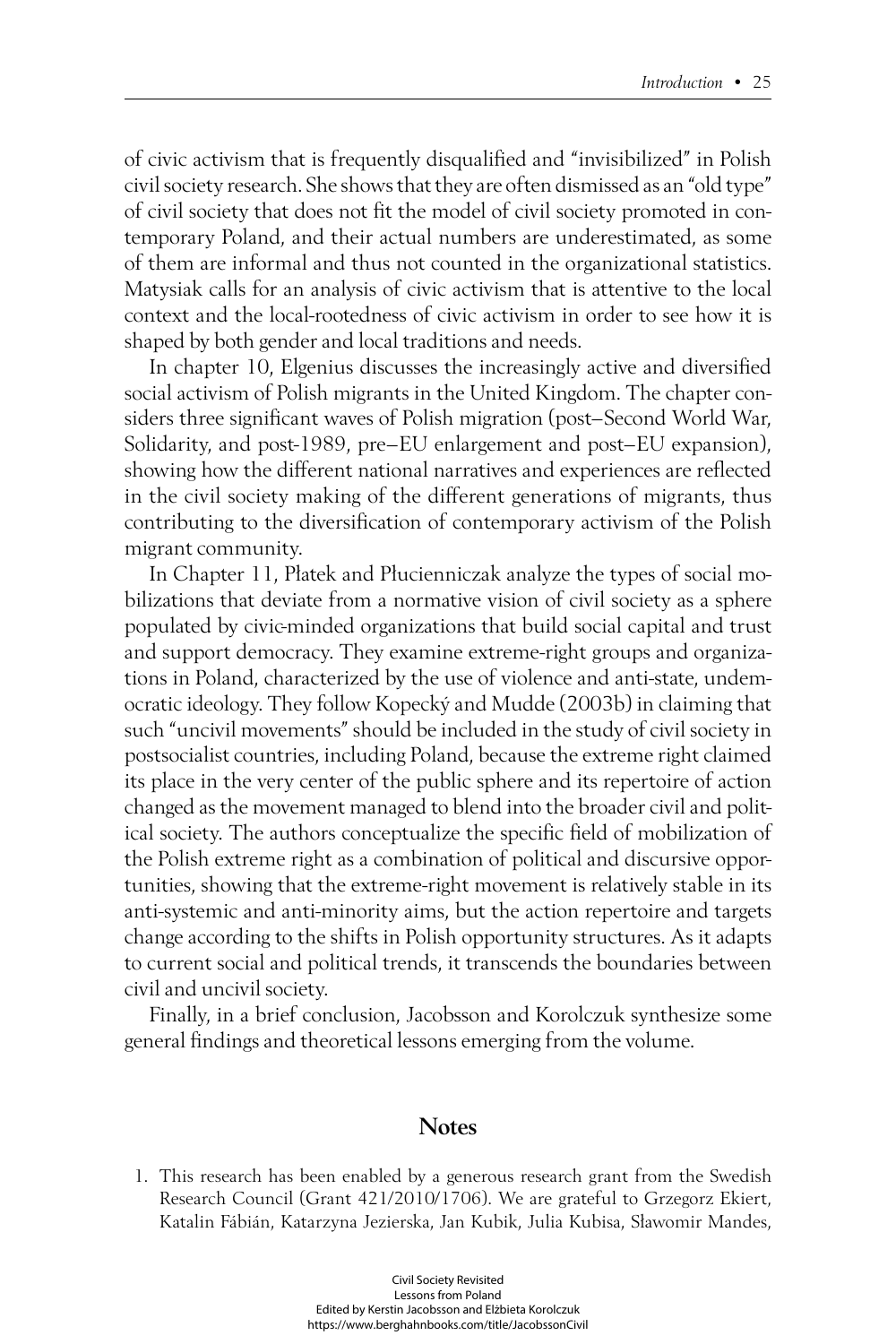of civic activism that is frequently disqualified and "invisibilized" in Polish civil society research. She shows that they are often dismissed as an "old type" of civil society that does not fit the model of civil society promoted in contemporary Poland, and their actual numbers are underestimated, as some of them are informal and thus not counted in the organizational statistics. Matysiak calls for an analysis of civic activism that is attentive to the local context and the local-rootedness of civic activism in order to see how it is shaped by both gender and local traditions and needs.

In chapter 10, Elgenius discusses the increasingly active and diversified social activism of Polish migrants in the United Kingdom. The chapter considers three significant waves of Polish migration (post–Second World War, Solidarity, and post-1989, pre–EU enlargement and post–EU expansion), showing how the different national narratives and experiences are reflected in the civil society making of the different generations of migrants, thus contributing to the diversification of contemporary activism of the Polish migrant community.

In Chapter 11, Płatek and Płucienniczak analyze the types of social mobilizations that deviate from a normative vision of civil society as a sphere populated by civic-minded organizations that build social capital and trust and support democracy. They examine extreme-right groups and organizations in Poland, characterized by the use of violence and anti-state, undemocratic ideology. They follow Kopecký and Mudde (2003b) in claiming that such "uncivil movements" should be included in the study of civil society in postsocialist countries, including Poland, because the extreme right claimed its place in the very center of the public sphere and its repertoire of action changed as the movement managed to blend into the broader civil and political society. The authors conceptualize the specific field of mobilization of the Polish extreme right as a combination of political and discursive opportunities, showing that the extreme-right movement is relatively stable in its anti-systemic and anti-minority aims, but the action repertoire and targets change according to the shifts in Polish opportunity structures. As it adapts to current social and political trends, it transcends the boundaries between civil and uncivil society.

Finally, in a brief conclusion, Jacobsson and Korolczuk synthesize some general findings and theoretical lessons emerging from the volume.

#### **Notes**

 1. This research has been enabled by a generous research grant from the Swedish Research Council (Grant 421/2010/1706). We are grateful to Grzegorz Ekiert, Katalin Fábián, Katarzyna Jezierska, Jan Kubik, Julia Kubisa, Sławomir Mandes,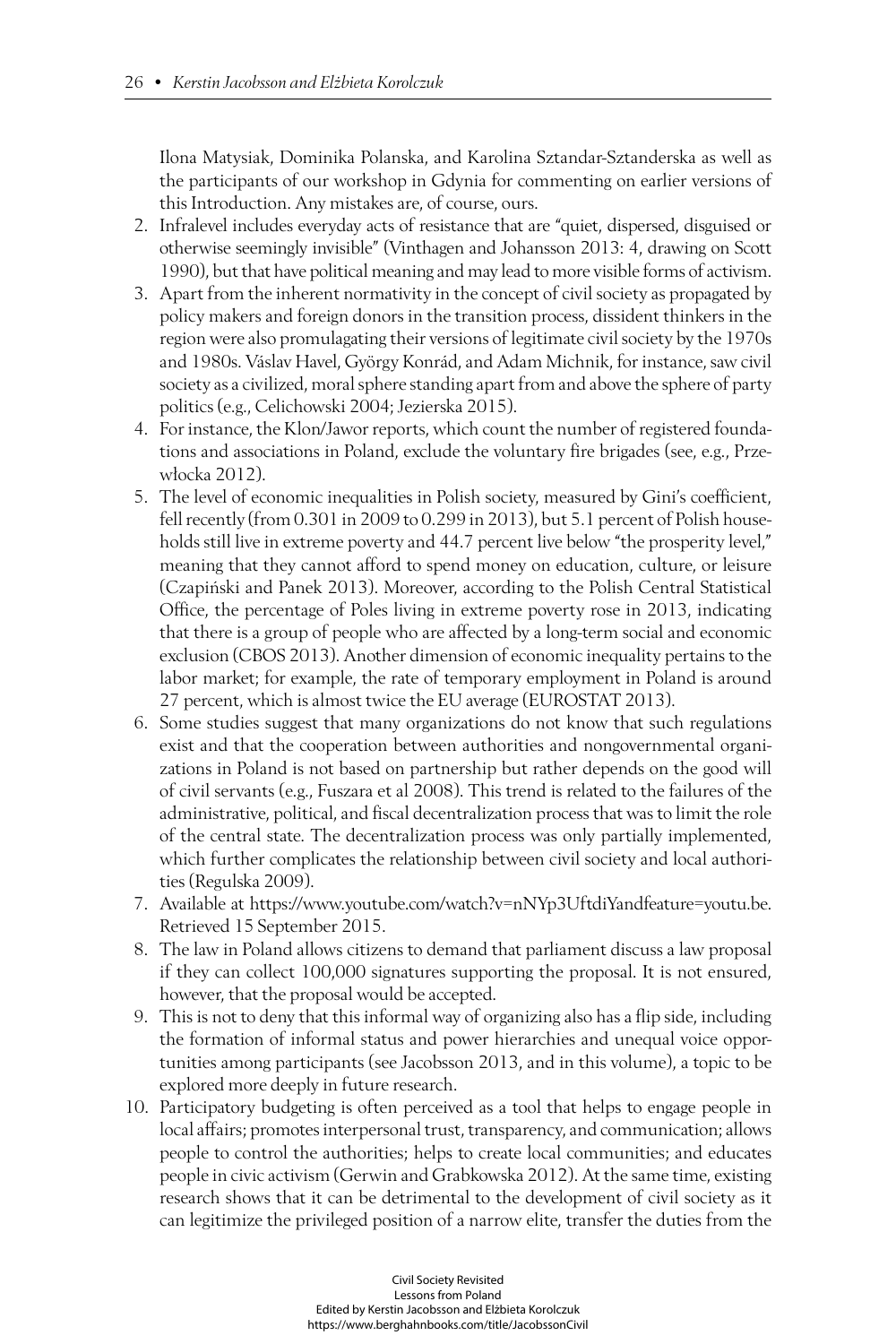Ilona Matysiak, Dominika Polanska, and Karolina Sztandar-Sztanderska as well as the participants of our workshop in Gdynia for commenting on earlier versions of this Introduction. Any mistakes are, of course, ours.

- 2. Infralevel includes everyday acts of resistance that are "quiet, dispersed, disguised or otherwise seemingly invisible" (Vinthagen and Johansson 2013: 4, drawing on Scott 1990), but that have political meaning and may lead to more visible forms of activism.
- 3. Apart from the inherent normativity in the concept of civil society as propagated by policy makers and foreign donors in the transition process, dissident thinkers in the region were also promulagating their versions of legitimate civil society by the 1970s and 1980s. Váslav Havel, György Konrád, and Adam Michnik, for instance, saw civil society as a civilized, moral sphere standing apart from and above the sphere of party politics (e.g., Celichowski 2004; Jezierska 2015).
- 4. For instance, the Klon/Jawor reports, which count the number of registered foundations and associations in Poland, exclude the voluntary fire brigades (see, e.g., Przewłocka 2012).
- 5. The level of economic inequalities in Polish society, measured by Gini's coefficient, fell recently (from 0.301 in 2009 to 0.299 in 2013), but 5.1 percent of Polish households still live in extreme poverty and 44.7 percent live below "the prosperity level," meaning that they cannot afford to spend money on education, culture, or leisure (Czapiński and Panek 2013). Moreover, according to the Polish Central Statistical Office, the percentage of Poles living in extreme poverty rose in 2013, indicating that there is a group of people who are affected by a long-term social and economic exclusion (CBOS 2013). Another dimension of economic inequality pertains to the labor market; for example, the rate of temporary employment in Poland is around 27 percent, which is almost twice the EU average (EUROSTAT 2013).
- 6. Some studies suggest that many organizations do not know that such regulations exist and that the cooperation between authorities and nongovernmental organizations in Poland is not based on partnership but rather depends on the good will of civil servants (e.g., Fuszara et al 2008). This trend is related to the failures of the administrative, political, and fiscal decentralization process that was to limit the role of the central state. The decentralization process was only partially implemented, which further complicates the relationship between civil society and local authorities (Regulska 2009).
- 7. Available at [https://www.youtube.com/watch?v=nNYp3UftdiYandfeature=youtu.be.](https://www.youtube.com/watch?v=nNYp3UftdiYandfeature=youtu.be)  Retrieved 15 September 2015.
- 8. The law in Poland allows citizens to demand that parliament discuss a law proposal if they can collect 100,000 signatures supporting the proposal. It is not ensured, however, that the proposal would be accepted.
- 9. This is not to deny that this informal way of organizing also has a flip side, including the formation of informal status and power hierarchies and unequal voice opportunities among participants (see Jacobsson 2013, and in this volume), a topic to be explored more deeply in future research.
- 10. Participatory budgeting is often perceived as a tool that helps to engage people in local affairs; promotes interpersonal trust, transparency, and communication; allows people to control the authorities; helps to create local communities; and educates people in civic activism (Gerwin and Grabkowska 2012). At the same time, existing research shows that it can be detrimental to the development of civil society as it can legitimize the privileged position of a narrow elite, transfer the duties from the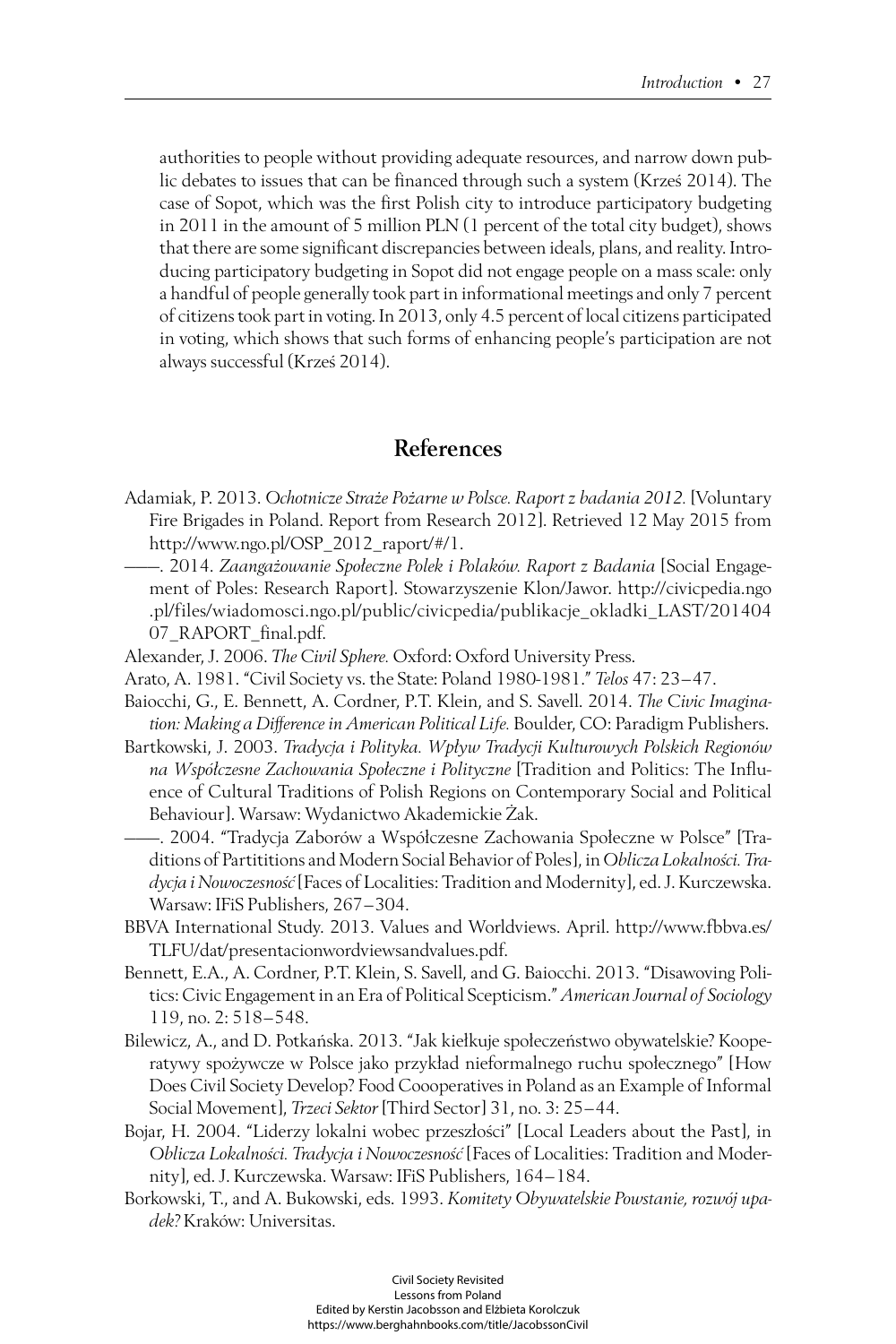authorities to people without providing adequate resources, and narrow down public debates to issues that can be financed through such a system (Krześ 2014). The case of Sopot, which was the first Polish city to introduce participatory budgeting in 2011 in the amount of 5 million PLN (1 percent of the total city budget), shows that there are some significant discrepancies between ideals, plans, and reality. Introducing participatory budgeting in Sopot did not engage people on a mass scale: only a handful of people generally took part in informational meetings and only 7 percent of citizens took part in voting. In 2013, only 4.5 percent of local citizens participated in voting, which shows that such forms of enhancing people's participation are not always successful (Krześ 2014).

# References

- Adamiak, P. 2013. *Ochotnicze Stra*ż*e Po*ż*arne w Polsce. Raport z badania 2012.* [Voluntary Fire Brigades in Poland. Report from Research 2012]. Retrieved 12 May 2015 from [http://www.ngo.pl/OSP\\_2012\\_raport/#/1.](http://www.ngo.pl/OSP_2012_raport/#/1)
- ———. 2014. *Zaanga*ż*owanie Spo*ł*eczne Polek i Polaków. Raport z Badania* [Social Engagement of Poles: Research Raport]. Stowarzyszenie Klon/Jawor. <http://civicpedia.ngo> .pl/files/wiadomosci.ngo.pl/public/civicpedia/publikacje\_okladki\_LAST/201404 07\_RAPORT\_final.pdf.
- Alexander, J. 2006. *The Civil Sphere.* Oxford: Oxford University Press.
- Arato, A. 1981. "Civil Society vs. the State: Poland 1980-1981." *Telos* 47: 23–47.
- Baiocchi, G., E. Bennett, A. Cordner, P.T. Klein, and S. Savell. 2014. *The Civic Imagination: Making a Di*ff *erence in American Political Life.* Boulder, CO: Paradigm Publishers.
- Bartkowski, J. 2003. *Tradycja i Polityka. Wp*ł*yw Tradycji Kulturowych Polskich Regionów*  na Współczesne Zachowania Społeczne i Polityczne [Tradition and Politics: The Influence of Cultural Traditions of Polish Regions on Contemporary Social and Political Behaviour]. Warsaw: Wydanictwo Akademickie Żak.
	- ———. 2004. "Tradycja Zaborów a Współczesne Zachowania Społeczne w Polsce" [Traditions of Partititions and Modern Social Behavior of Poles], in *Oblicza Lokalno*ś*ci. Tradycja i Nowoczesno*ść [Faces of Localities: Tradition and Modernity], ed. J. Kurczewska. Warsaw: IFiS Publishers, 267–304.
- BBVA International Study. 2013. Values and Worldviews. April. <http://www.fbbva.es/> TLFU/dat/presentacionwordviewsandvalues.pdf.
- Bennett, E.A., A. Cordner, P.T. Klein, S. Savell, and G. Baiocchi. 2013. "Disawoving Politics: Civic Engagement in an Era of Political Scepticism." *American Journal of Sociology*  119, no. 2: 518–548.
- Bilewicz, A., and D. Potkańska. 2013. "Jak kiełkuje społeczeństwo obywatelskie? Kooperatywy spożywcze w Polsce jako przykład nieformalnego ruchu społecznego" [How Does Civil Society Develop? Food Coooperatives in Poland as an Example of Informal Social Movement], *Trzeci Sektor* [Third Sector] 31, no. 3: 25–44.
- Bojar, H. 2004. "Liderzy lokalni wobec przeszłości" [Local Leaders about the Past], in *Oblicza Lokalno*ś*ci. Tradycja i Nowoczesno*ść [Faces of Localities: Tradition and Modernity], ed. J. Kurczewska. Warsaw: IFiS Publishers, 164–184.
- Borkowski, T., and A. Bukowski, eds. 1993. *Komitety Obywatelskie Powstanie, rozwój upadek?* Kraków: Universitas.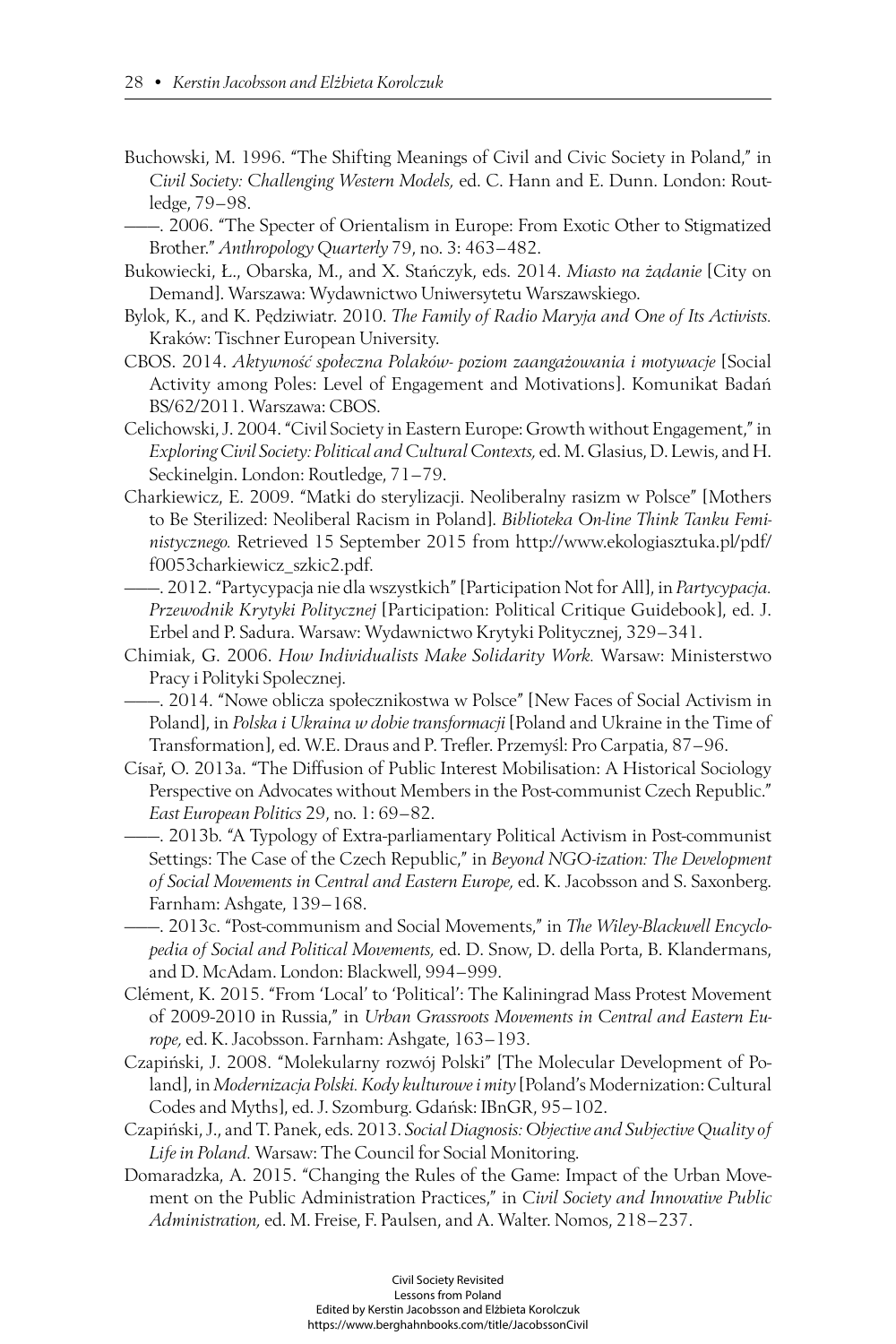- Buchowski, M. 1996. "The Shifting Meanings of Civil and Civic Society in Poland," in *Civil Society: Challenging Western Models,* ed. C. Hann and E. Dunn. London: Routledge, 79–98.
- ———. 2006. "The Specter of Orientalism in Europe: From Exotic Other to Stigmatized Brother." *Anthropology Quarterly* 79, no. 3: 463–482.
- Bukowiecki, Ł., Obarska, M., and X. Stańczyk, eds. 2014. *Miasto na* żą*danie* [City on Demand]. Warszawa: Wydawnictwo Uniwersytetu Warszawskiego.
- Bylok, K., and K. Pędziwiatr. 2010. *The Family of Radio Maryja and One of Its Activists.*  Kraków: Tischner European University.
- CBOS. 2014. *Aktywno*ść *spo*ł*eczna Polaków- poziom zaanga*ż*owania i motywacje* [Social Activity among Poles: Level of Engagement and Motivations]. Komunikat Badań BS/62/2011. Warszawa: CBOS.
- Celichowski, J. 2004. "Civil Society in Eastern Europe: Growth without Engagement," in *Exploring Civil Society: Political and Cultural Contexts,* ed. M. Glasius, D. Lewis, and H. Seckinelgin. London: Routledge, 71–79.
- Charkiewicz, E. 2009. "Matki do sterylizacji. Neoliberalny rasizm w Polsce" [Mothers to Be Sterilized: Neoliberal Racism in Poland]. *Biblioteka On-line Think Tanku Feministycznego.* Retrieved 15 September 2015 from <http://www.ekologiasztuka.pl/pdf/> f0053charkiewicz\_szkic2.pdf.
- ———. 2012. "Partycypacja nie dla wszystkich" [Participation Not for All], in *Partycypacja. Przewodnik Krytyki Politycznej* [Participation: Political Critique Guidebook], ed. J. Erbel and P. Sadura. Warsaw: Wydawnictwo Krytyki Politycznej, 329–341.
- Chimiak, G. 2006. *How Individualists Make Solidarity Work.* Warsaw: Ministerstwo Pracy i Polityki Spolecznej.
- ———. 2014. "Nowe oblicza społecznikostwa w Polsce" [New Faces of Social Activism in Poland], in *Polska i Ukraina w dobie transformacji* [Poland and Ukraine in the Time of Transformation], ed. W.E. Draus and P. Trefler. Przemyśl: Pro Carpatia, 87-96.
- Císař, O. 2013a. "The Diffusion of Public Interest Mobilisation: A Historical Sociology Perspective on Advocates without Members in the Post-communist Czech Republic." *East European Politics* 29, no. 1: 69–82.
	- ———. 2013b. "A Typology of Extra-parliamentary Political Activism in Post-communist Settings: The Case of the Czech Republic," in *Beyond NGO-ization: The Development of Social Movements in Central and Eastern Europe,* ed. K. Jacobsson and S. Saxonberg. Farnham: Ashgate, 139–168.
- ———. 2013c. "Post-communism and Social Movements," in *The Wiley-Blackwell Encyclopedia of Social and Political Movements,* ed. D. Snow, D. della Porta, B. Klandermans, and D. McAdam. London: Blackwell, 994–999.
- Clément, K. 2015. "From 'Local' to 'Political': The Kaliningrad Mass Protest Movement of 2009-2010 in Russia," in *Urban Grassroots Movements in Central and Eastern Europe,* ed. K. Jacobsson. Farnham: Ashgate, 163–193.
- Czapiński, J. 2008. "Molekularny rozwój Polski" [The Molecular Development of Poland], in *Modernizacja Polski. Kody kulturowe i mity* [Poland's Modernization: Cultural Codes and Myths], ed. J. Szomburg. Gdańsk: IBnGR, 95–102.
- Czapiń ski, J., and T. Panek, eds. 2013. *Social Diagnosis: Objective and Subjective Quality of Life in Poland.* Warsaw: The Council for Social Monitoring.
- Domaradzka, A. 2015. "Changing the Rules of the Game: Impact of the Urban Movement on the Public Administration Practices," in *Civil Society and Innovative Public Administration,* ed. M. Freise, F. Paulsen, and A. Walter. Nomos, 218–237.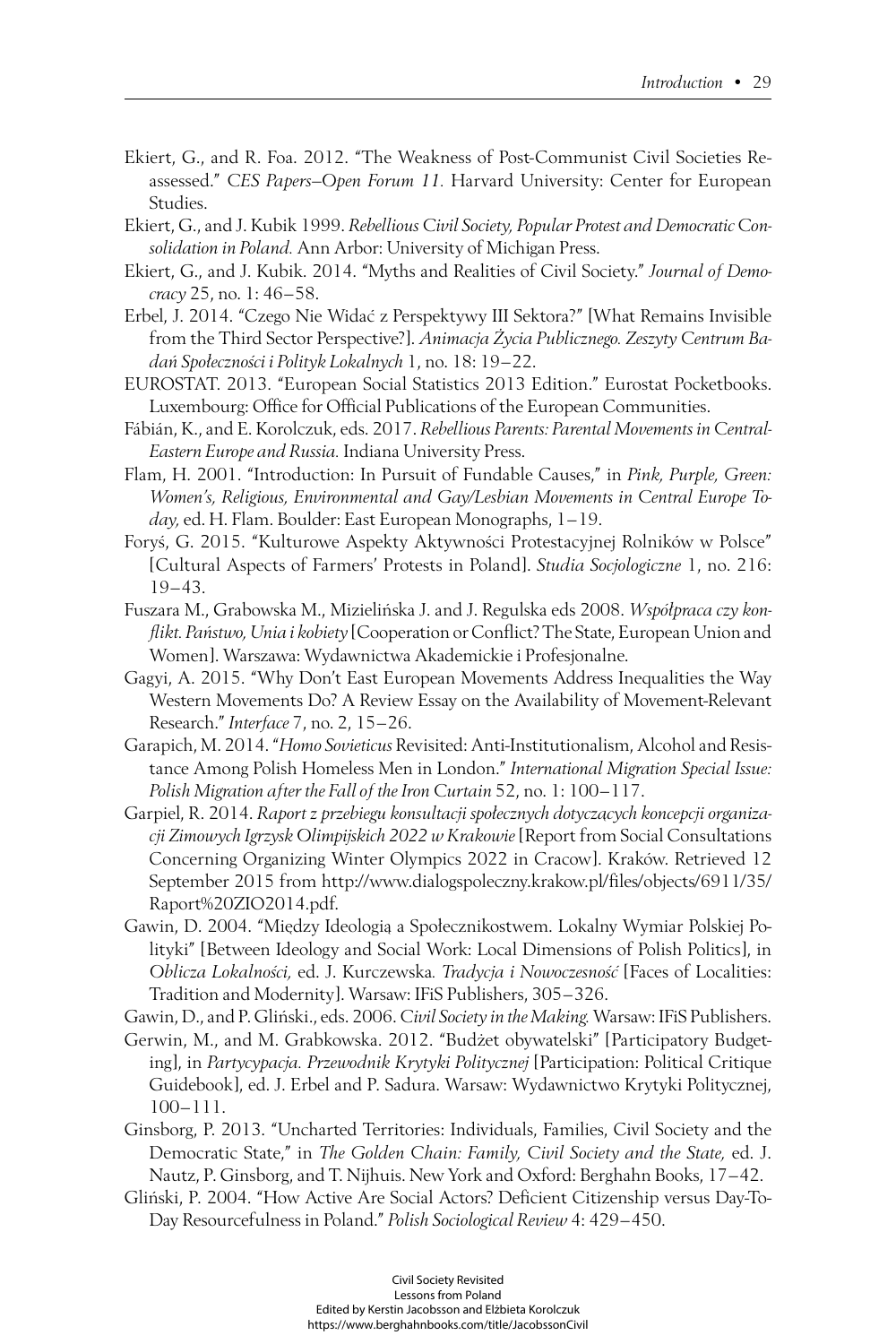- Ekiert, G., and R. Foa. 2012. "The Weakness of Post-Communist Civil Societies Reassessed." *CES Papers—Open Forum 11.* Harvard University: Center for European Studies.
- Ekiert, G., and J. Kubik 1999. *Rebellious Civil Society, Popular Protest and Democratic Consolidation in Poland.* Ann Arbor: University of Michigan Press.
- Ekiert, G., and J. Kubik. 2014. "Myths and Realities of Civil Society." *Journal of Democracy* 25, no. 1: 46–58.
- Erbel, J. 2014. "Czego Nie Widać z Perspektywy III Sektora?" [What Remains Invisible from the Third Sector Perspective?]. *Animacja* Ż*ycia Publicznego. Zeszyty Centrum Bada*ń *Spo*ł*eczno*ś*ci i Polityk Lokalnych* 1, no. 18: 19–22.
- EUROSTAT. 2013. "European Social Statistics 2013 Edition." Eurostat Pocketbooks. Luxembourg: Office for Official Publications of the European Communities.
- Fábián, K., and E. Korolczuk, eds. 2017. *Rebellious Parents: Parental Movements in Central-Eastern Europe and Russia.* Indiana University Press.
- Flam, H. 2001. "Introduction: In Pursuit of Fundable Causes," in *Pink, Purple, Green: Women's, Religious, Environmental and Gay/Lesbian Movements in Central Europe Today,* ed. H. Flam. Boulder: East European Monographs, 1–19.
- Foryś, G. 2015. "Kulturowe Aspekty Aktywności Protestacyjnej Rolników w Polsce" [Cultural Aspects of Farmers' Protests in Poland]. *Studia Socjologiczne* 1, no. 216: 19–43.
- Fuszara M., Grabowska M., Mizielińska J. and J. Regulska eds 2008. *Wspó*ł*praca czy konflikt. Państwo, Unia i kobiety* [Cooperation or Conflict? The State, European Union and Women]. Warszawa: Wydawnictwa Akademickie i Profesjonalne.
- Gagyi, A. 2015. "Why Don't East European Movements Address Inequalities the Way Western Movements Do? A Review Essay on the Availability of Movement-Relevant Research." *Interface* 7, no. 2, 15–26.
- Garapich, M. 2014. "*Homo Sovieticus* Revisited: Anti-Institutionalism, Alcohol and Resistance Among Polish Homeless Men in London." *International Migration Special Issue: Polish Migration after the Fall of the Iron Curtain* 52, no. 1: 100–117.
- Garpiel, R. 2014. *Raport z przebiegu konsultacji spo*ł*ecznych dotycz*ą*cych koncepcji organizacji Zimowych Igrzysk Olimpijskich 2022 w Krakowie* [Report from Social Consultations Concerning Organizing Winter Olympics 2022 in Cracow]. Kraków. Retrieved 12 September 2015 from http://www.dialogspoleczny.krakow.pl/files/objects/6911/35/ Raport%20ZIO2014.pdf.
- Gawin, D. 2004. "Między Ideologią a Społecznikostwem. Lokalny Wymiar Polskiej Polityki" [Between Ideology and Social Work: Local Dimensions of Polish Politics], in *Oblicza Lokalno*ś*ci,* ed. J. Kurczewska*. Tradycja i Nowoczesno*ść [Faces of Localities: Tradition and Modernity]. Warsaw: IFiS Publishers, 305–326.
- Gawin, D., and P. Gliński., eds. 2006. *Civil Society in the Making.* Warsaw: IFiS Publishers.
- Gerwin, M., and M. Grabkowska. 2012. "Budżet obywatelski" [Participatory Budgeting], in *Partycypacja. Przewodnik Krytyki Politycznej* [Participation: Political Critique Guidebook], ed. J. Erbel and P. Sadura. Warsaw: Wydawnictwo Krytyki Politycznej, 100–111.
- Ginsborg, P. 2013. "Uncharted Territories: Individuals, Families, Civil Society and the Democratic State," in *The Golden Chain: Family, Civil Society and the State,* ed. J. Nautz, P. Ginsborg, and T. Nijhuis. New York and Oxford: Berghahn Books, 17–42.
- Gliński, P. 2004. "How Active Are Social Actors? Deficient Citizenship versus Day-To-Day Resourcefulness in Poland." *Polish Sociological Review* 4: 429–450.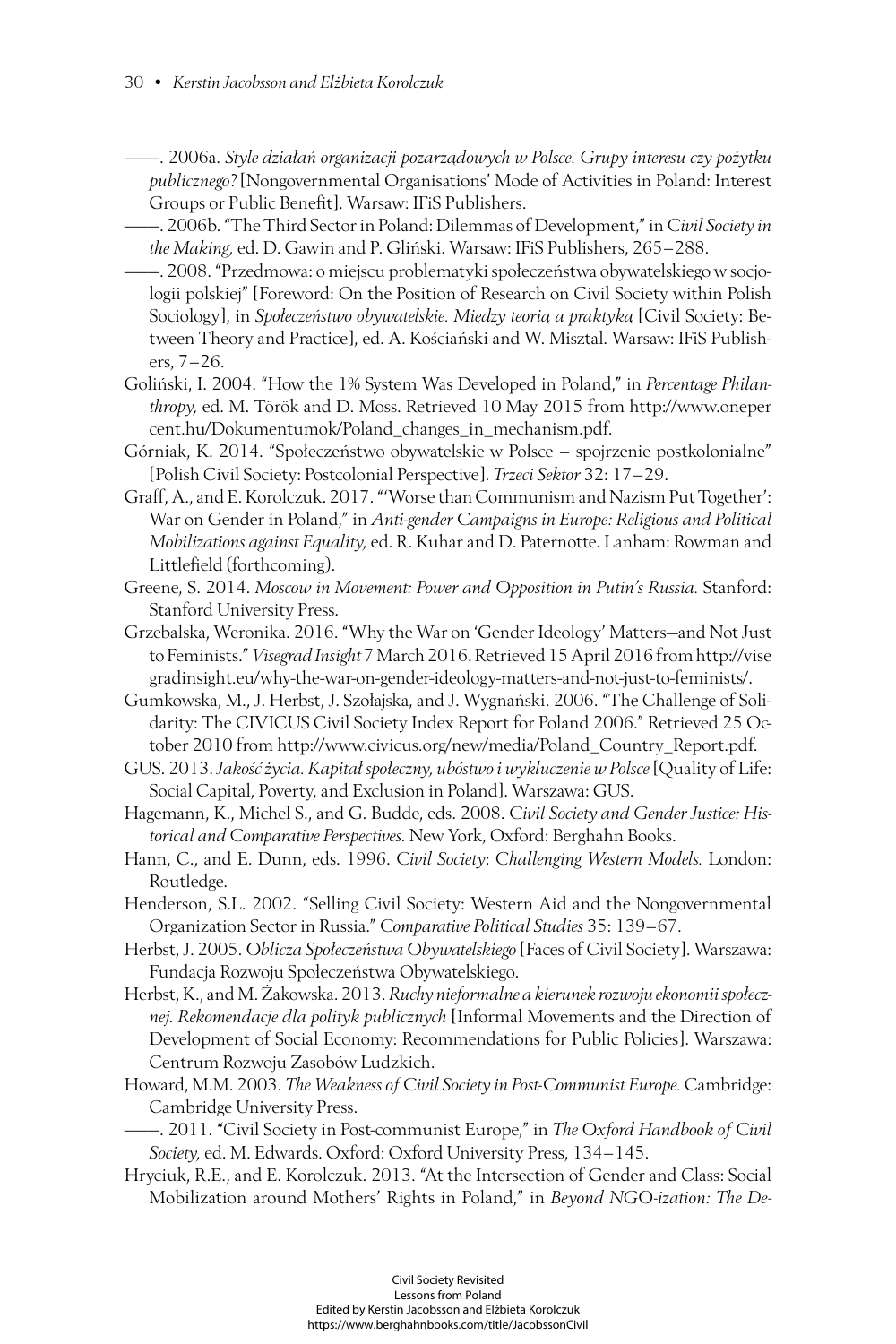———. 2006a. *Style dzia*ł*a*ń *organizacji pozarz*ą*dowych w Polsce. Grupy interesu czy po*ż*ytku publicznego?* [Nongovernmental Organisations' Mode of Activities in Poland: Interest Groups or Public Benefit]. Warsaw: IFiS Publishers.

- ———. 2006b. "The Third Sector in Poland: Dilemmas of Development," in *Civil Society in the Making,* ed. D. Gawin and P. Gliński. Warsaw: IFiS Publishers, 265–288.
- ———. 2008. "Przedmowa: o miejscu problematyki społeczeństwa obywatelskiego w socjologii polskiej" [Foreword: On the Position of Research on Civil Society within Polish Sociology], in *Spo*ł*ecze*ń*stwo obywatelskie. Mi*ę*dzy teori*ą *a praktyk*ą [Civil Society: Between Theory and Practice], ed. A. Kościański and W. Misztal. Warsaw: IFiS Publishers, 7–26.
- Goliński, I. 2004. "How the 1% System Was Developed in Poland," in *Percentage Philanthropy,* ed. M. Török and D. Moss. Retrieved 10 May 2015 from <http://www.oneper> cent.hu/Dokumentumok/Poland\_changes\_in\_mechanism.pdf.
- Górniak, K. 2014. "Społeczeństwo obywatelskie w Polsce spojrzenie postkolonialne" [Polish Civil Society: Postcolonial Perspective]. *Trzeci Sektor* 32: 17–29.
- Graff , A., and E. Korolczuk. 2017. "'Worse than Communism and Nazism Put Together': War on Gender in Poland," in *Anti-gender Campaigns in Europe: Religious and Political Mobilizations against Equality,* ed. R. Kuhar and D. Paternotte. Lanham: Rowman and Littlefield (forthcoming).
- Greene, S. 2014. *Moscow in Movement: Power and Opposition in Putin's Russia.* Stanford: Stanford University Press.
- Grzebalska, Weronika. 2016. "Why the War on 'Gender Ideology' Matters—and Not Just to Feminists." *Visegrad Insight* 7 March 2016. Retrieved 15 April 2016 from<http://vise> gradinsight.eu/why-the-war-on-gender-ideology-matters-and-not-just-to-feminists/.
- Gumkowska, M., J. Herbst, J. Szołajska, and J. Wygnański. 2006. "The Challenge of Solidarity: The CIVICUS Civil Society Index Report for Poland 2006." Retrieved 25 October 2010 from [http://www.civicus.org/new/media/Poland\\_Country\\_Report.pdf.](http://www.civicus.org/new/media/Poland_Country_Report.pdf)
- GUS. 2013. *Jako*śćż*ycia. Kapita*ł *spo*ł*eczny, ubóstwo i wykluczenie w Polsce* [Quality of Life: Social Capital, Poverty, and Exclusion in Poland]. Warszawa: GUS.
- Hagemann, K., Michel S., and G. Budde, eds. 2008. *Civil Society and Gender Justice: Historical and Comparative Perspectives.* New York, Oxford: Berghahn Books.
- Hann, C., and E. Dunn, eds. 1996. *Civil Society*: *Challenging Western Models.* London: Routledge.
- Henderson, S.L. 2002. "Selling Civil Society: Western Aid and the Nongovernmental Organization Sector in Russia." *Comparative Political Studies* 35: 139–67.
- Herbst, J. 2005. *Oblicza Spo*ł*ecze*ń*stwa Obywatelskiego* [Faces of Civil Society]. Warszawa: Fundacja Rozwoju Społeczeństwa Obywatelskiego.
- Herbst, K., and M. Żakowska. 2013. *Ruchy nieformalne a kierunek rozwoju ekonomii spo*ł*ecznej. Rekomendacje dla polityk publicznych* [Informal Movements and the Direction of Development of Social Economy: Recommendations for Public Policies]. Warszawa: Centrum Rozwoju Zasobów Ludzkich.
- Howard, M.M. 2003. *The Weakness of Civil Society in Post-Communist Europe.* Cambridge: Cambridge University Press.
- ———. 2011. "Civil Society in Post-communist Europe," in *The Oxford Handbook of Civil Society,* ed. M. Edwards. Oxford: Oxford University Press, 134–145.
- Hryciuk, R.E., and E. Korolczuk. 2013. "At the Intersection of Gender and Class: Social Mobilization around Mothers' Rights in Poland," in *Beyond NGO-ization: The De-*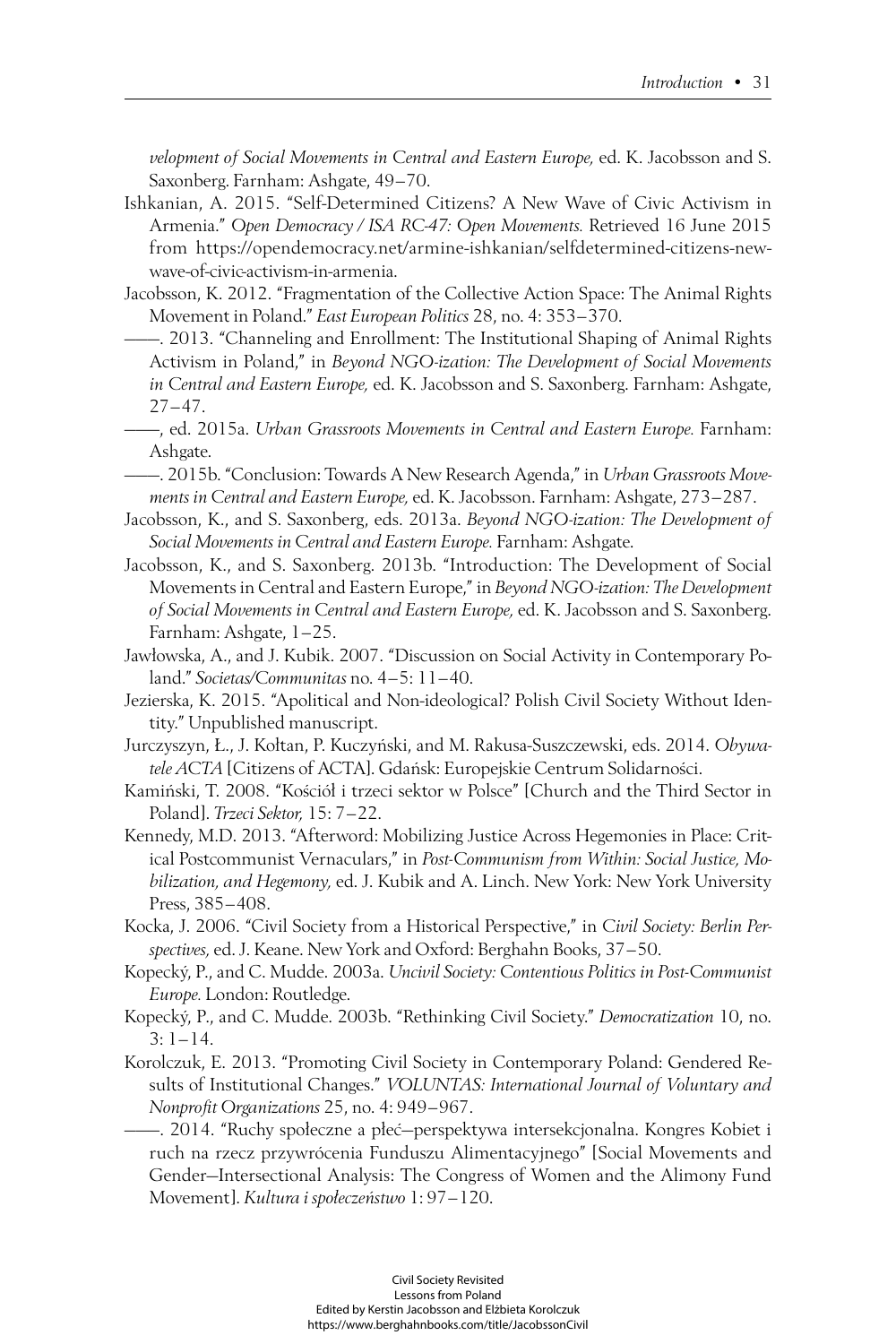*velopment of Social Movements in Central and Eastern Europe,* ed. K. Jacobsson and S. Saxonberg. Farnham: Ashgate, 49–70.

- Ishkanian, A. 2015. "Self-Determined Citizens? A New Wave of Civic Activism in Armenia." *Open Democracy / ISA RC-47: Open Movements.* Retrieved 16 June 2015 [from https://opendemocracy.net/armine-ishkanian/selfdetermined-citizens-new](https://opendemocracy.net/armine-ishkanian/selfdetermined-citizens-new-wave-of-civic-activism-in-armenia)wave-[of-civic-activism-in-armenia.](https://opendemocracy.net/armine-ishkanian/selfdetermined-citizens-new-wave-of-civic-activism-in-armenia)
- Jacobsson, K. 2012. "Fragmentation of the Collective Action Space: The Animal Rights Movement in Poland." *East European Politics* 28, no. 4: 353–370.
- ———. 2013. "Channeling and Enrollment: The Institutional Shaping of Animal Rights Activism in Poland," in *Beyond NGO-ization: The Development of Social Movements in Central and Eastern Europe,* ed. K. Jacobsson and S. Saxonberg. Farnham: Ashgate,  $27 - 47$ .
- ———, ed. 2015a. *Urban Grassroots Movements in Central and Eastern Europe.* Farnham: Ashgate.
- ———. 2015b. "Conclusion: Towards A New Research Agenda," in *Urban Grassroots Movements in Central and Eastern Europe,* ed. K. Jacobsson. Farnham: Ashgate, 273–287.
- Jacobsson, K., and S. Saxonberg, eds. 2013a. *Beyond NGO-ization: The Development of Social Movements in Central and Eastern Europe.* Farnham: Ashgate.
- Jacobsson, K., and S. Saxonberg. 2013b. "Introduction: The Development of Social Movements in Central and Eastern Europe," in *Beyond NGO-ization: The Development of Social Movements in Central and Eastern Europe,* ed. K. Jacobsson and S. Saxonberg. Farnham: Ashgate, 1–25.
- Jawłowska, A., and J. Kubik. 2007. "Discussion on Social Activity in Contemporary Poland." *Societas/Communitas* no. 4–5: 11–40.
- Jezierska, K. 2015. "Apolitical and Non-ideological? Polish Civil Society Without Identity." Unpublished manuscript.
- Jurczyszyn, Ł., J. Kołtan, P. Kuczyński, and M. Rakusa-Suszczewski, eds. 2014. *Obywatele ACTA* [Citizens of ACTA]. Gdańsk: Europejskie Centrum Solidarności.
- Kamiński, T. 2008. "Kościół i trzeci sektor w Polsce" [Church and the Third Sector in Poland]. *Trzeci Sektor,* 15: 7–22.
- Kennedy, M.D. 2013. "Afterword: Mobilizing Justice Across Hegemonies in Place: Critical Postcommunist Vernaculars," in *Post-Communism from Within: Social Justice, Mobilization, and Hegemony,* ed. J. Kubik and A. Linch. New York: New York University Press, 385–408.
- Kocka, J. 2006. "Civil Society from a Historical Perspective," in *Civil Society: Berlin Perspectives,* ed. J. Keane. New York and Oxford: Berghahn Books, 37–50.
- Kopecký, P., and C. Mudde. 2003a. *Uncivil Society: Contentious Politics in Post-Communist Europe.* London: Routledge.
- Kopecký, P., and C. Mudde. 2003b. "Rethinking Civil Society." *Democratization* 10, no. 3: 1–14.
- Korolczuk, E. 2013. "Promoting Civil Society in Contemporary Poland: Gendered Results of Institutional Changes." *VOLUNTAS: International Journal of Voluntary and Nonprofi t Organizations* 25, no. 4: 949–967.
	- ———. 2014. "Ruchy społeczne a płeć—perspektywa intersekcjonalna. Kongres Kobiet i ruch na rzecz przywrócenia Funduszu Alimentacyjnego" [Social Movements and Gender—Intersectional Analysis: The Congress of Women and the Alimony Fund Movement]. *Kultura i spo*ł*ecze*ń*stwo* 1: 97–120.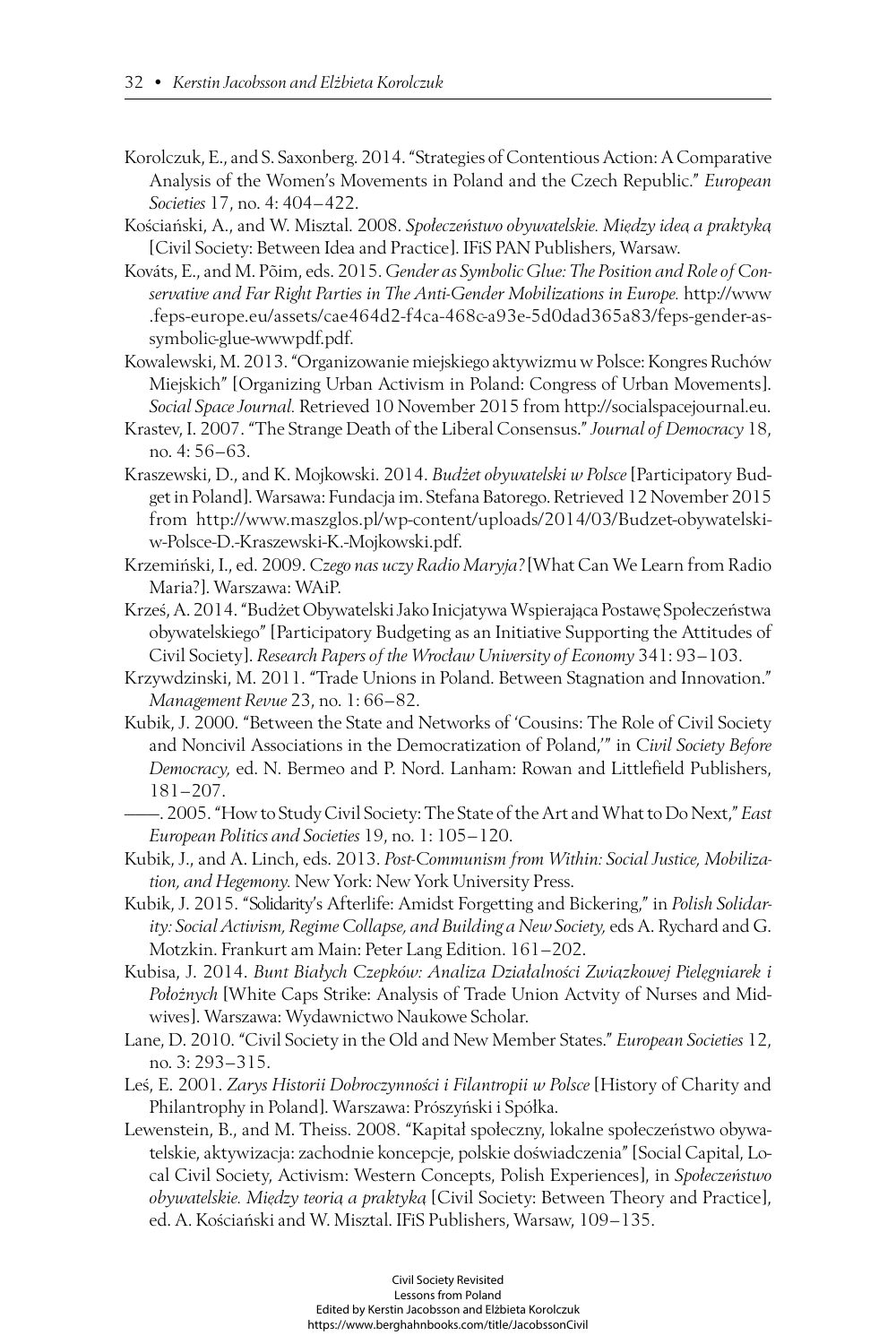- Korolczuk, E., and S. Saxonberg. 2014. "Strategies of Contentious Action: A Comparative Analysis of the Women's Movements in Poland and the Czech Republic." *European Societies* 17, no. 4: 404–422.
- Kościański, A., and W. Misztal. 2008. *Spo*ł*ecze*ń*stwo obywatelskie. Mi*ę*dzy ide*ą *a praktyk*ą [Civil Society: Between Idea and Practice]. IFiS PAN Publishers, Warsaw.
- Kováts, E., and M. Põim, eds. 2015. *Gender as Symbolic Glue: The Position and Role of Conservative and Far Right Parties in The Anti-Gender Mobilizations in Europe.* <http://www> .feps-europe.eu/assets/cae464d2-f4ca-468c-a93e-5d0dad365a83/feps-gender-assymbolic-glue-wwwpdf.pdf.
- Kowalewski, M. 2013. "Organizowanie miejskiego aktywizmu w Polsce: Kongres Ruchów Miejskich" [Organizing Urban Activism in Poland: Congress of Urban Movements]. *Social Space Journal.* Retrieved 10 November 2015 from [http://socialspacejournal.eu.](http://socialspacejournal.eu)
- Krastev, I. 2007. "The Strange Death of the Liberal Consensus." *Journal of Democracy* 18, no. 4: 56–63.
- Kraszewski, D., and K. Mojkowski. 2014. *Bud*ż*et obywatelski w Polsce* [Participatory Budget in Poland]. Warsawa: Fundacja im. Stefana Batorego. Retrieved 12 November 2015 [from http://www.maszglos.pl/wp-content/uploads/2014/03/Budzet-obywatelski](http://www.maszglos.pl/wp-content/uploads/2014/03/Budzet-obywatelski-w-Polsce-D.-Kraszewski-K.-Mojkowski.pdf)w-[Polsce-D.-Kraszewski-K.-Mojkowski.pdf.](http://www.maszglos.pl/wp-content/uploads/2014/03/Budzet-obywatelski-w-Polsce-D.-Kraszewski-K.-Mojkowski.pdf)
- Krzemiński, I., ed. 2009. *Czego nas uczy Radio Maryja?* [What Can We Learn from Radio Maria?]. Warszawa: WAiP.
- Krześ, A. 2014. "Budżet Obywatelski Jako Inicjatywa Wspierająca Postawę Społeczeństwa obywatelskiego" [Participatory Budgeting as an Initiative Supporting the Attitudes of Civil Society]. *Research Papers of the Wroc*ł*aw University of Economy* 341: 93–103.
- Krzywdzinski, M. 2011. "Trade Unions in Poland. Between Stagnation and Innovation." *Management Revue* 23, no. 1: 66–82.
- Kubik, J. 2000. "Between the State and Networks of 'Cousins: The Role of Civil Society and Noncivil Associations in the Democratization of Poland,'" in *Civil Society Before Democracy*, ed. N. Bermeo and P. Nord. Lanham: Rowan and Littlefield Publishers, 181–207.
- ———. 2005. "How to Study Civil Society: The State of the Art and What to Do Next," *East European Politics and Societies* 19, no. 1: 105–120.
- Kubik, J., and A. Linch, eds. 2013. *Post-Communism from Within: Social Justice, Mobilization, and Hegemony.* New York: New York University Press.
- Kubik, J. 2015. "Solidarity's Afterlife: Amidst Forgetting and Bickering," in *Polish Solidarity: Social Activism, Regime Collapse, and Building a New Society,* eds A. Rychard and G. Motzkin. Frankurt am Main: Peter Lang Edition. 161–202.
- Kubisa, J. 2014. *Bunt Bia*ł*ych Czepków: Analiza Dzia*ł*alno*ś*ci Zwi*ą*zkowej Piel*ę*gniarek i Po*ł*o*ż*nych* [White Caps Strike: Analysis of Trade Union Actvity of Nurses and Midwives]. Warszawa: Wydawnictwo Naukowe Scholar.
- Lane, D. 2010. "Civil Society in the Old and New Member States." *European Societies* 12, no. 3: 293–315.
- Leś, E. 2001. *Zarys Historii Dobroczynno*ś*ci i Filantropii w Polsce* [History of Charity and Philantrophy in Poland]. Warszawa: Prószyński i Spółka.
- Lewenstein, B., and M. Theiss. 2008. "Kapitał społeczny, lokalne społeczeństwo obywatelskie, aktywizacja: zachodnie koncepcje, polskie doświadczenia" [Social Capital, Local Civil Society, Activism: Western Concepts, Polish Experiences], in *Spo*ł*ecze*ń*stwo obywatelskie. Mi*ę*dzy teori*ą *a praktyk*ą [Civil Society: Between Theory and Practice], ed. A. Kościański and W. Misztal. IFiS Publishers, Warsaw, 109–135.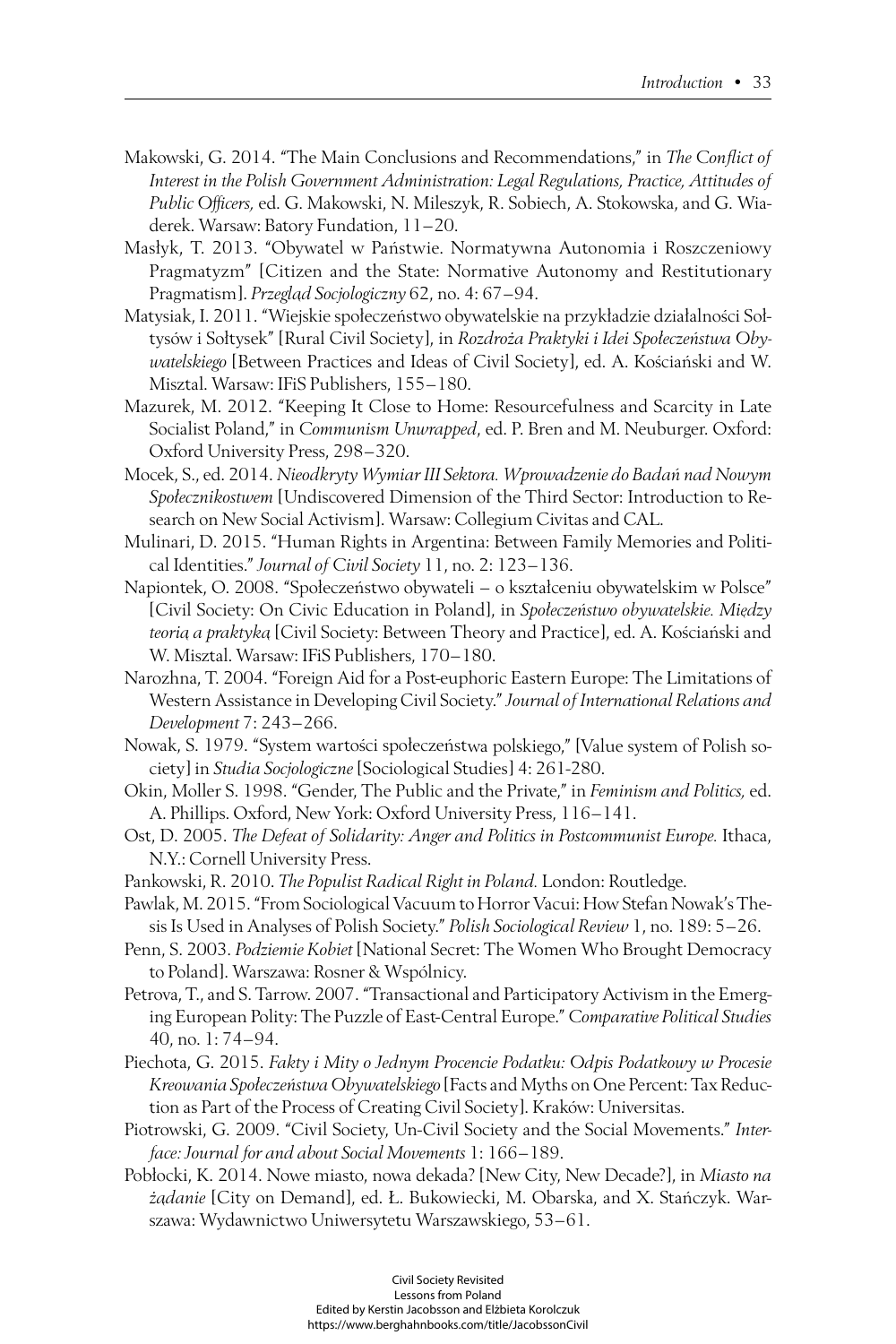- Makowski, G. 2014. "The Main Conclusions and Recommendations," in *The Conflict of Interest in the Polish Government Administration: Legal Regulations, Practice, Attitudes of*  Public Officers, ed. G. Makowski, N. Mileszyk, R. Sobiech, A. Stokowska, and G. Wiaderek. Warsaw: Batory Fundation, 11–20.
- Masłyk, T. 2013. "Obywatel w Państwie. Normatywna Autonomia i Roszczeniowy Pragmatyzm" [Citizen and the State: Normative Autonomy and Restitutionary Pragmatism]. *Przegl*ą*d Socjologiczny* 62, no. 4: 67–94.
- Matysiak, I. 2011. "Wiejskie społeczeństwo obywatelskie na przykładzie działalności Sołtysów i Sołtysek" [Rural Civil Society], in *Rozdro*ż*a Praktyki i Idei Spo*ł*ecze*ń*stwa Obywatelskiego* [Between Practices and Ideas of Civil Society], ed. A. Kościański and W. Misztal. Warsaw: IFiS Publishers, 155–180.
- Mazurek, M. 2012. "Keeping It Close to Home: Resourcefulness and Scarcity in Late Socialist Poland," in *Communism Unwrapped*, ed. P. Bren and M. Neuburger. Oxford: Oxford University Press, 298–320.
- Mocek, S., ed. 2014. *Nieodkryty Wymiar III Sektora. Wprowadzenie do Bada*ń *nad Nowym Spo*ł*ecznikostwem* [Undiscovered Dimension of the Third Sector: Introduction to Research on New Social Activism]. Warsaw: Collegium Civitas and CAL.
- Mulinari, D. 2015. "Human Rights in Argentina: Between Family Memories and Political Identities." *Journal of Civil Society* 11, no. 2: 123–136.
- Napiontek, O. 2008. "Społeczeństwo obywateli o kształceniu obywatelskim w Polsce" [Civil Society: On Civic Education in Poland], in *Spo*ł*ecze*ń*stwo obywatelskie. Mi*ę*dzy teori*ą *a praktyk*ą [Civil Society: Between Theory and Practice], ed. A. Kościański and W. Misztal. Warsaw: IFiS Publishers, 170–180.
- Narozhna, T. 2004. "Foreign Aid for a Post-euphoric Eastern Europe: The Limitations of Western Assistance in Developing Civil Society." *Journal of International Relations and Development* 7: 243–266.
- Nowak, S. 1979. "System wartości społeczeństwa polskiego," [Value system of Polish society] in *Studia Socjologiczne* [Sociological Studies] 4: 261-280.
- Okin, Moller S. 1998. "Gender, The Public and the Private," in *Feminism and Politics,* ed. A. Phillips. Oxford, New York: Oxford University Press, 116–141.
- Ost, D. 2005. *The Defeat of Solidarity: Anger and Politics in Postcommunist Europe.* Ithaca, N.Y.: Cornell University Press.
- Pankowski, R. 2010. *The Populist Radical Right in Poland.* London: Routledge.
- Pawlak, M. 2015. "From Sociological Vacuum to Horror Vacui: How Stefan Nowak's Thesis Is Used in Analyses of Polish Society." *Polish Sociological Review* 1, no. 189: 5–26.
- Penn, S. 2003. *Podziemie Kobiet* [National Secret: The Women Who Brought Democracy to Poland]. Warszawa: Rosner & Wspólnicy.
- Petrova, T., and S. Tarrow. 2007. "Transactional and Participatory Activism in the Emerging European Polity: The Puzzle of East-Central Europe." *Comparative Political Studies* 40, no. 1: 74–94.
- Piechota, G. 2015. *Fakty i Mity o Jednym Procencie Podatku: Odpis Podatkowy w Procesie Kreowania Spo*ł*ecze*ń*stwa Obywatelskiego* [Facts and Myths on One Percent: Tax Reduction as Part of the Process of Creating Civil Society]. Kraków: Universitas.
- Piotrowski, G. 2009. "Civil Society, Un-Civil Society and the Social Movements." *Interface: Journal for and about Social Movements* 1: 166–189.
- Pobłocki, K. 2014. Nowe miasto, nowa dekada? [New City, New Decade?], in *Miasto na*  żą*danie* [City on Demand], ed. Ł. Bukowiecki, M. Obarska, and X. Stańczyk. Warszawa: Wydawnictwo Uniwersytetu Warszawskiego, 53–61.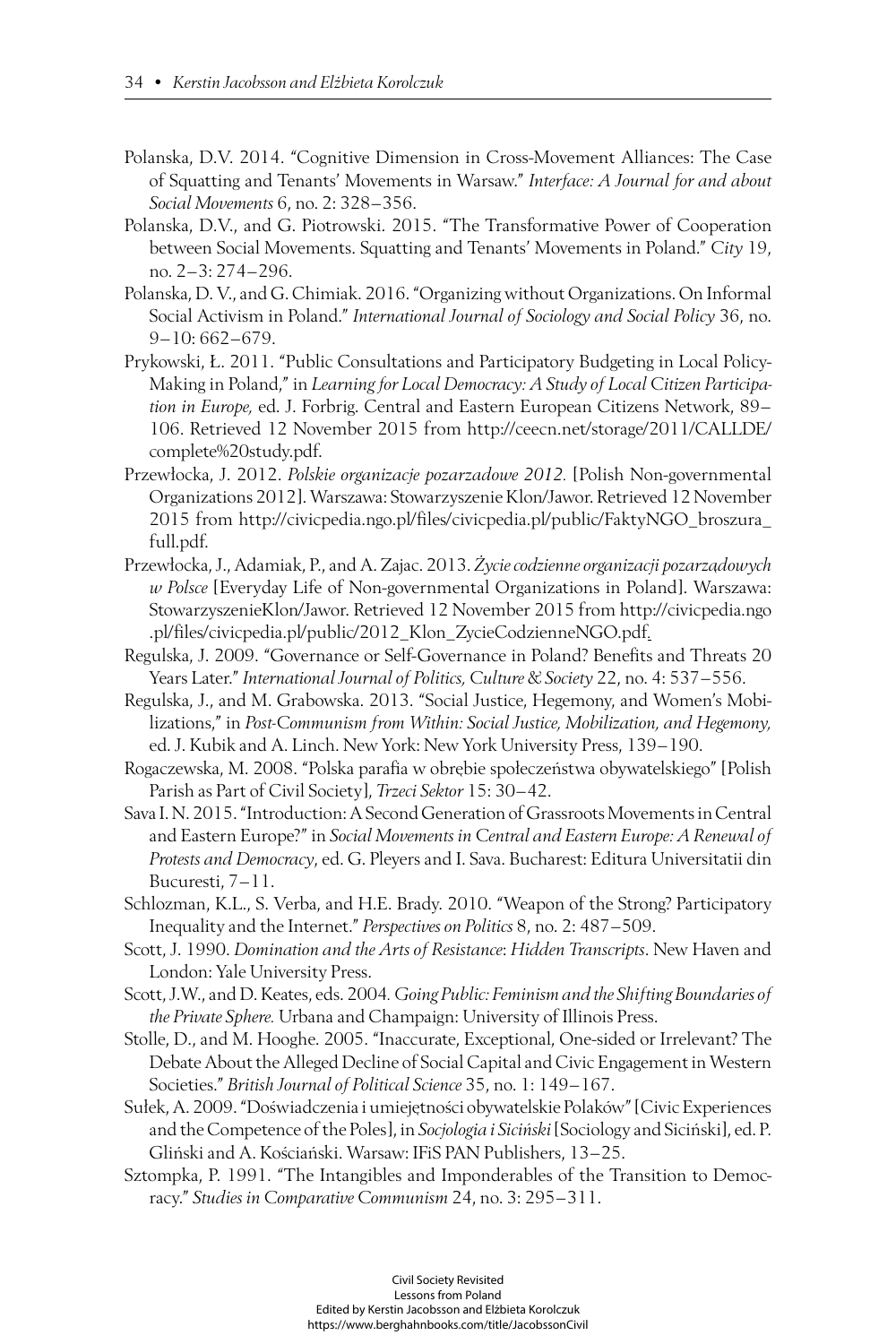- Polanska, D.V. 2014. "Cognitive Dimension in Cross-Movement Alliances: The Case of Squatting and Tenants' Movements in Warsaw." *Interface: A Journal for and about Social Movements* 6, no. 2: 328–356.
- Polanska, D.V., and G. Piotrowski. 2015. "The Transformative Power of Cooperation between Social Movements. Squatting and Tenants' Movements in Poland." *City* 19, no. 2–3: 274–296.
- Polanska, D. V., and G. Chimiak. 2016. "Organizing without Organizations. On Informal Social Activism in Poland." *International Journal of Sociology and Social Policy* 36, no. 9–10: 662–679.
- Prykowski, Ł. 2011. "Public Consultations and Participatory Budgeting in Local Policy-Making in Poland," in *Learning for Local Democracy: A Study of Local Citizen Participation in Europe,* ed. J. Forbrig. Central and Eastern European Citizens Network, 89– 106. Retrieved 12 November 2015 from <http://ceecn.net/storage/2011/CALLDE/> complete%20study.pdf.
- Przewłocka, J. 2012. *Polskie organizacje pozarzadowe 2012.* [Polish Non-governmental Organizations 2012]. Warszawa: Stowarzyszenie Klon/Jawor. Retrieved 12 November 2015 from [http://civicpedia.ngo.pl/fi les](http://civicpedia.ngo.pl/fi)/civicpedia.pl/public/FaktyNGO\_broszura\_ full.pdf.
- Przewłocka, J., Adamiak, P., and A. Zajac. 2013. Ż*ycie codzienne organizacji pozarz*ą*dowych w Polsce* [Everyday Life of Non-governmental Organizations in Poland]. Warszawa: StowarzyszenieKlon/Jawor. Retrieved 12 November 2015 from <http://civicpedia.ngo> .pl/fi les/civicpedia.pl/public/2012\_Klon\_ZycieCodzienneNGO.pdf*.*
- Regulska, J. 2009. "Governance or Self-Governance in Poland? Benefits and Threats 20 Years Later." *International Journal of Politics, Culture & Society* 22, no. 4: 537–556.
- Regulska, J., and M. Grabowska. 2013. "Social Justice, Hegemony, and Women's Mobilizations," in *Post-Communism from Within: Social Justice, Mobilization, and Hegemony,* ed. J. Kubik and A. Linch. New York: New York University Press, 139–190.
- Rogaczewska, M. 2008. "Polska parafia w obrębie społeczeństwa obywatelskiego" [Polish Parish as Part of Civil Society], *Trzeci Sektor* 15: 30–42.
- Sava I. N. 2015. "Introduction: A Second Generation of Grassroots Movements in Central and Eastern Europe?" in *Social Movements in Central and Eastern Europe: A Renewal of Protests and Democracy*, ed. G. Pleyers and I. Sava. Bucharest: Editura Universitatii din Bucuresti, 7–11.
- Schlozman, K.L., S. Verba, and H.E. Brady. 2010. "Weapon of the Strong? Participatory Inequality and the Internet." *Perspectives on Politics* 8, no. 2: 487–509.
- Scott, J. 1990. *Domination and the Arts of Resistance*: *Hidden Transcripts*. New Haven and London: Yale University Press.
- Scott, J.W., and D. Keates, eds. 2004*. Going Public: Feminism and the Shifting Boundaries of the Private Sphere.* Urbana and Champaign: University of Illinois Press.
- Stolle, D., and M. Hooghe. 2005. "Inaccurate, Exceptional, One-sided or Irrelevant? The Debate About the Alleged Decline of Social Capital and Civic Engagement in Western Societies." *British Journal of Political Science* 35, no. 1: 149–167.
- Sułek, A. 2009. "Doświadczenia i umiejętności obywatelskie Polaków" [Civic Experiences and the Competence of the Poles], in *Socjologia i Sici*ń*ski* [Sociology and Siciński], ed. P. Gliński and A. Kościański. Warsaw: IFiS PAN Publishers, 13–25.
- Sztompka, P. 1991. "The Intangibles and Imponderables of the Transition to Democracy." *Studies in Comparative Communism* 24, no. 3: 295–311.